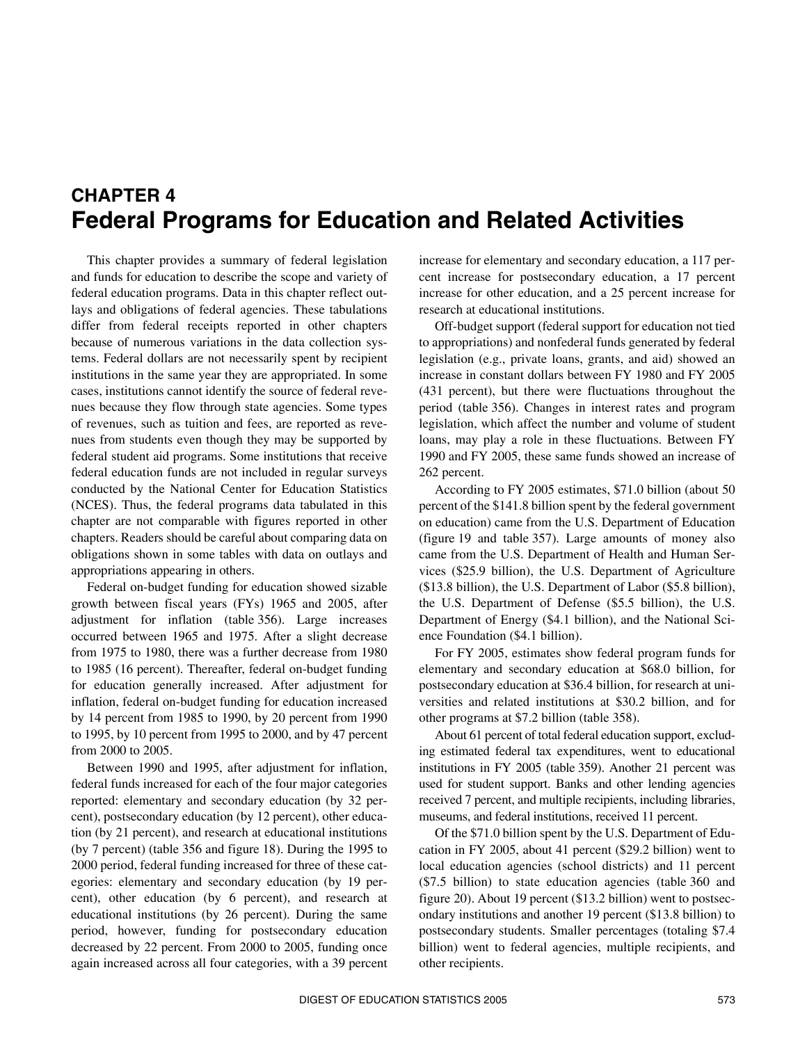# <span id="page-0-1"></span>**CHAPTER 4 Federal Programs for Education and Related Activities**

This chapter provides a summary of federal legislation and funds for education to describe the scope and variety of federal education programs. Data in this chapter reflect outlays and obligations of federal agencies. These tabulations differ from federal receipts reported in other chapters because of numerous variations in the data collection systems. Federal dollars are not necessarily spent by recipient institutions in the same year they are appropriated. In some cases, institutions cannot identify the source of federal revenues because they flow through state agencies. Some types of revenues, such as tuition and fees, are reported as revenues from students even though they may be supported by federal student aid programs. Some institutions that receive federal education funds are not included in regular surveys conducted by the National Center for Education Statistics (NCES). Thus, the federal programs data tabulated in this chapter are not comparable with figures reported in other chapters. Readers should be careful about comparing data on obligations shown in some tables with data on outlays and appropriations appearing in others.

Federal on-budget funding for education showed sizable growth between fiscal years (FYs) 1965 and 2005, after adjustment for inflation (table 356). Large increases occurred between 1965 and 1975. After a slight decrease from 1975 to 1980, there was a further decrease from 1980 to 1985 (16 percent). Thereafter, federal on-budget funding for education generally increased. After adjustment for inflation, federal on-budget funding for education increased by 14 percent from 1985 to 1990, by 20 percent from 1990 to 1995, by 10 percent from 1995 to 2000, and by 47 percent from 2000 to 2005.

Between 1990 and 1995, after adjustment for inflation, federal funds increased for each of the four major categories reported: elementary and secondary education (by 32 percent), postsecondary education (by 12 percent), other education (by 21 percent), and research at educational institutions (by 7 percent) (table 356 and figure 18). During the 1995 to 2000 period, federal funding increased for three of these categories: elementary and secondary education (by 19 percent), other education (by 6 percent), and research at educational institutions (by 26 percent). During the same period, however, funding for postsecondary education decreased by 22 percent. From 2000 to 2005, funding once again increased across all four categories, with a 39 percent

<span id="page-0-0"></span>increase for elementary and secondary education, a 117 percent increase for postsecondary education, a 17 percent increase for other education, and a 25 percent increase for research at educational institutions.

Off-budget support (federal support for education not tied to appropriations) and nonfederal funds generated by federal legislation (e.g., private loans, grants, and aid) showed an increase in constant dollars between FY 1980 and FY 2005 (431 percent), but there were fluctuations throughout the period (table 356). Changes in interest rates and program legislation, which affect the number and volume of student loans, may play a role in these fluctuations. Between FY 1990 and FY 2005, these same funds showed an increase of 262 percent.

According to FY 2005 estimates, \$71.0 billion (about 50 percent of the \$141.8 billion spent by the federal government on education) came from the U.S. Department of Education (figure 19 and table 357). Large amounts of money also came from the U.S. Department of Health and Human Services (\$25.9 billion), the U.S. Department of Agriculture (\$13.8 billion), the U.S. Department of Labor (\$5.8 billion), the U.S. Department of Defense (\$5.5 billion), the U.S. Department of Energy (\$4.1 billion), and the National Science Foundation (\$4.1 billion).

For FY 2005, estimates show federal program funds for elementary and secondary education at \$68.0 billion, for postsecondary education at \$36.4 billion, for research at universities and related institutions at \$30.2 billion, and for other programs at \$7.2 billion (table 358).

About 61 percent of total federal education support, excluding estimated federal tax expenditures, went to educational institutions in FY 2005 (table 359). Another 21 percent was used for student support. Banks and other lending agencies received 7 percent, and multiple recipients, including libraries, museums, and federal institutions, received 11 percent.

Of the \$71.0 billion spent by the U.S. Department of Education in FY 2005, about 41 percent (\$29.2 billion) went to local education agencies (school districts) and 11 percent (\$7.5 billion) to state education agencies (table 360 and figure 20). About 19 percent (\$13.2 billion) went to postsecondary institutions and another 19 percent (\$13.8 billion) to postsecondary students. Smaller percentages (totaling \$7.4 billion) went to federal agencies, multiple recipients, and other recipients.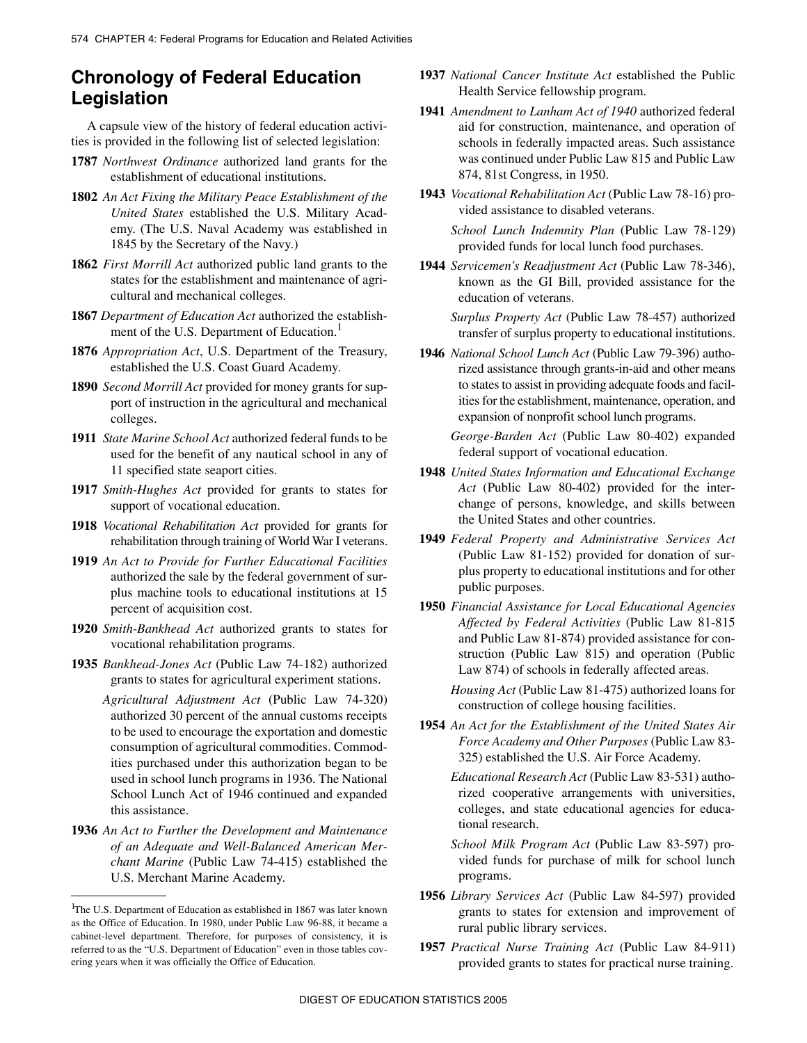## **Chronology of Federal Education Legislation**

A capsule view of the history of federal education activities is provided in the following list of selected legislation:

- **1787** *Northwest Ordinance* authorized land grants for the establishment of educational institutions.
- **1802** *An Act Fixing the Military Peace Establishment of the United States* established the U.S. Military Academy. (The U.S. Naval Academy was established in 1845 by the Secretary of the Navy.)
- **1862** *First Morrill Act* authorized public land grants to the states for the establishment and maintenance of agricultural and mechanical colleges.
- **1867** *Department of Education Act* authorized the establishment of the U.S. Department of Education.<sup>1</sup>
- **1876** *Appropriation Act*, U.S. Department of the Treasury, established the U.S. Coast Guard Academy.
- **1890** *Second Morrill Act* provided for money grants for support of instruction in the agricultural and mechanical colleges.
- **1911** *State Marine School Act* authorized federal funds to be used for the benefit of any nautical school in any of 11 specified state seaport cities.
- **1917** *Smith-Hughes Act* provided for grants to states for support of vocational education.
- **1918** *Vocational Rehabilitation Act* provided for grants for rehabilitation through training of World War I veterans.
- **1919** *An Act to Provide for Further Educational Facilities* authorized the sale by the federal government of surplus machine tools to educational institutions at 15 percent of acquisition cost.
- **1920** *Smith-Bankhead Act* authorized grants to states for vocational rehabilitation programs.
- **1935** *Bankhead-Jones Act* (Public Law 74-182) authorized grants to states for agricultural experiment stations.
	- *Agricultural Adjustment Act* (Public Law 74-320) authorized 30 percent of the annual customs receipts to be used to encourage the exportation and domestic consumption of agricultural commodities. Commodities purchased under this authorization began to be used in school lunch programs in 1936. The National School Lunch Act of 1946 continued and expanded this assistance.
- **1936** *An Act to Further the Development and Maintenance of an Adequate and Well-Balanced American Merchant Marine* (Public Law 74-415) established the U.S. Merchant Marine Academy.
- **1937** *National Cancer Institute Act* established the Public Health Service fellowship program.
- **1941** *Amendment to Lanham Act of 1940* authorized federal aid for construction, maintenance, and operation of schools in federally impacted areas. Such assistance was continued under Public Law 815 and Public Law 874, 81st Congress, in 1950.
- **1943** *Vocational Rehabilitation Act* (Public Law 78-16) provided assistance to disabled veterans.

*School Lunch Indemnity Plan* (Public Law 78-129) provided funds for local lunch food purchases.

**1944** *Servicemen's Readjustment Act* (Public Law 78-346), known as the GI Bill, provided assistance for the education of veterans.

*Surplus Property Act* (Public Law 78-457) authorized transfer of surplus property to educational institutions.

**1946** *National School Lunch Act* (Public Law 79-396) authorized assistance through grants-in-aid and other means to states to assist in providing adequate foods and facilities for the establishment, maintenance, operation, and expansion of nonprofit school lunch programs.

*George-Barden Act* (Public Law 80-402) expanded federal support of vocational education.

- **1948** *United States Information and Educational Exchange Act* (Public Law 80-402) provided for the interchange of persons, knowledge, and skills between the United States and other countries.
- **1949** *Federal Property and Administrative Services Act* (Public Law 81-152) provided for donation of surplus property to educational institutions and for other public purposes.
- **1950** *Financial Assistance for Local Educational Agencies Affected by Federal Activities* (Public Law 81-815 and Public Law 81-874) provided assistance for construction (Public Law 815) and operation (Public Law 874) of schools in federally affected areas.

*Housing Act* (Public Law 81-475) authorized loans for construction of college housing facilities.

**1954** *An Act for the Establishment of the United States Air Force Academy and Other Purposes* (Public Law 83- 325) established the U.S. Air Force Academy.

*Educational Research Act* (Public Law 83-531) authorized cooperative arrangements with universities, colleges, and state educational agencies for educational research.

*School Milk Program Act* (Public Law 83-597) provided funds for purchase of milk for school lunch programs.

- **1956** *Library Services Act* (Public Law 84-597) provided grants to states for extension and improvement of rural public library services.
- **1957** *Practical Nurse Training Act* (Public Law 84-911) provided grants to states for practical nurse training.

<sup>&</sup>lt;sup>1</sup>The U.S. Department of Education as established in 1867 was later known as the Office of Education. In 1980, under Public Law 96-88, it became a cabinet-level department. Therefore, for purposes of consistency, it is referred to as the "U.S. Department of Education" even in those tables covering years when it was officially the Office of Education.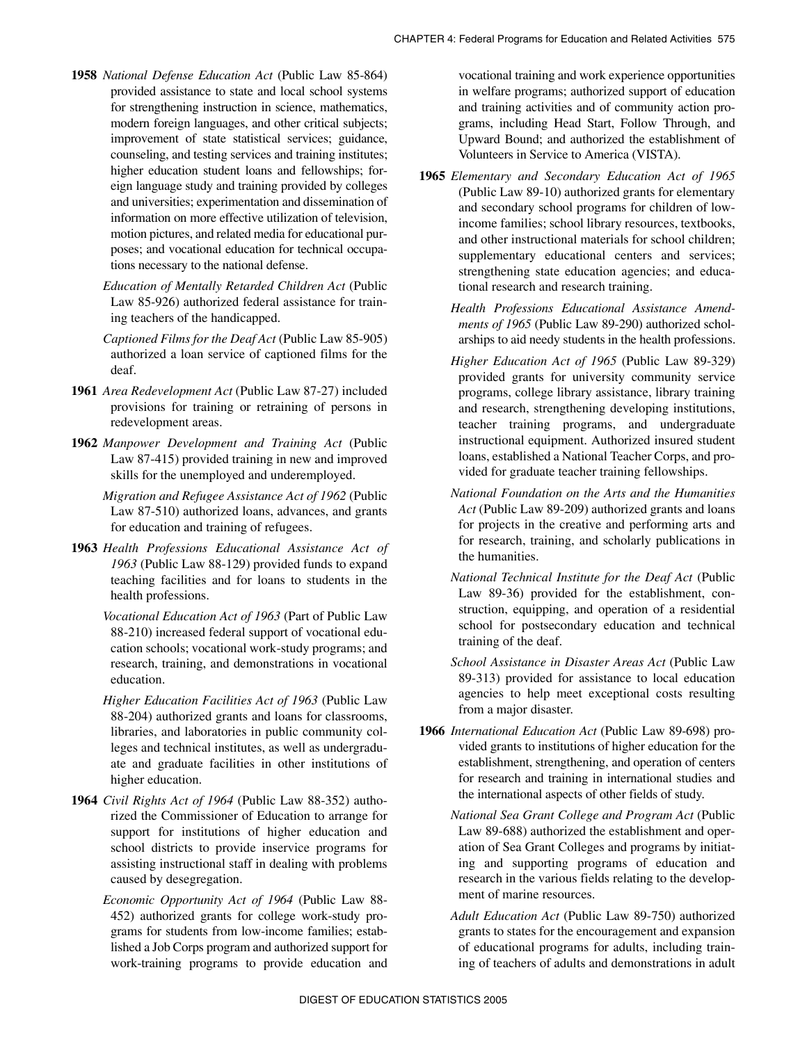- **1958** *National Defense Education Act* (Public Law 85-864) provided assistance to state and local school systems for strengthening instruction in science, mathematics, modern foreign languages, and other critical subjects; improvement of state statistical services; guidance, counseling, and testing services and training institutes; higher education student loans and fellowships; foreign language study and training provided by colleges and universities; experimentation and dissemination of information on more effective utilization of television, motion pictures, and related media for educational purposes; and vocational education for technical occupations necessary to the national defense.
	- *Education of Mentally Retarded Children Act* (Public Law 85-926) authorized federal assistance for training teachers of the handicapped.
	- *Captioned Films for the Deaf Act* (Public Law 85-905) authorized a loan service of captioned films for the deaf.
- **1961** *Area Redevelopment Act* (Public Law 87-27) included provisions for training or retraining of persons in redevelopment areas.
- **1962** *Manpower Development and Training Act* (Public Law 87-415) provided training in new and improved skills for the unemployed and underemployed.
	- *Migration and Refugee Assistance Act of 1962* (Public Law 87-510) authorized loans, advances, and grants for education and training of refugees.
- **1963** *Health Professions Educational Assistance Act of 1963* (Public Law 88-129) provided funds to expand teaching facilities and for loans to students in the health professions.
	- *Vocational Education Act of 1963* (Part of Public Law 88-210) increased federal support of vocational education schools; vocational work-study programs; and research, training, and demonstrations in vocational education.
	- *Higher Education Facilities Act of 1963* (Public Law 88-204) authorized grants and loans for classrooms, libraries, and laboratories in public community colleges and technical institutes, as well as undergraduate and graduate facilities in other institutions of higher education.
- **1964** *Civil Rights Act of 1964* (Public Law 88-352) authorized the Commissioner of Education to arrange for support for institutions of higher education and school districts to provide inservice programs for assisting instructional staff in dealing with problems caused by desegregation.
	- *Economic Opportunity Act of 1964* (Public Law 88- 452) authorized grants for college work-study programs for students from low-income families; established a Job Corps program and authorized support for work-training programs to provide education and

vocational training and work experience opportunities in welfare programs; authorized support of education and training activities and of community action programs, including Head Start, Follow Through, and Upward Bound; and authorized the establishment of Volunteers in Service to America (VISTA).

- **1965** *Elementary and Secondary Education Act of 1965* (Public Law 89-10) authorized grants for elementary and secondary school programs for children of lowincome families; school library resources, textbooks, and other instructional materials for school children; supplementary educational centers and services; strengthening state education agencies; and educational research and research training.
	- *Health Professions Educational Assistance Amendments of 1965* (Public Law 89-290) authorized scholarships to aid needy students in the health professions.
	- *Higher Education Act of 1965* (Public Law 89-329) provided grants for university community service programs, college library assistance, library training and research, strengthening developing institutions, teacher training programs, and undergraduate instructional equipment. Authorized insured student loans, established a National Teacher Corps, and provided for graduate teacher training fellowships.
	- *National Foundation on the Arts and the Humanities Act* (Public Law 89-209) authorized grants and loans for projects in the creative and performing arts and for research, training, and scholarly publications in the humanities.
	- *National Technical Institute for the Deaf Act* (Public Law 89-36) provided for the establishment, construction, equipping, and operation of a residential school for postsecondary education and technical training of the deaf.
	- *School Assistance in Disaster Areas Act* (Public Law 89-313) provided for assistance to local education agencies to help meet exceptional costs resulting from a major disaster.
- **1966** *International Education Act* (Public Law 89-698) provided grants to institutions of higher education for the establishment, strengthening, and operation of centers for research and training in international studies and the international aspects of other fields of study.
	- *National Sea Grant College and Program Act* (Public Law 89-688) authorized the establishment and operation of Sea Grant Colleges and programs by initiating and supporting programs of education and research in the various fields relating to the development of marine resources.
	- *Adult Education Act* (Public Law 89-750) authorized grants to states for the encouragement and expansion of educational programs for adults, including training of teachers of adults and demonstrations in adult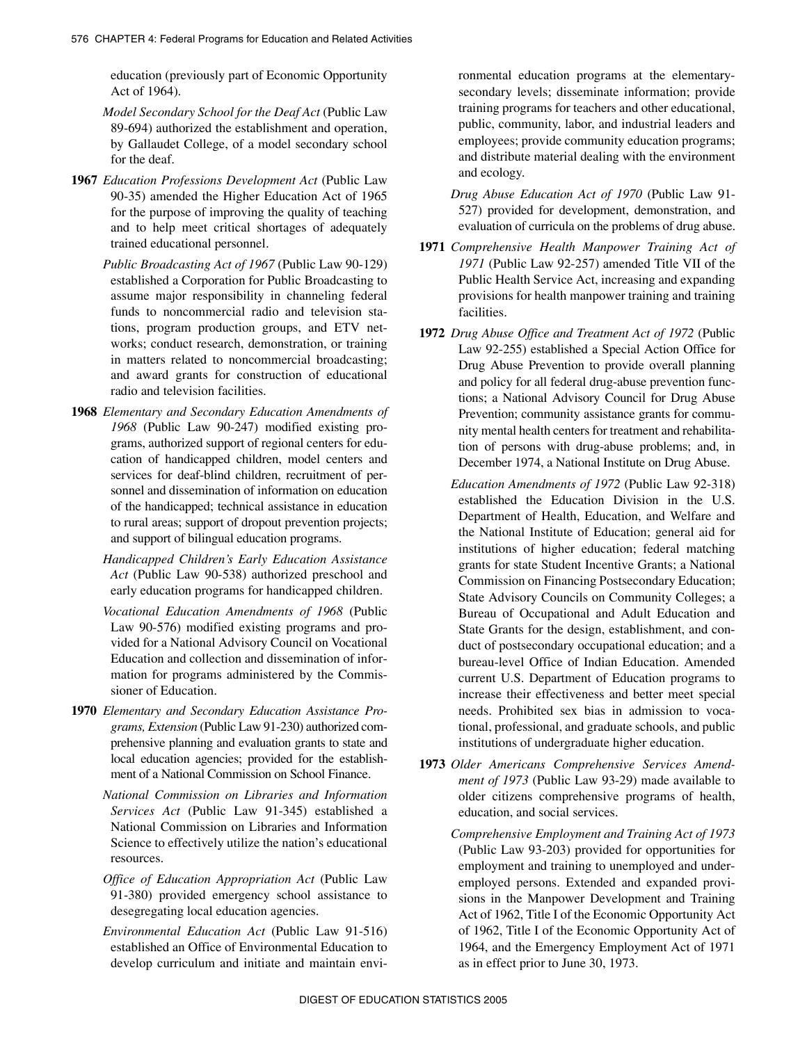education (previously part of Economic Opportunity Act of 1964).

- *Model Secondary School for the Deaf Act* (Public Law 89-694) authorized the establishment and operation, by Gallaudet College, of a model secondary school for the deaf.
- **1967** *Education Professions Development Act* (Public Law 90-35) amended the Higher Education Act of 1965 for the purpose of improving the quality of teaching and to help meet critical shortages of adequately trained educational personnel.
	- *Public Broadcasting Act of 1967* (Public Law 90-129) established a Corporation for Public Broadcasting to assume major responsibility in channeling federal funds to noncommercial radio and television stations, program production groups, and ETV networks; conduct research, demonstration, or training in matters related to noncommercial broadcasting; and award grants for construction of educational radio and television facilities.
- **1968** *Elementary and Secondary Education Amendments of 1968* (Public Law 90-247) modified existing programs, authorized support of regional centers for education of handicapped children, model centers and services for deaf-blind children, recruitment of personnel and dissemination of information on education of the handicapped; technical assistance in education to rural areas; support of dropout prevention projects; and support of bilingual education programs.
	- *Handicapped Children's Early Education Assistance Act* (Public Law 90-538) authorized preschool and early education programs for handicapped children.
	- *Vocational Education Amendments of 1968* (Public Law 90-576) modified existing programs and provided for a National Advisory Council on Vocational Education and collection and dissemination of information for programs administered by the Commissioner of Education.
- **1970** *Elementary and Secondary Education Assistance Programs, Extension* (Public Law 91-230) authorized comprehensive planning and evaluation grants to state and local education agencies; provided for the establishment of a National Commission on School Finance.
	- *National Commission on Libraries and Information Services Act* (Public Law 91-345) established a National Commission on Libraries and Information Science to effectively utilize the nation's educational resources.
	- *Office of Education Appropriation Act* (Public Law 91-380) provided emergency school assistance to desegregating local education agencies.
	- *Environmental Education Act* (Public Law 91-516) established an Office of Environmental Education to develop curriculum and initiate and maintain envi-

ronmental education programs at the elementarysecondary levels; disseminate information; provide training programs for teachers and other educational, public, community, labor, and industrial leaders and employees; provide community education programs; and distribute material dealing with the environment and ecology.

*Drug Abuse Education Act of 1970* (Public Law 91- 527) provided for development, demonstration, and evaluation of curricula on the problems of drug abuse.

- **1971** *Comprehensive Health Manpower Training Act of 1971* (Public Law 92-257) amended Title VII of the Public Health Service Act, increasing and expanding provisions for health manpower training and training facilities.
- **1972** *Drug Abuse Office and Treatment Act of 1972* (Public Law 92-255) established a Special Action Office for Drug Abuse Prevention to provide overall planning and policy for all federal drug-abuse prevention functions; a National Advisory Council for Drug Abuse Prevention; community assistance grants for community mental health centers for treatment and rehabilitation of persons with drug-abuse problems; and, in December 1974, a National Institute on Drug Abuse.
	- *Education Amendments of 1972* (Public Law 92-318) established the Education Division in the U.S. Department of Health, Education, and Welfare and the National Institute of Education; general aid for institutions of higher education; federal matching grants for state Student Incentive Grants; a National Commission on Financing Postsecondary Education; State Advisory Councils on Community Colleges; a Bureau of Occupational and Adult Education and State Grants for the design, establishment, and conduct of postsecondary occupational education; and a bureau-level Office of Indian Education. Amended current U.S. Department of Education programs to increase their effectiveness and better meet special needs. Prohibited sex bias in admission to vocational, professional, and graduate schools, and public institutions of undergraduate higher education.
- **1973** *Older Americans Comprehensive Services Amendment of 1973* (Public Law 93-29) made available to older citizens comprehensive programs of health, education, and social services.
	- *Comprehensive Employment and Training Act of 1973* (Public Law 93-203) provided for opportunities for employment and training to unemployed and underemployed persons. Extended and expanded provisions in the Manpower Development and Training Act of 1962, Title I of the Economic Opportunity Act of 1962, Title I of the Economic Opportunity Act of 1964, and the Emergency Employment Act of 1971 as in effect prior to June 30, 1973.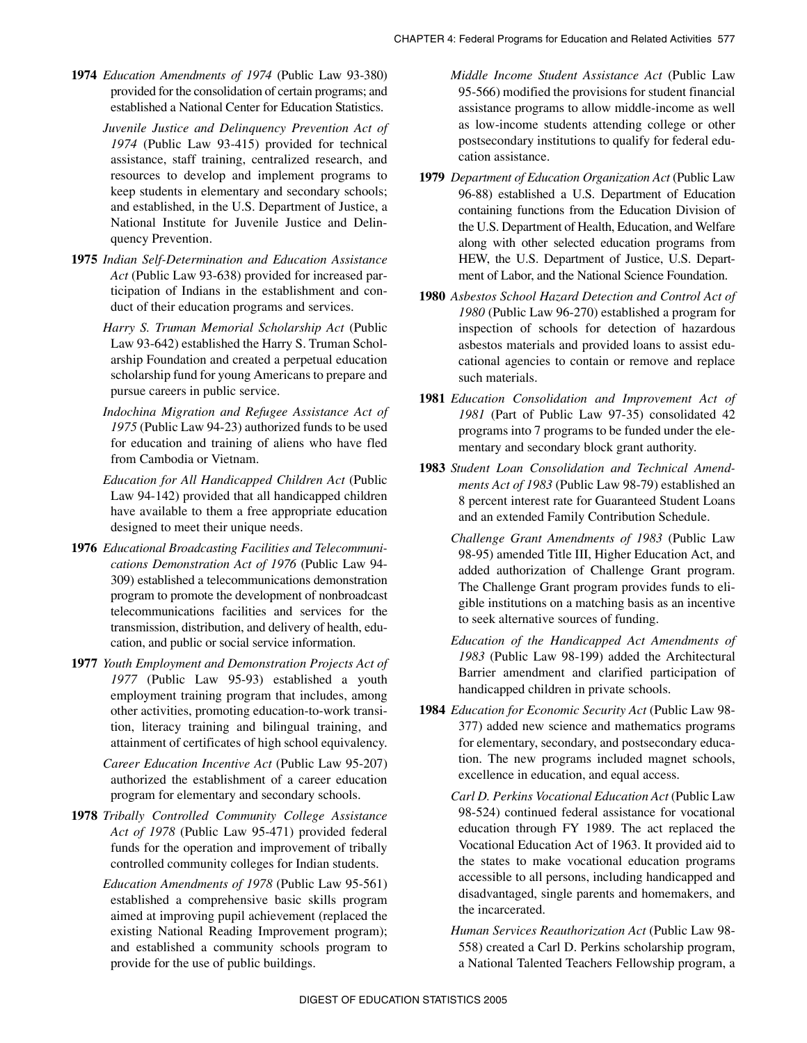- **1974** *Education Amendments of 1974* (Public Law 93-380) provided for the consolidation of certain programs; and established a National Center for Education Statistics.
	- *Juvenile Justice and Delinquency Prevention Act of 1974* (Public Law 93-415) provided for technical assistance, staff training, centralized research, and resources to develop and implement programs to keep students in elementary and secondary schools; and established, in the U.S. Department of Justice, a National Institute for Juvenile Justice and Delinquency Prevention.
- **1975** *Indian Self-Determination and Education Assistance Act* (Public Law 93-638) provided for increased participation of Indians in the establishment and conduct of their education programs and services.
	- *Harry S. Truman Memorial Scholarship Act* (Public Law 93-642) established the Harry S. Truman Scholarship Foundation and created a perpetual education scholarship fund for young Americans to prepare and pursue careers in public service.
	- *Indochina Migration and Refugee Assistance Act of 1975* (Public Law 94-23) authorized funds to be used for education and training of aliens who have fled from Cambodia or Vietnam.
	- *Education for All Handicapped Children Act* (Public Law 94-142) provided that all handicapped children have available to them a free appropriate education designed to meet their unique needs.
- **1976** *Educational Broadcasting Facilities and Telecommunications Demonstration Act of 1976* (Public Law 94- 309) established a telecommunications demonstration program to promote the development of nonbroadcast telecommunications facilities and services for the transmission, distribution, and delivery of health, education, and public or social service information.
- **1977** *Youth Employment and Demonstration Projects Act of 1977* (Public Law 95-93) established a youth employment training program that includes, among other activities, promoting education-to-work transition, literacy training and bilingual training, and attainment of certificates of high school equivalency.
	- *Career Education Incentive Act* (Public Law 95-207) authorized the establishment of a career education program for elementary and secondary schools.
- **1978** *Tribally Controlled Community College Assistance Act of 1978* (Public Law 95-471) provided federal funds for the operation and improvement of tribally controlled community colleges for Indian students.
	- *Education Amendments of 1978* (Public Law 95-561) established a comprehensive basic skills program aimed at improving pupil achievement (replaced the existing National Reading Improvement program); and established a community schools program to provide for the use of public buildings.

*Middle Income Student Assistance Act* (Public Law 95-566) modified the provisions for student financial assistance programs to allow middle-income as well as low-income students attending college or other postsecondary institutions to qualify for federal education assistance.

- **1979** *Department of Education Organization Act* (Public Law 96-88) established a U.S. Department of Education containing functions from the Education Division of the U.S. Department of Health, Education, and Welfare along with other selected education programs from HEW, the U.S. Department of Justice, U.S. Department of Labor, and the National Science Foundation.
- **1980** *Asbestos School Hazard Detection and Control Act of 1980* (Public Law 96-270) established a program for inspection of schools for detection of hazardous asbestos materials and provided loans to assist educational agencies to contain or remove and replace such materials.
- **1981** *Education Consolidation and Improvement Act of 1981* (Part of Public Law 97-35) consolidated 42 programs into 7 programs to be funded under the elementary and secondary block grant authority.
- **1983** *Student Loan Consolidation and Technical Amendments Act of 1983* (Public Law 98-79) established an 8 percent interest rate for Guaranteed Student Loans and an extended Family Contribution Schedule.
	- *Challenge Grant Amendments of 1983* (Public Law 98-95) amended Title III, Higher Education Act, and added authorization of Challenge Grant program. The Challenge Grant program provides funds to eligible institutions on a matching basis as an incentive to seek alternative sources of funding.
	- *Education of the Handicapped Act Amendments of 1983* (Public Law 98-199) added the Architectural Barrier amendment and clarified participation of handicapped children in private schools.
- **1984** *Education for Economic Security Act* (Public Law 98- 377) added new science and mathematics programs for elementary, secondary, and postsecondary education. The new programs included magnet schools, excellence in education, and equal access.
	- *Carl D. Perkins Vocational Education Act* (Public Law 98-524) continued federal assistance for vocational education through FY 1989. The act replaced the Vocational Education Act of 1963. It provided aid to the states to make vocational education programs accessible to all persons, including handicapped and disadvantaged, single parents and homemakers, and the incarcerated.
	- *Human Services Reauthorization Act* (Public Law 98- 558) created a Carl D. Perkins scholarship program, a National Talented Teachers Fellowship program, a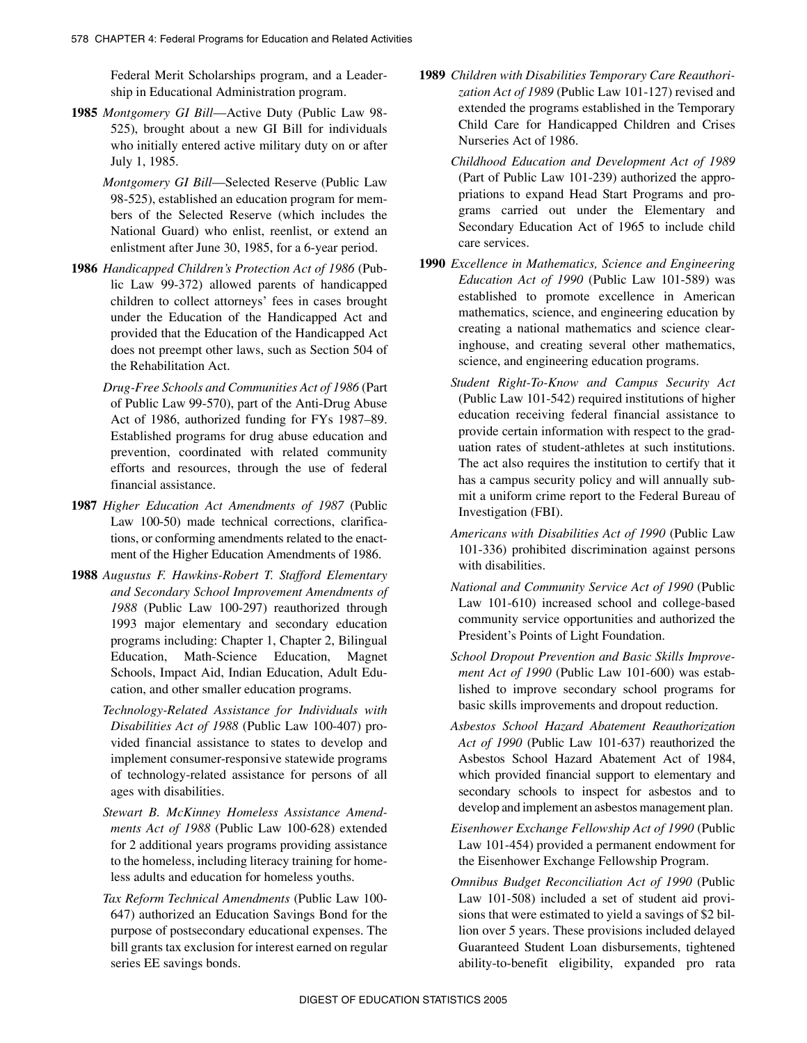Federal Merit Scholarships program, and a Leadership in Educational Administration program.

- **1985** *Montgomery GI Bill*—Active Duty (Public Law 98- 525), brought about a new GI Bill for individuals who initially entered active military duty on or after July 1, 1985.
	- *Montgomery GI Bill*—Selected Reserve (Public Law 98-525), established an education program for members of the Selected Reserve (which includes the National Guard) who enlist, reenlist, or extend an enlistment after June 30, 1985, for a 6-year period.
- **1986** *Handicapped Children's Protection Act of 1986* (Public Law 99-372) allowed parents of handicapped children to collect attorneys' fees in cases brought under the Education of the Handicapped Act and provided that the Education of the Handicapped Act does not preempt other laws, such as Section 504 of the Rehabilitation Act.
	- *Drug-Free Schools and Communities Act of 1986* (Part of Public Law 99-570), part of the Anti-Drug Abuse Act of 1986, authorized funding for FYs 1987–89. Established programs for drug abuse education and prevention, coordinated with related community efforts and resources, through the use of federal financial assistance.
- **1987** *Higher Education Act Amendments of 1987* (Public Law 100-50) made technical corrections, clarifications, or conforming amendments related to the enactment of the Higher Education Amendments of 1986.
- **1988** *Augustus F. Hawkins-Robert T. Stafford Elementary and Secondary School Improvement Amendments of 1988* (Public Law 100-297) reauthorized through 1993 major elementary and secondary education programs including: Chapter 1, Chapter 2, Bilingual Education, Math-Science Education, Magnet Schools, Impact Aid, Indian Education, Adult Education, and other smaller education programs.
	- *Technology-Related Assistance for Individuals with Disabilities Act of 1988* (Public Law 100-407) provided financial assistance to states to develop and implement consumer-responsive statewide programs of technology-related assistance for persons of all ages with disabilities.
	- *Stewart B. McKinney Homeless Assistance Amendments Act of 1988* (Public Law 100-628) extended for 2 additional years programs providing assistance to the homeless, including literacy training for homeless adults and education for homeless youths.
	- *Tax Reform Technical Amendments* (Public Law 100- 647) authorized an Education Savings Bond for the purpose of postsecondary educational expenses. The bill grants tax exclusion for interest earned on regular series EE savings bonds.
- **1989** *Children with Disabilities Temporary Care Reauthorization Act of 1989* (Public Law 101-127) revised and extended the programs established in the Temporary Child Care for Handicapped Children and Crises Nurseries Act of 1986.
	- *Childhood Education and Development Act of 1989* (Part of Public Law 101-239) authorized the appropriations to expand Head Start Programs and programs carried out under the Elementary and Secondary Education Act of 1965 to include child care services.
- **1990** *Excellence in Mathematics, Science and Engineering Education Act of 1990* (Public Law 101-589) was established to promote excellence in American mathematics, science, and engineering education by creating a national mathematics and science clearinghouse, and creating several other mathematics, science, and engineering education programs.
	- *Student Right-To-Know and Campus Security Act* (Public Law 101-542) required institutions of higher education receiving federal financial assistance to provide certain information with respect to the graduation rates of student-athletes at such institutions. The act also requires the institution to certify that it has a campus security policy and will annually submit a uniform crime report to the Federal Bureau of Investigation (FBI).
	- *Americans with Disabilities Act of 1990* (Public Law 101-336) prohibited discrimination against persons with disabilities.
	- *National and Community Service Act of 1990* (Public Law 101-610) increased school and college-based community service opportunities and authorized the President's Points of Light Foundation.
	- *School Dropout Prevention and Basic Skills Improvement Act of 1990* (Public Law 101-600) was established to improve secondary school programs for basic skills improvements and dropout reduction.
	- *Asbestos School Hazard Abatement Reauthorization Act of 1990* (Public Law 101-637) reauthorized the Asbestos School Hazard Abatement Act of 1984, which provided financial support to elementary and secondary schools to inspect for asbestos and to develop and implement an asbestos management plan.
	- *Eisenhower Exchange Fellowship Act of 1990* (Public Law 101-454) provided a permanent endowment for the Eisenhower Exchange Fellowship Program.
	- *Omnibus Budget Reconciliation Act of 1990* (Public Law 101-508) included a set of student aid provisions that were estimated to yield a savings of \$2 billion over 5 years. These provisions included delayed Guaranteed Student Loan disbursements, tightened ability-to-benefit eligibility, expanded pro rata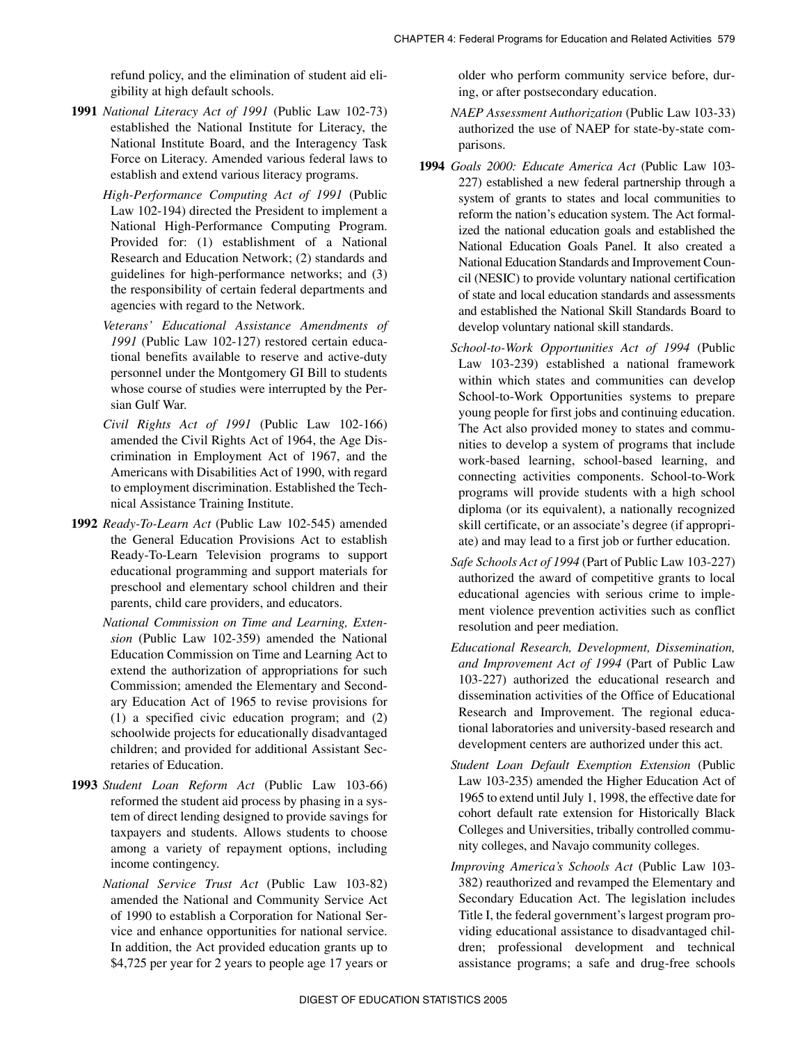refund policy, and the elimination of student aid eligibility at high default schools.

- **1991** *National Literacy Act of 1991* (Public Law 102-73) established the National Institute for Literacy, the National Institute Board, and the Interagency Task Force on Literacy. Amended various federal laws to establish and extend various literacy programs.
	- *High-Performance Computing Act of 1991* (Public Law 102-194) directed the President to implement a National High-Performance Computing Program. Provided for: (1) establishment of a National Research and Education Network; (2) standards and guidelines for high-performance networks; and (3) the responsibility of certain federal departments and agencies with regard to the Network.
	- *Veterans' Educational Assistance Amendments of 1991* (Public Law 102-127) restored certain educational benefits available to reserve and active-duty personnel under the Montgomery GI Bill to students whose course of studies were interrupted by the Persian Gulf War.
	- *Civil Rights Act of 1991* (Public Law 102-166) amended the Civil Rights Act of 1964, the Age Discrimination in Employment Act of 1967, and the Americans with Disabilities Act of 1990, with regard to employment discrimination. Established the Technical Assistance Training Institute.
- **1992** *Ready-To-Learn Act* (Public Law 102-545) amended the General Education Provisions Act to establish Ready-To-Learn Television programs to support educational programming and support materials for preschool and elementary school children and their parents, child care providers, and educators.
	- *National Commission on Time and Learning, Extension* (Public Law 102-359) amended the National Education Commission on Time and Learning Act to extend the authorization of appropriations for such Commission; amended the Elementary and Secondary Education Act of 1965 to revise provisions for (1) a specified civic education program; and (2) schoolwide projects for educationally disadvantaged children; and provided for additional Assistant Secretaries of Education.
- **1993** *Student Loan Reform Act* (Public Law 103-66) reformed the student aid process by phasing in a system of direct lending designed to provide savings for taxpayers and students. Allows students to choose among a variety of repayment options, including income contingency.
	- *National Service Trust Act* (Public Law 103-82) amended the National and Community Service Act of 1990 to establish a Corporation for National Service and enhance opportunities for national service. In addition, the Act provided education grants up to \$4,725 per year for 2 years to people age 17 years or

older who perform community service before, during, or after postsecondary education.

*NAEP Assessment Authorization* (Public Law 103-33) authorized the use of NAEP for state-by-state comparisons.

- **1994** *Goals 2000: Educate America Act* (Public Law 103- 227) established a new federal partnership through a system of grants to states and local communities to reform the nation's education system. The Act formalized the national education goals and established the National Education Goals Panel. It also created a National Education Standards and Improvement Council (NESIC) to provide voluntary national certification of state and local education standards and assessments and established the National Skill Standards Board to develop voluntary national skill standards.
	- *School-to-Work Opportunities Act of 1994* (Public Law 103-239) established a national framework within which states and communities can develop School-to-Work Opportunities systems to prepare young people for first jobs and continuing education. The Act also provided money to states and communities to develop a system of programs that include work-based learning, school-based learning, and connecting activities components. School-to-Work programs will provide students with a high school diploma (or its equivalent), a nationally recognized skill certificate, or an associate's degree (if appropriate) and may lead to a first job or further education.
	- *Safe Schools Act of 1994* (Part of Public Law 103-227) authorized the award of competitive grants to local educational agencies with serious crime to implement violence prevention activities such as conflict resolution and peer mediation.
	- *Educational Research, Development, Dissemination, and Improvement Act of 1994* (Part of Public Law 103-227) authorized the educational research and dissemination activities of the Office of Educational Research and Improvement. The regional educational laboratories and university-based research and development centers are authorized under this act.
	- *Student Loan Default Exemption Extension* (Public Law 103-235) amended the Higher Education Act of 1965 to extend until July 1, 1998, the effective date for cohort default rate extension for Historically Black Colleges and Universities, tribally controlled community colleges, and Navajo community colleges.
	- *Improving America's Schools Act* (Public Law 103- 382) reauthorized and revamped the Elementary and Secondary Education Act. The legislation includes Title I, the federal government's largest program providing educational assistance to disadvantaged children; professional development and technical assistance programs; a safe and drug-free schools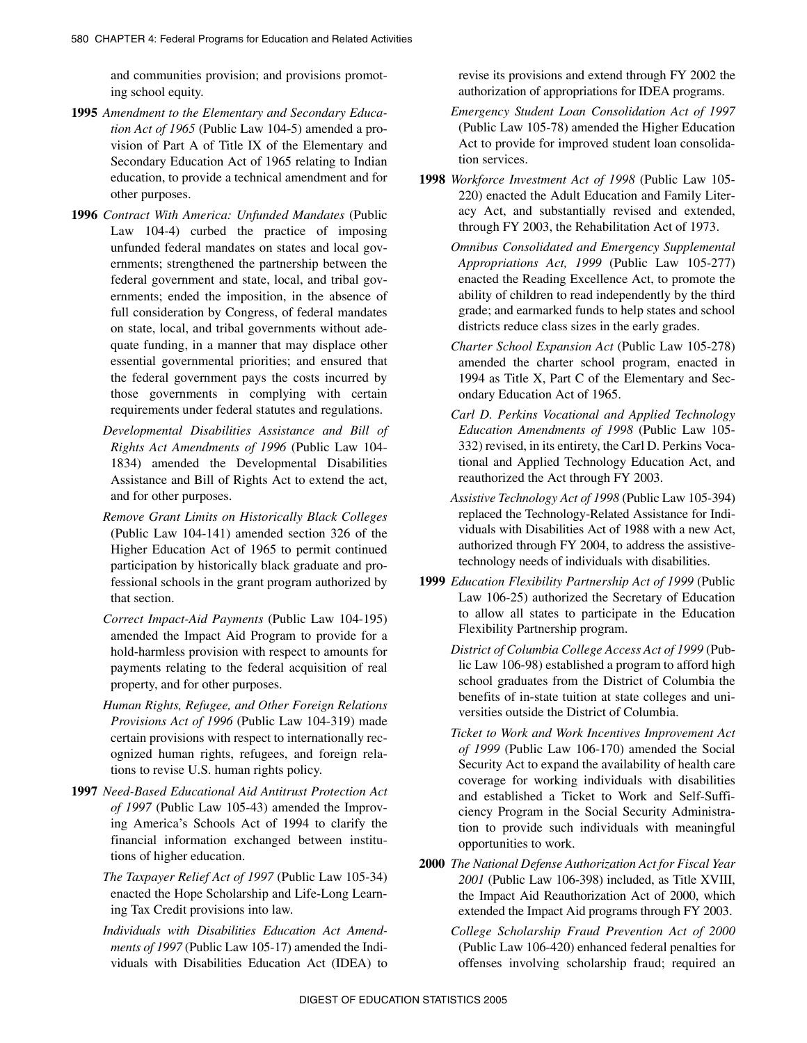and communities provision; and provisions promoting school equity.

- **1995** *Amendment to the Elementary and Secondary Education Act of 1965* (Public Law 104-5) amended a provision of Part A of Title IX of the Elementary and Secondary Education Act of 1965 relating to Indian education, to provide a technical amendment and for other purposes.
- **1996** *Contract With America: Unfunded Mandates* (Public Law 104-4) curbed the practice of imposing unfunded federal mandates on states and local governments; strengthened the partnership between the federal government and state, local, and tribal governments; ended the imposition, in the absence of full consideration by Congress, of federal mandates on state, local, and tribal governments without adequate funding, in a manner that may displace other essential governmental priorities; and ensured that the federal government pays the costs incurred by those governments in complying with certain requirements under federal statutes and regulations.
	- *Developmental Disabilities Assistance and Bill of Rights Act Amendments of 1996* (Public Law 104- 1834) amended the Developmental Disabilities Assistance and Bill of Rights Act to extend the act, and for other purposes.
	- *Remove Grant Limits on Historically Black Colleges* (Public Law 104-141) amended section 326 of the Higher Education Act of 1965 to permit continued participation by historically black graduate and professional schools in the grant program authorized by that section.
	- *Correct Impact-Aid Payments* (Public Law 104-195) amended the Impact Aid Program to provide for a hold-harmless provision with respect to amounts for payments relating to the federal acquisition of real property, and for other purposes.
	- *Human Rights, Refugee, and Other Foreign Relations Provisions Act of 1996* (Public Law 104-319) made certain provisions with respect to internationally recognized human rights, refugees, and foreign relations to revise U.S. human rights policy.
- **1997** *Need-Based Educational Aid Antitrust Protection Act of 1997* (Public Law 105-43) amended the Improving America's Schools Act of 1994 to clarify the financial information exchanged between institutions of higher education.
	- *The Taxpayer Relief Act of 1997* (Public Law 105-34) enacted the Hope Scholarship and Life-Long Learning Tax Credit provisions into law.
	- *Individuals with Disabilities Education Act Amendments of 1997* (Public Law 105-17) amended the Individuals with Disabilities Education Act (IDEA) to

revise its provisions and extend through FY 2002 the authorization of appropriations for IDEA programs.

- *Emergency Student Loan Consolidation Act of 1997* (Public Law 105-78) amended the Higher Education Act to provide for improved student loan consolidation services.
- **1998** *Workforce Investment Act of 1998* (Public Law 105- 220) enacted the Adult Education and Family Literacy Act, and substantially revised and extended, through FY 2003, the Rehabilitation Act of 1973.
	- *Omnibus Consolidated and Emergency Supplemental Appropriations Act, 1999* (Public Law 105-277) enacted the Reading Excellence Act, to promote the ability of children to read independently by the third grade; and earmarked funds to help states and school districts reduce class sizes in the early grades.
	- *Charter School Expansion Act* (Public Law 105-278) amended the charter school program, enacted in 1994 as Title X, Part C of the Elementary and Secondary Education Act of 1965.
	- *Carl D. Perkins Vocational and Applied Technology Education Amendments of 1998* (Public Law 105- 332) revised, in its entirety, the Carl D. Perkins Vocational and Applied Technology Education Act, and reauthorized the Act through FY 2003.
	- *Assistive Technology Act of 1998* (Public Law 105-394) replaced the Technology-Related Assistance for Individuals with Disabilities Act of 1988 with a new Act, authorized through FY 2004, to address the assistivetechnology needs of individuals with disabilities.
- **1999** *Education Flexibility Partnership Act of 1999* (Public Law 106-25) authorized the Secretary of Education to allow all states to participate in the Education Flexibility Partnership program.
	- *District of Columbia College Access Act of 1999* (Public Law 106-98) established a program to afford high school graduates from the District of Columbia the benefits of in-state tuition at state colleges and universities outside the District of Columbia.
	- *Ticket to Work and Work Incentives Improvement Act of 1999* (Public Law 106-170) amended the Social Security Act to expand the availability of health care coverage for working individuals with disabilities and established a Ticket to Work and Self-Sufficiency Program in the Social Security Administration to provide such individuals with meaningful opportunities to work.
- **2000** *The National Defense Authorization Act for Fiscal Year 2001* (Public Law 106-398) included, as Title XVIII, the Impact Aid Reauthorization Act of 2000, which extended the Impact Aid programs through FY 2003.
	- *College Scholarship Fraud Prevention Act of 2000* (Public Law 106-420) enhanced federal penalties for offenses involving scholarship fraud; required an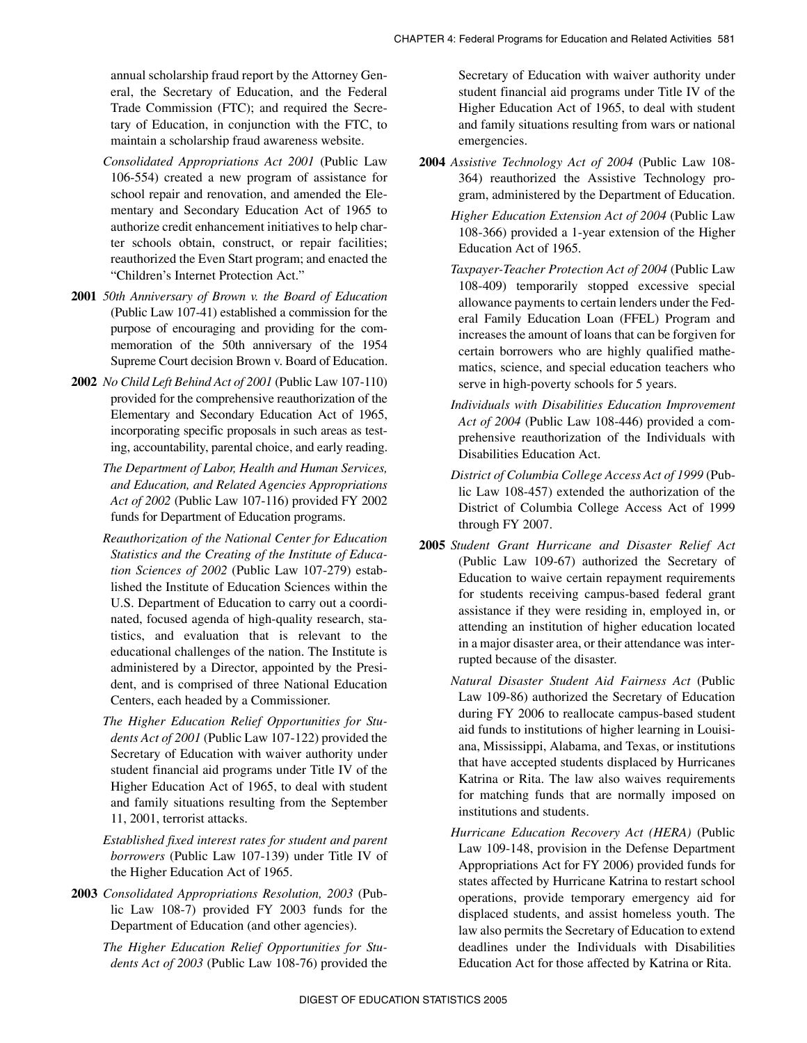annual scholarship fraud report by the Attorney General, the Secretary of Education, and the Federal Trade Commission (FTC); and required the Secretary of Education, in conjunction with the FTC, to maintain a scholarship fraud awareness website.

- *Consolidated Appropriations Act 2001* (Public Law 106-554) created a new program of assistance for school repair and renovation, and amended the Elementary and Secondary Education Act of 1965 to authorize credit enhancement initiatives to help charter schools obtain, construct, or repair facilities; reauthorized the Even Start program; and enacted the "Children's Internet Protection Act."
- **2001** *50th Anniversary of Brown v. the Board of Education* (Public Law 107-41) established a commission for the purpose of encouraging and providing for the commemoration of the 50th anniversary of the 1954 Supreme Court decision Brown v. Board of Education.
- **2002** *No Child Left Behind Act of 2001* (Public Law 107-110) provided for the comprehensive reauthorization of the Elementary and Secondary Education Act of 1965, incorporating specific proposals in such areas as testing, accountability, parental choice, and early reading.
	- *The Department of Labor, Health and Human Services, and Education, and Related Agencies Appropriations Act of 2002* (Public Law 107-116) provided FY 2002 funds for Department of Education programs.
	- *Reauthorization of the National Center for Education Statistics and the Creating of the Institute of Education Sciences of 2002* (Public Law 107-279) established the Institute of Education Sciences within the U.S. Department of Education to carry out a coordinated, focused agenda of high-quality research, statistics, and evaluation that is relevant to the educational challenges of the nation. The Institute is administered by a Director, appointed by the President, and is comprised of three National Education Centers, each headed by a Commissioner.
	- *The Higher Education Relief Opportunities for Students Act of 2001* (Public Law 107-122) provided the Secretary of Education with waiver authority under student financial aid programs under Title IV of the Higher Education Act of 1965, to deal with student and family situations resulting from the September 11, 2001, terrorist attacks.
	- *Established fixed interest rates for student and parent borrowers* (Public Law 107-139) under Title IV of the Higher Education Act of 1965.
- **2003** *Consolidated Appropriations Resolution, 2003* (Public Law 108-7) provided FY 2003 funds for the Department of Education (and other agencies).
	- *The Higher Education Relief Opportunities for Students Act of 2003* (Public Law 108-76) provided the

Secretary of Education with waiver authority under student financial aid programs under Title IV of the Higher Education Act of 1965, to deal with student and family situations resulting from wars or national emergencies.

- **2004** *Assistive Technology Act of 2004* (Public Law 108- 364) reauthorized the Assistive Technology program, administered by the Department of Education.
	- *Higher Education Extension Act of 2004* (Public Law 108-366) provided a 1-year extension of the Higher Education Act of 1965.
	- *Taxpayer-Teacher Protection Act of 2004* (Public Law 108-409) temporarily stopped excessive special allowance payments to certain lenders under the Federal Family Education Loan (FFEL) Program and increases the amount of loans that can be forgiven for certain borrowers who are highly qualified mathematics, science, and special education teachers who serve in high-poverty schools for 5 years.
	- *Individuals with Disabilities Education Improvement Act of 2004* (Public Law 108-446) provided a comprehensive reauthorization of the Individuals with Disabilities Education Act.
	- *District of Columbia College Access Act of 1999* (Public Law 108-457) extended the authorization of the District of Columbia College Access Act of 1999 through FY 2007.
- **2005** *Student Grant Hurricane and Disaster Relief Act* (Public Law 109-67) authorized the Secretary of Education to waive certain repayment requirements for students receiving campus-based federal grant assistance if they were residing in, employed in, or attending an institution of higher education located in a major disaster area, or their attendance was interrupted because of the disaster.
	- *Natural Disaster Student Aid Fairness Act* (Public Law 109-86) authorized the Secretary of Education during FY 2006 to reallocate campus-based student aid funds to institutions of higher learning in Louisiana, Mississippi, Alabama, and Texas, or institutions that have accepted students displaced by Hurricanes Katrina or Rita. The law also waives requirements for matching funds that are normally imposed on institutions and students.
	- *Hurricane Education Recovery Act (HERA)* (Public Law 109-148, provision in the Defense Department Appropriations Act for FY 2006) provided funds for states affected by Hurricane Katrina to restart school operations, provide temporary emergency aid for displaced students, and assist homeless youth. The law also permits the Secretary of Education to extend deadlines under the Individuals with Disabilities Education Act for those affected by Katrina or Rita.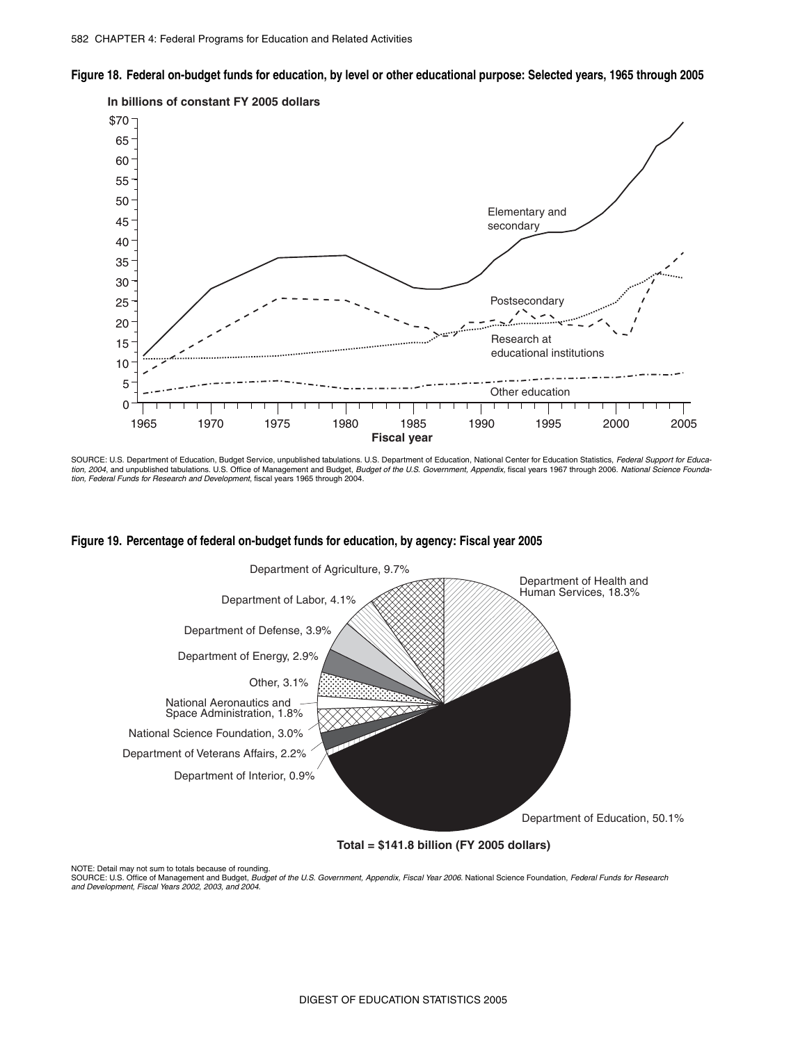



SOURCE: U.S. Department of Education, Budget Service, unpublished tabulations. U.S. Department of Education, National Center for Education Statistics, *Federal Support for Educa-*<br>*tion, 2004*, and unpublished tabulations. *tion, Federal Funds for Research and Development*, fiscal years 1965 through 2004.





**Total = \$141.8 billion (FY 2005 dollars)**

NOTE: Detail may not sum to totals because of rounding.<br>SOURCE: U.S. Office of Management and Budget, *Budget of the U.S. Government, Appendix, Fiscal Year 2006*. National Science Foundation, *Federal Funds for Research and Development, Fiscal Years 2002, 2003, and 2004*.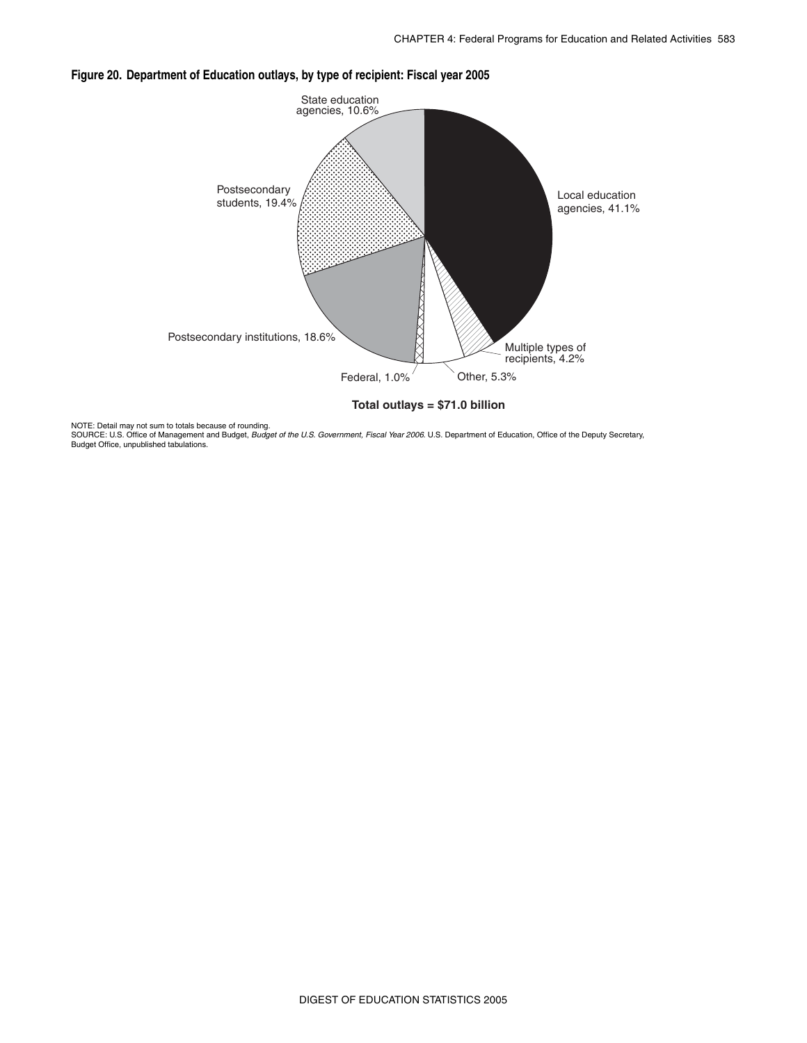

### **Figure 20. Department of Education outlays, by type of recipient: Fiscal year 2005**

NOTE: Detail may not sum to totals because of rounding.<br>SOURCE: U.S. Office of Management and Budget, *Budget of the U.S. Government, Fiscal Year 2006.* U.S. Department of Education, Office of the Deputy Secretary, Budget Office, unpublished tabulations.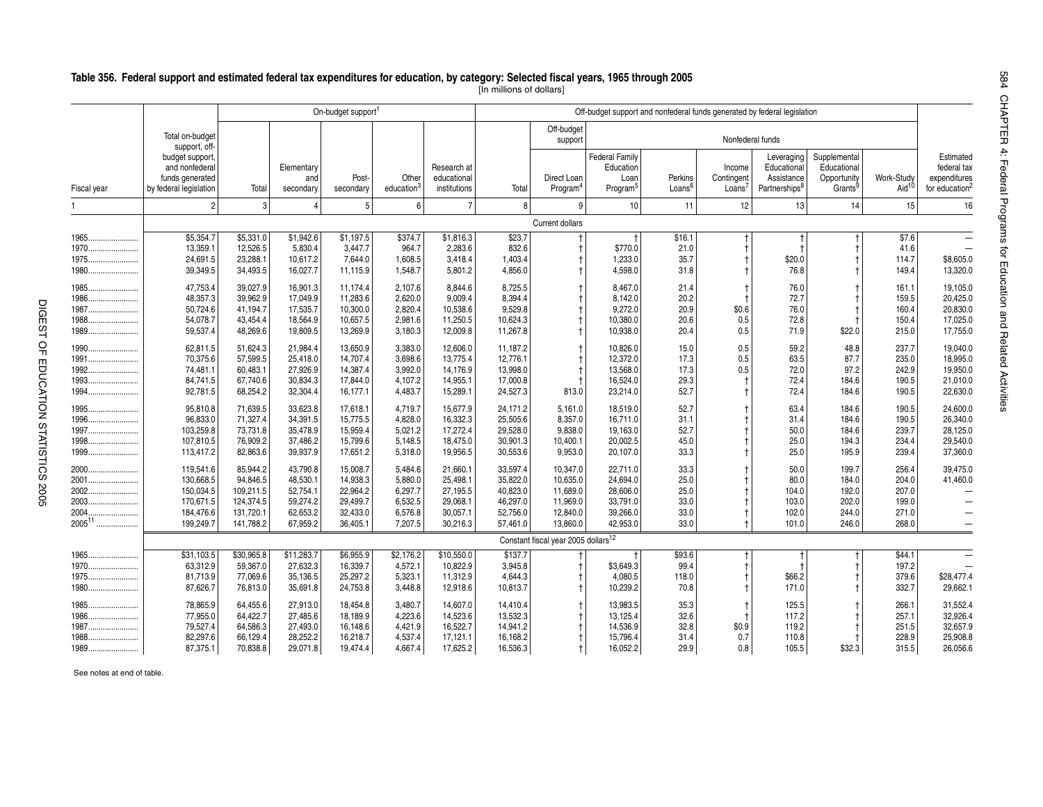|                                                            |                                                                            |                                                                          |                                                                      | On-budget support                                                    |                                                                |                                                                      |                                                                      | Off-budget support and nonfederal funds generated by federal legislation<br>Off-budget<br>Nonfederal funds<br>support<br><b>Federal Family</b><br>Supplemental<br>Leveraging<br>Education<br>Income<br>Educational<br>Educational<br>Assistance<br>Direct Loan<br>Perkins<br>Contingent<br>Opportunity<br>Loan<br>Loans <sup>6</sup><br>Loans <sup>7</sup><br>Partnerships <sup>8</sup><br>Grants <sup>9</sup><br>Program <sup>4</sup><br>Program <sup>5</sup><br>8<br>12<br>9<br>10<br>11<br>13<br>14<br>Current dollars<br>\$16.1<br>\$770.0<br>21.0<br>1.233.0<br>35.7<br>\$20.0<br>76.8<br>4,598.0<br>31.8<br>21.4<br>76.0<br>8,467.0<br>8.142.0<br>20.2<br>72.7<br>9,272.0<br>20.9<br>\$0.6<br>76.0 |                                                                      |                                              |                     |                                                  |                                                    |                                                    |                                                          |
|------------------------------------------------------------|----------------------------------------------------------------------------|--------------------------------------------------------------------------|----------------------------------------------------------------------|----------------------------------------------------------------------|----------------------------------------------------------------|----------------------------------------------------------------------|----------------------------------------------------------------------|----------------------------------------------------------------------------------------------------------------------------------------------------------------------------------------------------------------------------------------------------------------------------------------------------------------------------------------------------------------------------------------------------------------------------------------------------------------------------------------------------------------------------------------------------------------------------------------------------------------------------------------------------------------------------------------------------------|----------------------------------------------------------------------|----------------------------------------------|---------------------|--------------------------------------------------|----------------------------------------------------|----------------------------------------------------|----------------------------------------------------------|
|                                                            | Total on-budget<br>support, off-                                           |                                                                          |                                                                      |                                                                      |                                                                |                                                                      |                                                                      |                                                                                                                                                                                                                                                                                                                                                                                                                                                                                                                                                                                                                                                                                                          |                                                                      |                                              |                     |                                                  |                                                    |                                                    |                                                          |
|                                                            | budget support.<br>and nonfederal<br>funds generated                       |                                                                          | Elementary<br>and                                                    | Post-                                                                | Other                                                          | Research at<br>educational                                           |                                                                      |                                                                                                                                                                                                                                                                                                                                                                                                                                                                                                                                                                                                                                                                                                          |                                                                      |                                              |                     |                                                  |                                                    | Work-Study                                         | Estimated<br>federal tax<br>expenditures                 |
| Fiscal year                                                | by federal legislation                                                     | Total                                                                    | secondary                                                            | secondary                                                            | education <sup>3</sup>                                         | institutions                                                         | Total                                                                |                                                                                                                                                                                                                                                                                                                                                                                                                                                                                                                                                                                                                                                                                                          |                                                                      |                                              |                     |                                                  |                                                    | Aid <sup>10</sup>                                  | for education <sup>2</sup>                               |
|                                                            |                                                                            | 3                                                                        |                                                                      | 5                                                                    | 6                                                              | $\overline{7}$                                                       |                                                                      |                                                                                                                                                                                                                                                                                                                                                                                                                                                                                                                                                                                                                                                                                                          |                                                                      |                                              |                     |                                                  |                                                    | 15                                                 | 16                                                       |
|                                                            |                                                                            |                                                                          |                                                                      |                                                                      |                                                                |                                                                      |                                                                      |                                                                                                                                                                                                                                                                                                                                                                                                                                                                                                                                                                                                                                                                                                          |                                                                      |                                              |                     |                                                  |                                                    |                                                    |                                                          |
| 1965<br>1970                                               | \$5,354.7<br>13,359.1<br>24,691.5                                          | \$5,331.0<br>12,526.5<br>23,288.1                                        | \$1,942.6<br>5,830.4<br>10,617.2                                     | \$1,197.5<br>3,447.7<br>7.644.0                                      | \$374.7<br>964.7<br>1.608.5                                    | \$1,816.3<br>2,283.6<br>3,418.4                                      | \$23.7<br>832.6<br>1.403.4                                           |                                                                                                                                                                                                                                                                                                                                                                                                                                                                                                                                                                                                                                                                                                          |                                                                      |                                              |                     |                                                  |                                                    | \$7.6<br>41.6<br>114.7                             | \$8,605.0                                                |
|                                                            | 39,349.5                                                                   | 34,493.5                                                                 | 16,027.7                                                             | 11,115.9                                                             | 1,548.7                                                        | 5,801.2                                                              | 4,856.0                                                              |                                                                                                                                                                                                                                                                                                                                                                                                                                                                                                                                                                                                                                                                                                          |                                                                      |                                              |                     |                                                  |                                                    | 149.4                                              | 13,320.0                                                 |
| 1986<br>1987<br>1988<br>1989                               | 47,753.4<br>48.357.3<br>50,724.6<br>54,078.7<br>59,537.4                   | 39,027.9<br>39,962.9<br>41,194.7<br>43,454.4<br>48,269.6                 | 16,901.3<br>17,049.9<br>17,535.7<br>18,564.9<br>19,809.5             | 11,174.4<br>11.283.6<br>10,300.0<br>10,657.5<br>13,269.9             | 2,107.6<br>2.620.0<br>2,820.4<br>2,981.6<br>3,180.3            | 8,844.6<br>9.009.4<br>10,538.6<br>11,250.5<br>12,009.8               | 8,725.5<br>8.394.4<br>9,529.8<br>10,624.3<br>11,267.8                |                                                                                                                                                                                                                                                                                                                                                                                                                                                                                                                                                                                                                                                                                                          | 10,380.0<br>10,938.0                                                 | 20.6<br>20.4                                 | 0.5<br>0.5          | 72.8<br>71.9                                     | \$22.0                                             | 161.1<br>159.5<br>160.4<br>150.4<br>215.0          | 19,105.0<br>20,425.0<br>20,830.0<br>17,025.0<br>17,755.0 |
| 1990<br>1991<br>1992<br>1993<br>1994                       | 62,811.5<br>70,375.6<br>74,481.1<br>84,741.5<br>92,781.5                   | 51,624.3<br>57,599.5<br>60,483.1<br>67,740.6<br>68,254.2                 | 21,984.4<br>25,418.0<br>27,926.9<br>30,834.3<br>32,304.4             | 13,650.9<br>14,707.4<br>14,387.4<br>17.844.0<br>16,177.1             | 3,383.0<br>3,698.6<br>3,992.0<br>4,107.2<br>4,483.7            | 12,606.0<br>13,775.4<br>14,176.9<br>14,955.1<br>15,289.1             | 11,187.2<br>12,776.1<br>13,998.0<br>17,000.8<br>24,527.3             | 813.0                                                                                                                                                                                                                                                                                                                                                                                                                                                                                                                                                                                                                                                                                                    | 10,826.0<br>12,372.0<br>13,568.0<br>16,524.0<br>23,214.0             | 15.0<br>17.3<br>17.3<br>29.3<br>52.7         | 0.5<br>0.5<br>0.5   | 59.2<br>63.5<br>72.0<br>72.4<br>72.4             | 48.8<br>87.7<br>97.2<br>184.6<br>184.6             | 237.7<br>235.0<br>242.9<br>190.5<br>190.5          | 19,040.0<br>18,995.0<br>19,950.0<br>21,010.0<br>22,630.0 |
| $1995$<br>1997<br>1998                                     | 95,810.8<br>96,833.0<br>103,259.8<br>107,810.5<br>113,417.2                | 71,639.5<br>71,327.4<br>73,731.8<br>76,909.2<br>82,863.6                 | 33,623.8<br>34,391.5<br>35,478.9<br>37,486.2<br>39,937.9             | 17,618.1<br>15,775.5<br>15,959.4<br>15,799.6<br>17,651.2             | 4,719.7<br>4,828.0<br>5,021.2<br>5,148.5<br>5,318.0            | 15,677.9<br>16,332.3<br>17,272.4<br>18,475.0<br>19,956.5             | 24,171.2<br>25,505.6<br>29,528.0<br>30,901.3<br>30,553.6             | 5,161.0<br>8,357.0<br>9,838.0<br>10,400.1<br>9,953.0                                                                                                                                                                                                                                                                                                                                                                                                                                                                                                                                                                                                                                                     | 18,519.0<br>16,711.0<br>19,163.0<br>20,002.5<br>20,107.0             | 52.7<br>31.1<br>52.7<br>45.0<br>33.3         |                     | 63.4<br>31.4<br>50.0<br>25.0<br>25.0             | 184.6<br>184.6<br>184.6<br>194.3<br>195.9          | 190.5<br>190.5<br>239.7<br>234.4<br>239.4          | 24,600.0<br>26,340.0<br>28,125.0<br>29,540.0<br>37,360.0 |
| $2000$<br>2001<br>2002<br>2003<br>.<br>2004<br>200511<br>. | 119,541.6<br>130,668.5<br>150,034.5<br>170,671.5<br>184,476.6<br>199,249.7 | 85,944.2<br>94,846.5<br>109,211.5<br>124,374.5<br>131,720.1<br>141,788.2 | 43,790.8<br>48,530.1<br>52,754.1<br>59,274.2<br>62,653.2<br>67,959.2 | 15,008.7<br>14,938.3<br>22,964.2<br>29,499.7<br>32,433.0<br>36,405.1 | 5,484.6<br>5,880.0<br>6,297.7<br>6,532.5<br>6,576.8<br>7,207.5 | 21,660.1<br>25,498.1<br>27,195.5<br>29,068.1<br>30,057.1<br>30,216.3 | 33,597.4<br>35,822.0<br>40,823.0<br>46,297.0<br>52,756.0<br>57,461.0 | 10,347.0<br>10,635.0<br>11,689.0<br>11,969.0<br>12,840.0<br>13,860.0                                                                                                                                                                                                                                                                                                                                                                                                                                                                                                                                                                                                                                     | 22,711.0<br>24,694.0<br>28,606.0<br>33,791.0<br>39,266.0<br>42.953.0 | 33.3<br>25.0<br>25.0<br>33.0<br>33.0<br>33.0 |                     | 50.0<br>80.0<br>104.0<br>103.0<br>102.0<br>101.0 | 199.7<br>184.0<br>192.0<br>202.0<br>244.0<br>246.0 | 256.4<br>204.0<br>207.0<br>199.0<br>271.0<br>268.0 | 39,475.0<br>41,460.0                                     |
|                                                            |                                                                            |                                                                          |                                                                      |                                                                      |                                                                |                                                                      |                                                                      | Constant fiscal year 2005 dollars <sup>12</sup>                                                                                                                                                                                                                                                                                                                                                                                                                                                                                                                                                                                                                                                          |                                                                      |                                              |                     |                                                  |                                                    |                                                    |                                                          |
| 1965<br>1970<br>1975<br>1980                               | \$31,103.5<br>63,312.9<br>81,713.9<br>87,626.7                             | \$30,965.8<br>59,367.0<br>77,069.6<br>76,813.0                           | \$11,283.7<br>27,632.3<br>35,136.5<br>35,691.8                       | \$6.955.9<br>16,339.7<br>25,297.2<br>24,753.8                        | \$2,176.2<br>4,572.1<br>5,323.1<br>3,448.8                     | \$10,550.0<br>10,822.9<br>11,312.9<br>12,918.6                       | \$137.7<br>3,945.8<br>4,644.3<br>10,813.7                            |                                                                                                                                                                                                                                                                                                                                                                                                                                                                                                                                                                                                                                                                                                          | \$3,649.3<br>4,080.5<br>10,239.2                                     | \$93.6<br>99.4<br>118.0<br>70.8              |                     | \$66.2<br>171.0                                  |                                                    | \$44.1<br>197.2<br>379.6<br>332.7                  | \$28,477.4<br>29,662.1                                   |
| 1985<br>1986<br>1987<br>1988<br>1989                       | 78,865.9<br>77,955.0<br>79,527.4<br>82,297.6<br>87,375.1                   | 64,455.6<br>64,422.7<br>64,586.3<br>66,129.4<br>70,838.8                 | 27,913.0<br>27,485.6<br>27,493.0<br>28,252.2<br>29,071.8             | 18,454.8<br>18,189.9<br>16,148.6<br>16,218.7<br>19,474.4             | 3.480.7<br>4,223.6<br>4,421.9<br>4,537.4<br>4,667.4            | 14.607.0<br>14,523.6<br>16,522.7<br>17,121.1<br>17,625.2             | 14,410.4<br>13,532.3<br>14,941.2<br>16,168.2<br>16,536.3             | $\mathbf +$                                                                                                                                                                                                                                                                                                                                                                                                                                                                                                                                                                                                                                                                                              | 13,983.5<br>13,125.4<br>14,536.9<br>15,796.4<br>16,052.2             | 35.3<br>32.6<br>32.8<br>31.4<br>29.9         | \$0.9<br>0.7<br>0.8 | 125.5<br>117.2<br>119.2<br>110.8<br>105.5        | \$32.3                                             | 266.1<br>257.1<br>251.5<br>228.9<br>315.5          | 31,552.4<br>32,926.4<br>32,657.9<br>25,908.8<br>26,056.6 |

### **Table 356. Federal support and estimated federal tax expenditures for education, by category: Selected fiscal years, 1965 through 2005**

[In millions of dollars]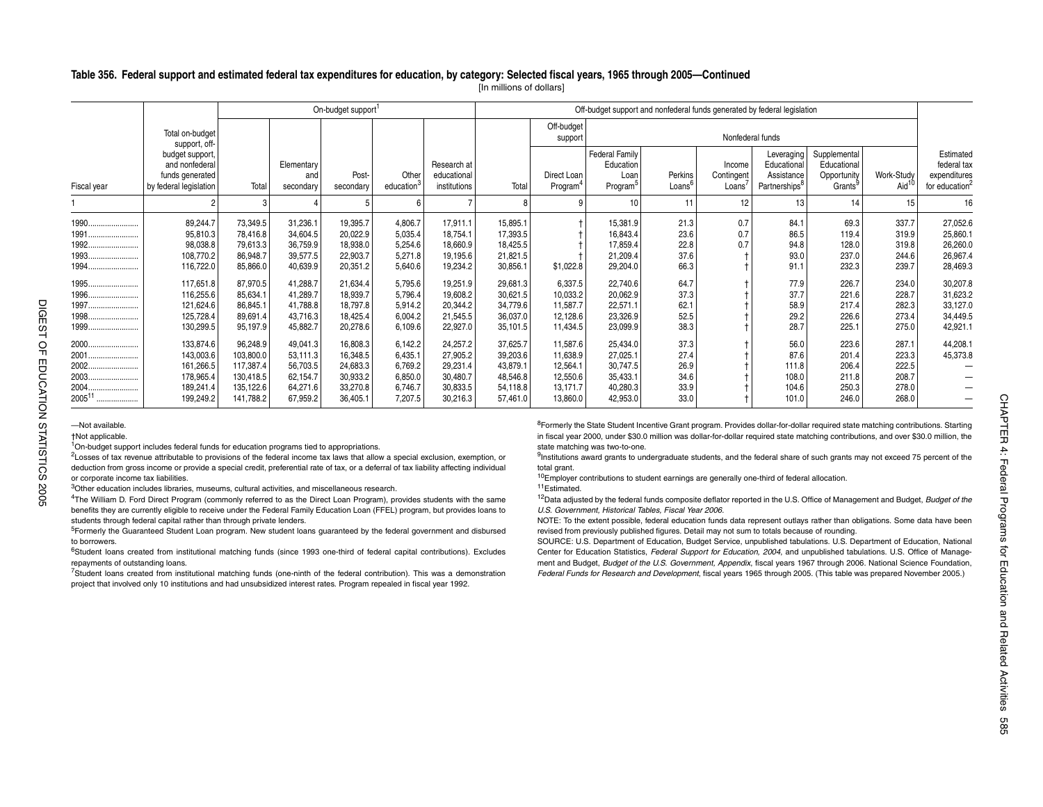#### **Table 356. Federal support and estimated federal tax expenditures for education, by category: Selected fiscal years, 1965 through 2005—Continued**

[In millions of dollars]

|                                                                             |                                                                                                                                                                                                                                                                                                                                                                                                                                                                                                                                                                                                                                                  |                                                                           |                                                                      | On-budget support <sup>1</sup>                                       |                                                                |                                                                      |                                                                      |                                                                      | Off-budget support and nonfederal funds generated by federal legislation                                                                                                                                                                                                                                                                                                                                                                                                                                                                                                                                                                                                                                              |                                              |                                            |                                                                      |                                                                   |                                                    |                                                                        |
|-----------------------------------------------------------------------------|--------------------------------------------------------------------------------------------------------------------------------------------------------------------------------------------------------------------------------------------------------------------------------------------------------------------------------------------------------------------------------------------------------------------------------------------------------------------------------------------------------------------------------------------------------------------------------------------------------------------------------------------------|---------------------------------------------------------------------------|----------------------------------------------------------------------|----------------------------------------------------------------------|----------------------------------------------------------------|----------------------------------------------------------------------|----------------------------------------------------------------------|----------------------------------------------------------------------|-----------------------------------------------------------------------------------------------------------------------------------------------------------------------------------------------------------------------------------------------------------------------------------------------------------------------------------------------------------------------------------------------------------------------------------------------------------------------------------------------------------------------------------------------------------------------------------------------------------------------------------------------------------------------------------------------------------------------|----------------------------------------------|--------------------------------------------|----------------------------------------------------------------------|-------------------------------------------------------------------|----------------------------------------------------|------------------------------------------------------------------------|
|                                                                             | Total on-budget<br>support, off-                                                                                                                                                                                                                                                                                                                                                                                                                                                                                                                                                                                                                 |                                                                           |                                                                      |                                                                      |                                                                |                                                                      |                                                                      | Off-budget<br>support                                                |                                                                                                                                                                                                                                                                                                                                                                                                                                                                                                                                                                                                                                                                                                                       |                                              | Nonfederal funds                           |                                                                      |                                                                   |                                                    |                                                                        |
| Fiscal year                                                                 | budget support<br>and nonfederal<br>funds generated<br>by federal legislation                                                                                                                                                                                                                                                                                                                                                                                                                                                                                                                                                                    | Total                                                                     | Elementary<br>and<br>secondary                                       | Post-<br>secondary                                                   | Other<br>education <sup>3</sup>                                | Research at<br>educational<br>institutions                           | Total                                                                | Direct Loan<br>Program <sup>4</sup>                                  | <b>Federal Family</b><br>Education<br>Loan<br>Program <sup>5</sup>                                                                                                                                                                                                                                                                                                                                                                                                                                                                                                                                                                                                                                                    | Perkins<br>Loans <sup>6</sup>                | Income<br>Contingent<br>Loans <sup>7</sup> | Leveraging<br>Educational<br>Assistance<br>Partnerships <sup>8</sup> | Supplemental<br>Educational<br>Opportunity<br>Grants <sup>9</sup> | Work-Study<br>Aid <sup>11</sup>                    | Estimated<br>federal tax<br>expenditures<br>for education <sup>2</sup> |
|                                                                             |                                                                                                                                                                                                                                                                                                                                                                                                                                                                                                                                                                                                                                                  | 3                                                                         |                                                                      |                                                                      |                                                                |                                                                      |                                                                      |                                                                      | 10                                                                                                                                                                                                                                                                                                                                                                                                                                                                                                                                                                                                                                                                                                                    | 11                                           | 12                                         | 13                                                                   | 14                                                                | 15                                                 | 16                                                                     |
| 1990<br>1991<br>1992.<br>1993                                               | 89,244.7<br>95,810.3<br>98,038.8<br>108,770.2                                                                                                                                                                                                                                                                                                                                                                                                                                                                                                                                                                                                    | 73,349.5<br>78,416.8<br>79,613.3<br>86,948.7                              | 31,236.1<br>34,604.5<br>36,759.9<br>39,577.5                         | 19,395.7<br>20,022.9<br>18,938.0<br>22,903.7                         | 4,806.7<br>5,035.4<br>5,254.6<br>5,271.8                       | 17,911.1<br>18,754.1<br>18.660.9<br>19,195.6                         | 15.895.1<br>17.393.5<br>18,425.5<br>21.821.5                         |                                                                      | 15,381.9<br>16,843.4<br>17.859.4<br>21,209.4                                                                                                                                                                                                                                                                                                                                                                                                                                                                                                                                                                                                                                                                          | 21.3<br>23.6<br>22.8<br>37.6                 | 0.7<br>0.7<br>0.7                          | 84.1<br>86.5<br>94.8<br>93.0                                         | 69.3<br>119.4<br>128.0<br>237.0                                   | 337.7<br>319.9<br>319.8<br>244.6                   | 27,052.6<br>25,860.1<br>26,260.0<br>26,967.4                           |
| 1994                                                                        | 116,722.0                                                                                                                                                                                                                                                                                                                                                                                                                                                                                                                                                                                                                                        | 85,866.0                                                                  | 40,639.9                                                             | 20,351.2                                                             | 5,640.6                                                        | 19,234.2                                                             | 30,856.1                                                             | \$1,022.8                                                            | 29,204.0                                                                                                                                                                                                                                                                                                                                                                                                                                                                                                                                                                                                                                                                                                              | 66.3                                         |                                            | 91.1                                                                 | 232.3                                                             | 239.7                                              | 28,469.3                                                               |
| 1995<br>1996<br>1997<br>1998<br>$1999$                                      | 117,651.8<br>116,255.6<br>121,624.6<br>125,728.4<br>130,299.5                                                                                                                                                                                                                                                                                                                                                                                                                                                                                                                                                                                    | 87,970.5<br>85,634.1<br>86,845.1<br>89,691.4<br>95,197.9                  | 41,288.7<br>41,289.7<br>41,788.8<br>43,716.3<br>45,882.7             | 21,634.4<br>18,939.7<br>18,797.8<br>18,425.4<br>20,278.6             | 5,795.6<br>5,796.4<br>5,914.2<br>6,004.2<br>6,109.6            | 19,251.9<br>19,608.2<br>20,344.2<br>21,545.5<br>22,927.0             | 29,681.3<br>30,621.5<br>34,779.6<br>36,037.0<br>35,101.5             | 6,337.5<br>10,033.2<br>11,587.7<br>12,128.6<br>11,434.5              | 22.740.6<br>20.062.9<br>22,571.1<br>23,326.9<br>23,099.9                                                                                                                                                                                                                                                                                                                                                                                                                                                                                                                                                                                                                                                              | 64.7<br>37.3<br>62.1<br>52.5<br>38.3         |                                            | 77.9<br>37.7<br>58.9<br>29.2<br>28.7                                 | 226.7<br>221.6<br>217.4<br>226.6<br>225.1                         | 234.0<br>228.7<br>282.3<br>273.4<br>275.0          | 30,207.8<br>31,623.2<br>33,127.0<br>34,449.5<br>42,921.1               |
| 2000<br>2001<br>2002<br>2003<br>2004<br>200511                              | 133.874.6<br>143,003.6<br>161,266.5<br>178,965.4<br>189,241.4<br>199,249.2                                                                                                                                                                                                                                                                                                                                                                                                                                                                                                                                                                       | 96,248.9<br>103,800.0<br>117,387.4<br>130,418.5<br>135,122.6<br>141,788.2 | 49,041.3<br>53.111.3<br>56,703.5<br>62,154.7<br>64,271.6<br>67,959.2 | 16,808.3<br>16,348.5<br>24,683.3<br>30,933.2<br>33,270.8<br>36,405.1 | 6.142.2<br>6.435.1<br>6.769.2<br>6,850.0<br>6,746.7<br>7,207.5 | 24,257.2<br>27,905.2<br>29,231.4<br>30,480.7<br>30,833.5<br>30,216.3 | 37.625.7<br>39.203.6<br>43.879.1<br>48.546.8<br>54,118.8<br>57.461.0 | 11.587.6<br>11.638.9<br>12.564.1<br>12,550.6<br>13,171.7<br>13,860.0 | 25.434.0<br>27.025.1<br>30.747.5<br>35,433.1<br>40,280.3<br>42,953.0                                                                                                                                                                                                                                                                                                                                                                                                                                                                                                                                                                                                                                                  | 37.3<br>27.4<br>26.9<br>34.6<br>33.9<br>33.0 |                                            | 56.0<br>87.6<br>111.8<br>108.0<br>104.6<br>101.0                     | 223.6<br>201.4<br>206.4<br>211.8<br>250.3<br>246.0                | 287.1<br>223.3<br>222.5<br>208.7<br>278.0<br>268.0 | 44,208.1<br>45,373.8                                                   |
| -Not available.<br>+Not applicable.<br>or corporate income tax liabilities. | <sup>1</sup> On-budget support includes federal funds for education programs tied to appropriations.<br><sup>2</sup> Losses of tax revenue attributable to provisions of the federal income tax laws that allow a special exclusion, exemption, or<br>deduction from gross income or provide a special credit, preferential rate of tax, or a deferral of tax liability affecting individual<br><sup>3</sup> Other education includes libraries, museums, cultural activities, and miscellaneous research.<br><sup>4</sup> The William D. Ford Direct Program (commonly referred to as the Direct Loan Program), provides students with the same |                                                                           |                                                                      |                                                                      |                                                                |                                                                      |                                                                      | total grant.<br><sup>11</sup> Estimated.                             | <sup>8</sup> Formerly the State Student Incentive Grant program. Provides dollar-for-dollar required state matching contributions. Starting<br>in fiscal year 2000, under \$30.0 million was dollar-for-dollar required state matching contributions, and over \$30.0 million, the<br>state matching was two-to-one.<br><sup>9</sup> Institutions award grants to undergraduate students, and the federal share of such grants may not exceed 75 percent of the<br><sup>10</sup> Employer contributions to student earnings are generally one-third of federal allocation.<br><sup>12</sup> Data adjusted by the federal funds composite deflator reported in the U.S. Office of Management and Budget, Budget of the |                                              |                                            |                                                                      |                                                                   |                                                    |                                                                        |

4The William D. Ford Direct Program (commonly referred to as the Direct Loan Program), provides students with the same benefits they are currently eligible to receive under the Federal Family Education Loan (FFEL) program, but provides loans to students through federal capital rather than through private lenders.

<sup>5</sup>Formerly the Guaranteed Student Loan program. New student loans guaranteed by the federal government and disbursed to borrowers.

6Student loans created from institutional matching funds (since 1993 one-third of federal capital contributions). Excludes repayments of outstanding loans.

7Student loans created from institutional matching funds (one-ninth of the federal contribution). This was a demonstration project that involved only 10 institutions and had unsubsidized interest rates. Program repealed in fiscal year 1992.

12Data adjusted by the federal funds composite deflator reported in the U.S. Office of Management and Budget, *Budget of the U.S. Government, Historical Tables, Fiscal Year 2006*.

NOTE: To the extent possible, federal education funds data represent outlays rather than obligations. Some data have been revised from previously published figures. Detail may not sum to totals because of rounding.

SOURCE: U.S. Department of Education, Budget Service, unpublished tabulations. U.S. Department of Education, National Center for Education Statistics, *Federal Support for Education, 2004*, and unpublished tabulations. U.S. Office of Management and Budget, *Budget of the U.S. Government, Appendix*, fiscal years 1967 through 2006. National Science Foundation, *Federal Funds for Research and Development*, fiscal years 1965 through 2005. (This table was prepared November 2005.)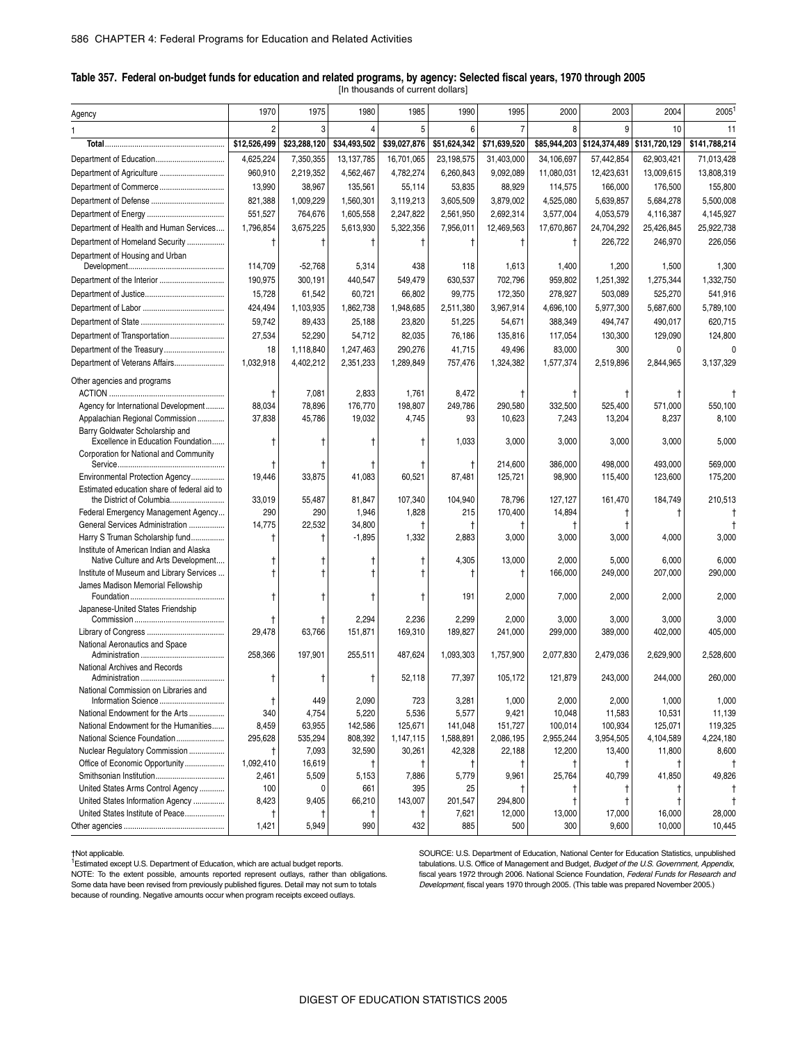#### **Table 357. Federal on-budget funds for education and related programs, by agency: Selected fiscal years, 1970 through 2005** [In thousands of current dollars]

| Agency                                                             | 1970             | 1975                 | 1980                 | 1985                 | 1990                | 1995                 | 2000                | 2003                       | 2004                | 2005               |
|--------------------------------------------------------------------|------------------|----------------------|----------------------|----------------------|---------------------|----------------------|---------------------|----------------------------|---------------------|--------------------|
|                                                                    | $\mathfrak{p}$   | 3                    |                      | 5                    |                     | 7                    | 8                   | 9                          | 10                  | 11                 |
|                                                                    | \$12,526,499     | \$23,288,120         | \$34,493,502         | \$39,027,876         | \$51,624,342        | \$71,639,520         |                     | \$85,944,203 \$124,374,489 | \$131,720,129       | \$141,788,214      |
|                                                                    | 4,625,224        | 7,350,355            | 13, 137, 785         | 16,701,065           | 23,198,575          | 31,403,000           | 34,106,697          | 57,442,854                 | 62,903,421          | 71,013,428         |
| Department of Agriculture                                          | 960,910          | 2,219,352            | 4,562,467            | 4,782,274            | 6,260,843           | 9,092,089            | 11,080,031          | 12,423,631                 | 13,009,615          | 13,808,319         |
| Department of Commerce                                             | 13,990           | 38,967               | 135,561              | 55,114               | 53,835              | 88,929               | 114,575             | 166,000                    | 176,500             | 155,800            |
|                                                                    | 821,388          | 1,009,229            | 1,560,301            | 3,119,213            | 3,605,509           | 3,879,002            | 4,525,080           | 5,639,857                  | 5,684,278           | 5,500,008          |
|                                                                    | 551,527          | 764,676              | 1,605,558            | 2,247,822            | 2,561,950           | 2,692,314            | 3,577,004           | 4,053,579                  | 4,116,387           | 4,145,927          |
| Department of Health and Human Services                            | 1,796,854        | 3,675,225            | 5,613,930            | 5,322,356            | 7,956,011           | 12,469,563           | 17,670,867          | 24,704,292                 | 25,426,845          | 25,922,738         |
| Department of Homeland Security                                    | t                |                      |                      |                      | Ť                   |                      | Ť                   | 226,722                    | 246,970             | 226,056            |
| Department of Housing and Urban                                    |                  |                      |                      |                      |                     |                      |                     |                            |                     |                    |
|                                                                    | 114,709          | $-52,768$            | 5,314                | 438                  | 118                 | 1,613                | 1,400               | 1,200                      | 1,500               | 1,300              |
| Department of the Interior                                         | 190,975          | 300,191              | 440,547              | 549,479              | 630,537             | 702,796              | 959,802             | 1,251,392                  | 1,275,344           | 1,332,750          |
|                                                                    | 15,728           | 61,542               | 60,721               | 66,802               | 99,775              | 172,350              | 278,927             | 503,089                    | 525,270             | 541,916            |
|                                                                    | 424,494          | 1,103,935            | 1,862,738            | 1,948,685            | 2,511,380           | 3,967,914            | 4,696,100           | 5,977,300                  | 5,687,600           | 5,789,100          |
|                                                                    | 59,742           | 89,433               | 25,188               | 23,820               | 51,225              | 54,671               | 388,349             | 494,747                    | 490,017             | 620,715            |
| Department of Transportation                                       | 27,534           | 52,290               | 54,712               | 82,035               | 76,186              | 135,816              | 117,054             | 130,300                    | 129,090             | 124,800            |
| Department of the Treasury                                         | 18               | 1,118,840            | 1,247,463            | 290,276              | 41,715              | 49,496               | 83,000              | 300                        | $\mathbf{0}$        |                    |
| Department of Veterans Affairs                                     | 1,032,918        | 4,402,212            | 2,351,233            | 1,289,849            | 757,476             | 1,324,382            | 1,577,374           | 2,519,896                  | 2,844,965           | 3,137,329          |
|                                                                    |                  |                      |                      |                      |                     |                      |                     |                            |                     |                    |
| Other agencies and programs                                        |                  |                      |                      |                      |                     |                      |                     |                            |                     |                    |
| Agency for International Development                               | $^\dagger$       | 7,081                | 2,833                | 1,761                | 8,472               | t                    | 332,500             |                            |                     |                    |
| Appalachian Regional Commission                                    | 88,034<br>37,838 | 78,896<br>45,786     | 176,770<br>19,032    | 198,807<br>4,745     | 249,786<br>93       | 290,580<br>10,623    | 7,243               | 525,400<br>13,204          | 571,000<br>8,237    | 550,100<br>8,100   |
| Barry Goldwater Scholarship and                                    |                  |                      |                      |                      |                     |                      |                     |                            |                     |                    |
| Excellence in Education Foundation                                 | t                | t                    |                      |                      | 1,033               | 3,000                | 3,000               | 3,000                      | 3,000               | 5,000              |
| Corporation for National and Community                             |                  |                      |                      |                      |                     |                      |                     |                            |                     |                    |
|                                                                    |                  |                      |                      |                      | Ť                   | 214,600              | 386,000             | 498,000                    | 493,000             | 569,000            |
| Environmental Protection Agency                                    | 19,446           | 33,875               | 41,083               | 60,521               | 87,481              | 125,721              | 98,900              | 115,400                    | 123,600             | 175,200            |
| Estimated education share of federal aid to                        |                  |                      |                      |                      |                     |                      |                     |                            |                     |                    |
| the District of Columbia                                           | 33,019           | 55,487               | 81,847               | 107,340              | 104,940             | 78,796               | 127,127             | 161,470                    | 184,749             | 210,513            |
| Federal Emergency Management Agency                                | 290              | 290                  | 1,946                | 1,828                | 215                 | 170,400              | 14,894              |                            |                     |                    |
| General Services Administration<br>Harry S Truman Scholarship fund | 14,775<br>Ť      | 22,532<br>$\ddagger$ | 34,800<br>$-1,895$   | Ť<br>1,332           | Ť<br>2,883          | 3,000                | Ť<br>3,000          | 3,000                      | 4,000               | 3,000              |
| Institute of American Indian and Alaska                            |                  |                      |                      |                      |                     |                      |                     |                            |                     |                    |
| Native Culture and Arts Development                                | t                |                      |                      |                      | 4,305               | 13,000               | 2,000               | 5,000                      | 6,000               | 6,000              |
| Institute of Museum and Library Services                           |                  |                      |                      |                      | Ť                   | t                    | 166,000             | 249,000                    | 207,000             | 290,000            |
| James Madison Memorial Fellowship                                  |                  |                      |                      |                      |                     |                      |                     |                            |                     |                    |
| Foundation                                                         |                  |                      |                      |                      | 191                 | 2,000                | 7,000               | 2,000                      | 2,000               | 2,000              |
| Japanese-United States Friendship                                  |                  |                      |                      |                      |                     |                      |                     |                            |                     |                    |
|                                                                    | 29,478           | 63,766               | 2,294<br>151,871     | 2,236<br>169,310     | 2,299<br>189,827    | 2,000<br>241,000     | 3,000<br>299,000    | 3,000<br>389,000           | 3,000<br>402,000    | 3,000<br>405,000   |
| National Aeronautics and Space                                     |                  |                      |                      |                      |                     |                      |                     |                            |                     |                    |
|                                                                    | 258,366          | 197,901              | 255.511              | 487,624              | 1,093,303           | 1,757,900            | 2,077,830           | 2,479,036                  | 2,629,900           | 2,528,600          |
| National Archives and Records                                      |                  |                      |                      |                      |                     |                      |                     |                            |                     |                    |
|                                                                    | t                | t                    |                      | 52,118               | 77,397              | 105,172              | 121,879             | 243,000                    | 244,000             | 260,000            |
| National Commission on Libraries and                               |                  |                      |                      |                      |                     |                      |                     |                            |                     |                    |
|                                                                    | t                | 449                  | 2,090                | 723                  | 3,281               | 1,000                | 2,000               | 2,000                      | 1,000               | 1,000              |
| National Endowment for the Arts                                    | 340              | 4,754                | 5,220                | 5,536                | 5,577               | 9,421                | 10,048              | 11,583                     | 10,531              | 11,139             |
| National Endowment for the Humanities                              | 8,459            | 63,955               | 142,586<br>808,392   | 125,671<br>1,147,115 | 141,048             | 151,727<br>2,086,195 | 100,014             | 100,934                    | 125,071             | 119,325            |
| National Science Foundation<br>Nuclear Regulatory Commission       | 295,628          | 535,294<br>7,093     | 32,590               | 30,261               | 1,588,891<br>42,328 | 22,188               | 2,955,244<br>12,200 | 3,954,505<br>13,400        | 4,104,589<br>11,800 | 4,224,180<br>8,600 |
| Office of Economic Opportunity                                     | t<br>1,092,410   | 16,619               | Ť                    | Ť                    | Ť                   | Ť                    | Ť                   | Ť                          | Ť                   |                    |
|                                                                    | 2,461            | 5,509                | 5,153                | 7,886                | 5,779               | 9,961                | 25,764              | 40,799                     | 41,850              | 49,826             |
| United States Arms Control Agency                                  | 100              | 0                    | 661                  | 395                  | 25                  | t                    |                     |                            |                     |                    |
| United States Information Agency                                   | 8,423            | 9,405                | 66,210               | 143,007              | 201,547             | 294,800              | $\ddagger$          | t                          | Ť                   |                    |
| United States Institute of Peace                                   | Ť                |                      | $\ddot{\phantom{1}}$ | Ť                    | 7,621               | 12,000               | 13,000              | 17,000                     | 16,000              | 28,000             |
|                                                                    | 1,421            | 5,949                | 990                  | 432                  | 885                 | 500                  | 300                 | 9,600                      | 10,000              | 10,445             |
|                                                                    |                  |                      |                      |                      |                     |                      |                     |                            |                     |                    |

†Not applicable.<br><sup>1</sup>Estimated except U.S. Department of Education, which are actual budget reports. NOTE: To the extent possible, amounts reported represent outlays, rather than obligations. Some data have been revised from previously published figures. Detail may not sum to totals because of rounding. Negative amounts occur when program receipts exceed outlays.

SOURCE: U.S. Department of Education, National Center for Education Statistics, unpublished tabulations. U.S. Office of Management and Budget, *Budget of the U.S. Government, Appendix*, fiscal years 1972 through 2006. National Science Foundation, *Federal Funds for Research and Development*, fiscal years 1970 through 2005. (This table was prepared November 2005.)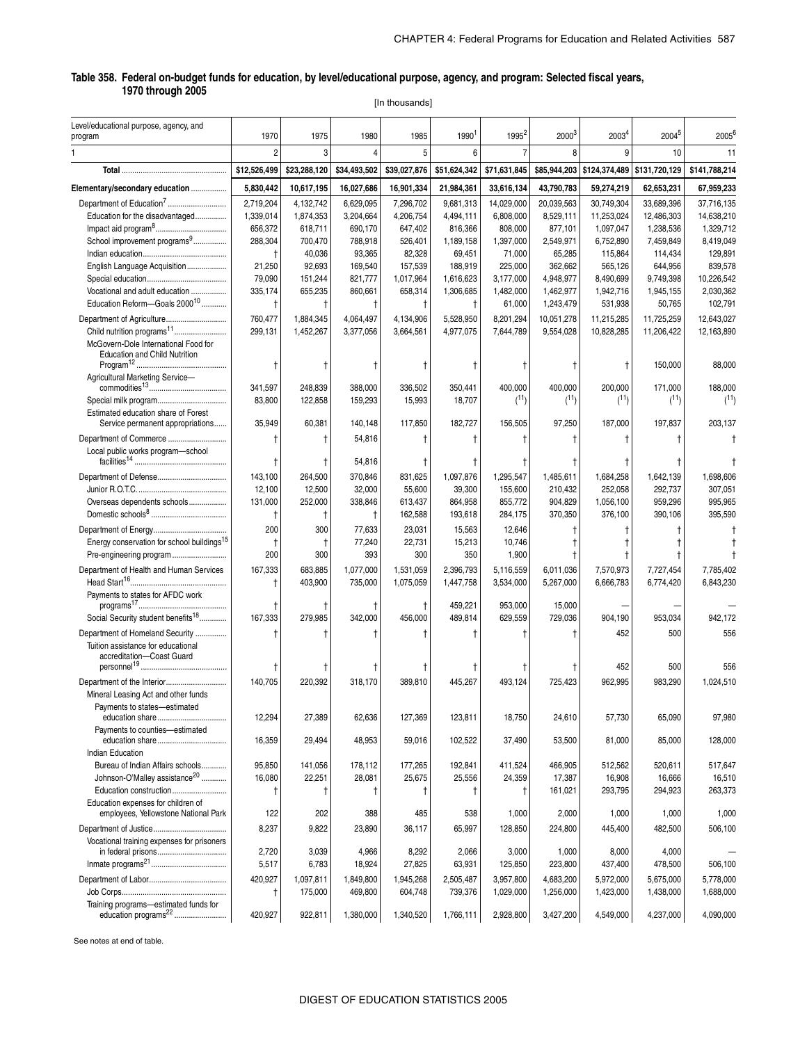[In thousands]

| Level/educational purpose, agency, and<br>program                                                  | 1970                   | 1975                   | 1980                   | 1985                   | 1990 <sup>1</sup>      | $1995^2$                | $2000^3$                | 2003 <sup>4</sup>                        | 2004 <sup>5</sup>        | $2005^{6}$               |
|----------------------------------------------------------------------------------------------------|------------------------|------------------------|------------------------|------------------------|------------------------|-------------------------|-------------------------|------------------------------------------|--------------------------|--------------------------|
|                                                                                                    | 2                      | 3                      | 4                      | 5                      | 6                      |                         | 8                       | 9                                        | 10                       | 11                       |
|                                                                                                    | \$12,526,499           | \$23,288,120           | \$34,493,502           | \$39,027,876           | \$51,624,342           | \$71,631,845            |                         | \$85,944,203 \$124,374,489 \$131,720,129 |                          | \$141,788,214            |
| Elementary/secondary education                                                                     | 5,830,442              | 10,617,195             | 16,027,686             | 16,901,334             | 21,984,361             | 33,616,134              | 43,790,783              | 59,274,219                               | 62,653,231               | 67,959,233               |
|                                                                                                    |                        |                        |                        |                        |                        |                         |                         |                                          |                          |                          |
| Department of Education <sup>7</sup><br>Education for the disadvantaged                            | 2,719,204<br>1,339,014 | 4,132,742<br>1,874,353 | 6,629,095<br>3,204,664 | 7,296,702<br>4,206,754 | 9,681,313<br>4,494,111 | 14,029,000<br>6,808,000 | 20,039,563<br>8,529,111 | 30,749,304<br>11,253,024                 | 33,689,396<br>12,486,303 | 37,716,135<br>14,638,210 |
|                                                                                                    | 656,372                | 618,711                | 690,170                | 647,402                | 816,366                | 808,000                 | 877,101                 | 1,097,047                                | 1,238,536                | 1,329,712                |
| School improvement programs <sup>9</sup>                                                           | 288,304                | 700,470                | 788,918                | 526,401                | 1,189,158              | 1,397,000               | 2,549,971               | 6,752,890                                | 7,459,849                | 8,419,049                |
|                                                                                                    | t                      | 40,036                 | 93,365                 | 82,328                 | 69,451                 | 71,000                  | 65,285                  | 115,864                                  | 114,434                  | 129,891                  |
| English Language Acquisition                                                                       | 21,250                 | 92,693                 | 169,540                | 157,539                | 188.919                | 225.000                 | 362,662                 | 565,126                                  | 644.956                  | 839,578                  |
|                                                                                                    | 79,090                 | 151,244                | 821,777                | 1,017,964              | 1,616,623              | 3,177,000               | 4,948,977               | 8,490,699                                | 9,749,398                | 10,226,542               |
| Vocational and adult education                                                                     | 335,174                | 655,235                | 860,661                | 658,314                | 1,306,685              | 1,482,000               | 1,462,977               | 1,942,716                                | 1,945,155                | 2,030,362                |
| Education Reform-Goals 2000 <sup>10</sup>                                                          | Ť                      | $\mathsf{t}$           | $\ddagger$             | $\ddagger$             | $\ddagger$             | 61,000                  | 1,243,479               | 531,938                                  | 50,765                   | 102,791                  |
| Department of Agriculture                                                                          | 760,477                | 1,884,345              | 4,064,497              | 4,134,906              | 5,528,950              | 8,201,294               | 10,051,278              | 11,215,285                               | 11,725,259               | 12,643,027               |
| Child nutrition programs <sup>11</sup>                                                             | 299,131                | 1,452,267              | 3,377,056              | 3,664,561              | 4,977,075              | 7,644,789               | 9,554,028               | 10,828,285                               | 11,206,422               | 12,163,890               |
| McGovern-Dole International Food for                                                               |                        |                        |                        |                        |                        |                         |                         |                                          |                          |                          |
| <b>Education and Child Nutrition</b>                                                               |                        |                        |                        |                        |                        |                         |                         |                                          |                          |                          |
|                                                                                                    |                        | Ť                      | Ť                      | t                      |                        |                         |                         |                                          | 150,000                  | 88,000                   |
| Agricultural Marketing Service-                                                                    |                        |                        |                        |                        |                        |                         |                         |                                          |                          |                          |
|                                                                                                    | 341,597                | 248,839                | 388,000                | 336,502                | 350,441                | 400,000                 | 400.000                 | 200,000                                  | 171,000                  | 188,000                  |
| Special milk program                                                                               | 83,800                 | 122,858                | 159,293                | 15,993                 | 18,707                 | (11)                    | (11)                    | (11)                                     | (11)                     | (11)                     |
| Estimated education share of Forest                                                                | 35,949                 | 60,381                 |                        |                        | 182,727                |                         | 97,250                  |                                          | 197,837                  | 203,137                  |
| Service permanent appropriations                                                                   |                        |                        | 140,148                | 117,850                |                        | 156,505                 |                         | 187,000                                  |                          |                          |
| Department of Commerce                                                                             |                        | Ť                      | 54,816                 | t                      |                        |                         |                         |                                          | t                        |                          |
| Local public works program-school                                                                  |                        |                        |                        |                        |                        |                         |                         |                                          |                          |                          |
|                                                                                                    | t                      | Ť                      | 54,816                 | t                      |                        |                         |                         |                                          |                          |                          |
|                                                                                                    | 143,100                | 264,500                | 370,846                | 831,625                | 1,097,876              | 1,295,547               | 1,485,611               | 1,684,258                                | 1,642,139                | 1.698.606                |
|                                                                                                    | 12,100                 | 12,500                 | 32,000                 | 55,600                 | 39,300                 | 155,600                 | 210,432                 | 252,058                                  | 292,737                  | 307,051                  |
| Overseas dependents schools                                                                        | 131,000                | 252,000                | 338,846                | 613,437                | 864,958                | 855,772                 | 904,829                 | 1,056,100                                | 959,296                  | 995,965                  |
|                                                                                                    | Ť                      | Ť                      | $\ddagger$             | 162,588                | 193,618                | 284,175                 | 370,350                 | 376,100                                  | 390,106                  | 395,590                  |
|                                                                                                    | 200                    | 300                    | 77,633                 | 23,031                 | 15,563                 | 12,646                  |                         |                                          |                          |                          |
| Energy conservation for school buildings <sup>15</sup>                                             | Ť                      | Ť                      | 77,240                 | 22,731                 | 15,213                 | 10,746                  |                         |                                          |                          |                          |
| Pre-engineering program                                                                            | 200                    | 300                    | 393                    | 300                    | 350                    | 1,900                   |                         |                                          |                          |                          |
| Department of Health and Human Services                                                            | 167,333                | 683,885                | 1,077,000              | 1,531,059              | 2,396,793              | 5,116,559               | 6,011,036               | 7,570,973                                | 7,727,454                | 7,785,402                |
|                                                                                                    | $\ddagger$             | 403,900                | 735,000                | 1,075,059              | 1,447,758              | 3,534,000               | 5,267,000               | 6,666,783                                | 6,774,420                | 6,843,230                |
| Payments to states for AFDC work                                                                   |                        |                        |                        |                        |                        |                         |                         |                                          |                          |                          |
|                                                                                                    |                        | Ť                      | Ť                      | $^\dagger$             | 459,221                | 953,000                 | 15,000                  |                                          |                          |                          |
| Social Security student benefits <sup>18</sup>                                                     | 167,333                | 279,985                | 342,000                | 456,000                | 489,814                | 629,559                 | 729,036                 | 904,190                                  | 953,034                  | 942,172                  |
| Department of Homeland Security                                                                    |                        |                        |                        |                        | $\mathbf t$            |                         |                         | 452                                      | 500                      | 556                      |
| Tuition assistance for educational                                                                 |                        |                        |                        |                        |                        |                         |                         |                                          |                          |                          |
| accreditation-Coast Guard                                                                          |                        |                        | Ť                      | Ť                      |                        |                         |                         | 452                                      | 500                      | 556                      |
| Department of the Interior                                                                         | 140,705                | 220.392                | 318,170                |                        | 445,267                | 493,124                 |                         |                                          |                          |                          |
| Mineral Leasing Act and other funds                                                                |                        |                        |                        | 389,810                |                        |                         | 725,423                 | 962,995                                  | 983,290                  | 1,024,510                |
| Payments to states-estimated                                                                       |                        |                        |                        |                        |                        |                         |                         |                                          |                          |                          |
|                                                                                                    | 12,294                 | 27,389                 | 62,636                 | 127,369                | 123,811                | 18,750                  | 24,610                  | 57,730                                   | 65,090                   | 97,980                   |
| Payments to counties-estimated                                                                     |                        |                        |                        |                        |                        |                         |                         |                                          |                          |                          |
| education share                                                                                    | 16,359                 | 29,494                 | 48,953                 | 59,016                 | 102,522                | 37,490                  | 53,500                  | 81,000                                   | 85,000                   | 128,000                  |
| Indian Education                                                                                   |                        |                        |                        |                        |                        |                         |                         |                                          |                          |                          |
| Bureau of Indian Affairs schools                                                                   | 95,850                 | 141,056                | 178,112                | 177,265                | 192,841                | 411.524                 | 466,905                 | 512,562                                  | 520,611                  | 517,647                  |
| Johnson-O'Malley assistance <sup>20</sup>                                                          | 16,080                 | 22,251                 | 28,081                 | 25,675                 | 25,556                 | 24,359                  | 17,387                  | 16,908                                   | 16,666                   | 16,510                   |
| Education construction                                                                             |                        | T                      | $^{\dagger}$           | Ť                      | $\mathsf{t}$           |                         | 161,021                 | 293,795                                  | 294,923                  | 263,373                  |
| Education expenses for children of                                                                 |                        |                        |                        |                        |                        |                         |                         |                                          |                          |                          |
| employees, Yellowstone National Park                                                               | 122                    | 202                    | 388                    | 485                    | 538                    | 1,000                   | 2,000                   | 1,000                                    | 1,000                    | 1,000                    |
|                                                                                                    | 8,237                  | 9,822                  | 23,890                 | 36,117                 | 65,997                 | 128,850                 | 224,800                 | 445,400                                  | 482,500                  | 506,100                  |
| Vocational training expenses for prisoners                                                         |                        |                        |                        |                        |                        |                         |                         |                                          |                          |                          |
| in federal prisons                                                                                 | 2,720                  | 3,039                  | 4,966                  | 8,292                  | 2,066                  | 3,000                   | 1,000                   | 8,000                                    | 4,000                    |                          |
| $\mathsf{Inmate\ programs}^{21} \dots \dots \dots \dots \dots \dots \dots \dots \dots \dots \dots$ | 5,517                  | 6,783                  | 18,924                 | 27,825                 | 63,931                 | 125,850                 | 223,800                 | 437,400                                  | 478,500                  | 506,100                  |
|                                                                                                    | 420,927                | 1,097,811              | 1,849,800              | 1,945,268              | 2,505,487              | 3,957,800               | 4,683,200               | 5,972,000                                | 5,675,000                | 5,778,000                |
|                                                                                                    | $\ddagger$             | 175,000                | 469,800                | 604,748                | 739,376                | 1,029,000               | 1,256,000               | 1,423,000                                | 1,438,000                | 1,688,000                |
| Training programs-estimated funds for<br>education programs <sup>22</sup>                          |                        |                        |                        |                        |                        |                         |                         |                                          |                          |                          |
|                                                                                                    | 420,927                | 922,811                | 1,380,000              | 1,340,520              | 1,766,111              | 2,928,800               | 3,427,200               | 4,549,000                                | 4,237,000                | 4,090,000                |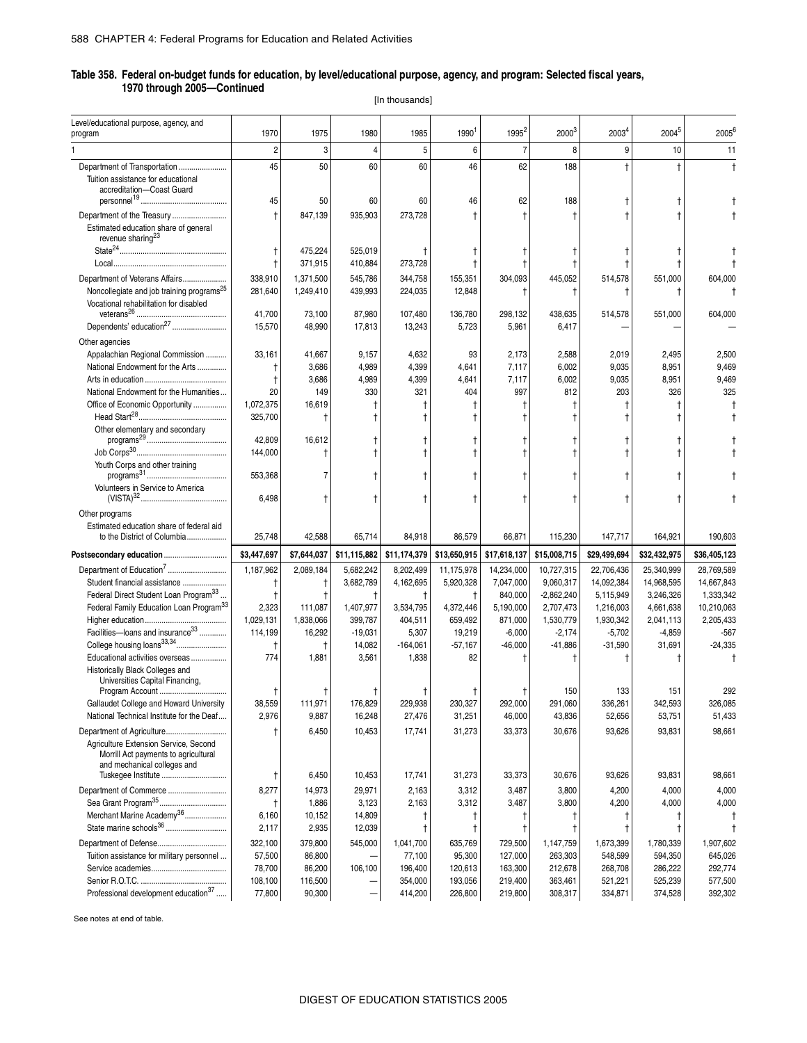[In thousands]

| Level/educational purpose, agency, and<br>program                                                            | 1970                 | 1975              | 1980            | 1985               | 1990               | 1995 <sup>2</sup>  | 20003              | 2003 <sup>4</sup>  | 20045              | 2005 <sup>6</sup>  |
|--------------------------------------------------------------------------------------------------------------|----------------------|-------------------|-----------------|--------------------|--------------------|--------------------|--------------------|--------------------|--------------------|--------------------|
|                                                                                                              | $\overline{2}$       | 3                 | $\overline{4}$  | 5                  | 6                  | 7                  | 8                  | 9                  | 10                 | 11                 |
| Department of Transportation                                                                                 | 45                   | 50                | 60              | 60                 | 46                 | 62                 | 188                |                    |                    | $\ddagger$         |
| Tuition assistance for educational<br>accreditation-Coast Guard                                              |                      |                   |                 |                    |                    |                    |                    |                    |                    |                    |
|                                                                                                              | 45                   | 50                | 60              | 60                 | 46                 | 62                 | 188                |                    |                    |                    |
| Department of the Treasury                                                                                   | $\ddagger$           | 847,139           | 935,903         | 273,728            |                    |                    | $\ddagger$         |                    |                    |                    |
| Estimated education share of general<br>revenue sharing <sup>23</sup>                                        |                      |                   |                 |                    |                    |                    |                    |                    |                    |                    |
|                                                                                                              | $^\dagger$           | 475,224           | 525,019         |                    |                    |                    |                    |                    |                    |                    |
|                                                                                                              | t                    | 371,915           | 410,884         | 273,728            |                    |                    |                    |                    |                    |                    |
| Department of Veterans Affairs                                                                               | 338,910              | 1,371,500         | 545,786         | 344,758            | 155,351            | 304,093            | 445,052            | 514,578            | 551,000            | 604,000            |
| Noncollegiate and job training programs <sup>25</sup><br>Vocational rehabilitation for disabled              | 281,640              | 1,249,410         | 439,993         | 224,035            | 12,848             |                    | t                  |                    | Ť                  |                    |
|                                                                                                              | 41,700               | 73,100            | 87,980          | 107,480            | 136,780            | 298,132            | 438,635            | 514,578            | 551,000            | 604,000            |
| Dependents' education <sup>27</sup>                                                                          | 15,570               | 48,990            | 17,813          | 13,243             | 5,723              | 5,961              | 6,417              |                    |                    |                    |
| Other agencies                                                                                               |                      |                   |                 |                    |                    |                    |                    |                    |                    |                    |
| Appalachian Regional Commission                                                                              | 33,161               | 41,667            | 9,157           | 4,632              | 93                 | 2,173              | 2,588              | 2,019              | 2,495              | 2,500              |
| National Endowment for the Arts                                                                              | t                    | 3,686             | 4,989           | 4,399              | 4,641              | 7,117              | 6,002              | 9,035              | 8,951              | 9,469              |
|                                                                                                              | $^\dagger$           | 3,686             | 4,989           | 4,399              | 4,641              | 7,117              | 6,002              | 9,035              | 8,951              | 9,469              |
| National Endowment for the Humanities                                                                        | 20                   | 149               | 330             | 321                | 404                | 997                | 812                | 203                | 326                | 325                |
| Office of Economic Opportunity                                                                               | 1,072,375<br>325,700 | 16,619            |                 |                    |                    |                    | t                  |                    | t                  |                    |
| Other elementary and secondary                                                                               |                      | t                 |                 |                    |                    |                    |                    |                    |                    |                    |
|                                                                                                              | 42,809               | 16,612            |                 |                    |                    |                    |                    |                    |                    |                    |
| ${\tt Job~Corps^{30}}$                                                                                       | 144,000              | t                 | $^\dagger$      |                    |                    |                    |                    |                    |                    |                    |
| Youth Corps and other training                                                                               | 553,368              | 7                 |                 |                    |                    |                    |                    |                    |                    |                    |
| Volunteers in Service to America                                                                             | 6,498                |                   |                 |                    |                    |                    |                    |                    |                    |                    |
| Other programs                                                                                               |                      |                   |                 |                    |                    |                    |                    |                    |                    |                    |
| Estimated education share of federal aid<br>to the District of Columbia                                      | 25,748               | 42,588            | 65,714          | 84,918             | 86,579             | 66,871             | 115,230            | 147,717            | 164,921            | 190,603            |
| Postsecondary education                                                                                      | \$3,447,697          | \$7,644,037       | \$11,115,882    | \$11,174,379       | \$13,650,915       | \$17,618,137       | \$15,008,715       | \$29,499,694       | \$32,432,975       | \$36,405,123       |
| Department of Education <sup>7</sup>                                                                         | 1,187,962            | 2,089,184         | 5,682,242       | 8,202,499          | 11,175,978         | 14,234,000         | 10,727,315         | 22,706,436         | 25,340,999         | 28,769,589         |
| Student financial assistance                                                                                 |                      | t                 | 3,682,789       | 4,162,695          | 5,920,328          | 7,047,000          | 9,060,317          | 14,092,384         | 14,968,595         | 14,667,843         |
| Federal Direct Student Loan Program <sup>33</sup>                                                            | t                    | t                 | t               | $\ddagger$         | $\ddagger$         | 840,000            | $-2,862,240$       | 5,115,949          | 3,246,326          | 1,333,342          |
| Federal Family Education Loan Program <sup>33</sup>                                                          | 2,323                | 111,087           | 1,407,977       | 3,534,795          | 4,372,446          | 5,190,000          | 2,707,473          | 1,216,003          | 4,661,638          | 10,210,063         |
|                                                                                                              | 1,029,131            | 1,838,066         | 399,787         | 404,511            | 659,492            | 871,000            | 1,530,779          | 1,930,342          | 2,041,113          | 2,205,433          |
| Facilities-loans and insurance <sup>33</sup>                                                                 | 114,199              | 16,292            | $-19,031$       | 5,307              | 19,219             | $-6,000$           | $-2,174$           | $-5,702$           | $-4,859$           | $-567$             |
|                                                                                                              | $^\dagger$           | Ť                 | 14,082          | $-164,061$         | $-57,167$          | $-46,000$          | $-41,886$          | $-31,590$          | 31,691             | $-24,335$          |
| Educational activities overseas<br>Historically Black Colleges and<br>Universities Capital Financing,        | 774                  | 1,881             | 3,561           | 1,838              | 82                 |                    |                    |                    |                    |                    |
| Program Account                                                                                              | Ť                    | Ť                 |                 |                    |                    |                    | 150                | 133                | 151                | 292                |
| Gallaudet College and Howard University                                                                      | 38,559               | 111,971           | 176,829         | 229,938            | 230.327            | 292,000            | 291,060            | 336.261            | 342,593            | 326,085            |
| National Technical Institute for the Deaf                                                                    | 2,976                | 9,887             | 16,248          | 27,476             | 31,251             | 46,000             | 43,836             | 52,656             | 53,751             | 51,433             |
| Department of Agriculture                                                                                    |                      | 6,450             | 10,453          | 17,741             | 31,273             | 33,373             | 30,676             | 93,626             | 93,831             | 98,661             |
| Agriculture Extension Service, Second<br>Morrill Act payments to agricultural<br>and mechanical colleges and |                      |                   | 10,453          | 17,741             |                    |                    |                    |                    |                    |                    |
| Tuskegee Institute                                                                                           | t                    | 6,450             |                 |                    | 31,273             | 33,373             | 30,676             | 93,626             | 93,831             | 98,661             |
| Department of Commerce<br>Sea Grant Program <sup>35</sup>                                                    | 8,277<br>Ť           | 14,973<br>1,886   | 29,971<br>3,123 | 2,163<br>2,163     | 3,312<br>3,312     | 3,487<br>3,487     | 3,800<br>3,800     | 4,200<br>4,200     | 4,000<br>4,000     | 4,000<br>4,000     |
|                                                                                                              |                      |                   |                 |                    |                    |                    |                    |                    |                    |                    |
| Merchant Marine Academy <sup>36</sup>                                                                        | 6,160                | 10,152            | 14,809          |                    | t                  |                    | Ť                  |                    | t                  |                    |
| State marine schools <sup>36</sup>                                                                           | 2,117                | 2,935             | 12,039          | ŧ                  | Ť                  | Ť                  |                    |                    |                    |                    |
|                                                                                                              | 322,100              | 379,800           | 545,000         | 1,041,700          | 635,769            | 729,500            | 1,147,759          | 1,673,399          | 1,780,339          | 1,907,602          |
| Tuition assistance for military personnel                                                                    | 57,500               | 86,800            |                 | 77,100             | 95,300             | 127,000            | 263,303            | 548,599            | 594,350            | 645,026            |
|                                                                                                              | 78,700               | 86,200            | 106,100         | 196,400            | 120,613            | 163,300            | 212,678            | 268,708            | 286,222            | 292,774            |
| Professional development education <sup>37</sup>                                                             | 108,100<br>77,800    | 116,500<br>90,300 |                 | 354,000<br>414,200 | 193,056<br>226,800 | 219,400<br>219,800 | 363,461<br>308,317 | 521,221<br>334,871 | 525,239<br>374,528 | 577,500<br>392,302 |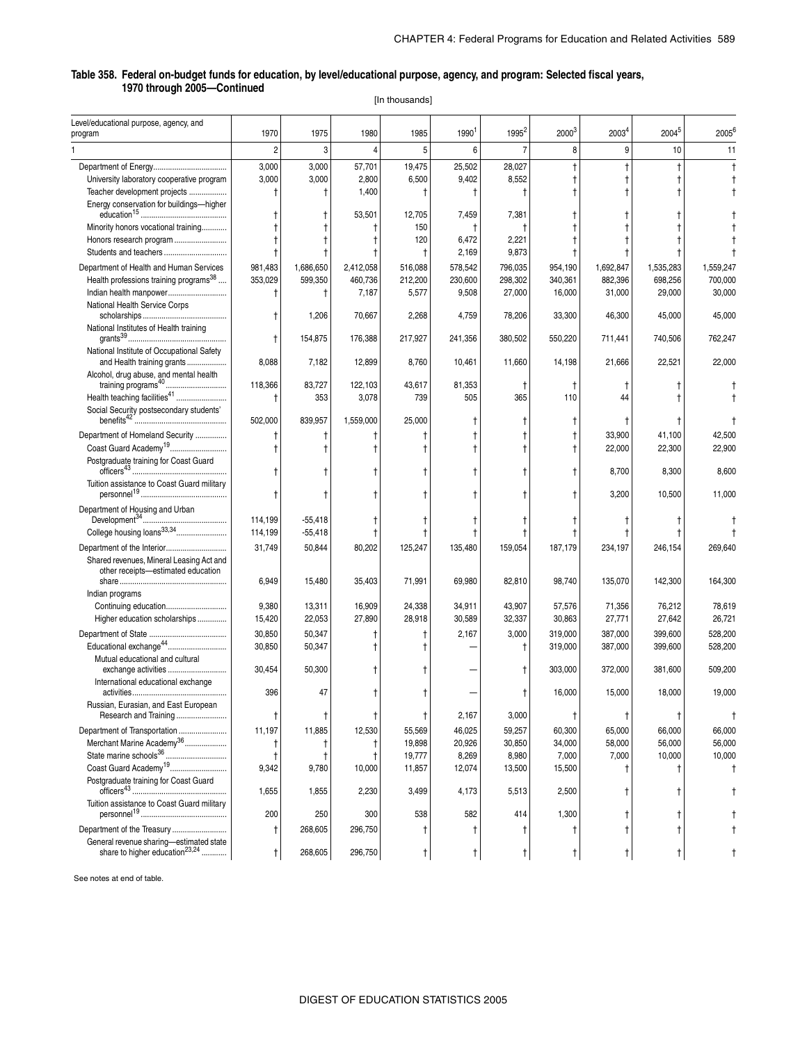[In thousands]

| Level/educational purpose, agency, and<br>program                              | 1970           | 1975      | 1980       | 1985         | 1990 <sup>1</sup> | 1995 <sup>2</sup> | 2000 <sup>3</sup> | 2003 <sup>4</sup> | 20045      | 2005 <sup>6</sup> |
|--------------------------------------------------------------------------------|----------------|-----------|------------|--------------|-------------------|-------------------|-------------------|-------------------|------------|-------------------|
|                                                                                |                |           |            |              |                   |                   |                   |                   |            |                   |
|                                                                                | $\overline{2}$ | 3         | 4          | 5            | 6                 | $\overline{7}$    | 8                 | 9                 | 10         | 11                |
|                                                                                | 3,000          | 3,000     | 57,701     | 19,475       | 25,502            | 28,027            |                   | $\ddagger$        |            |                   |
| University laboratory cooperative program                                      | 3,000          | 3,000     | 2,800      | 6,500        | 9,402             | 8,552             |                   |                   |            |                   |
| Teacher development projects                                                   | Ť              |           | 1,400      | $^\dagger$   | $\ddagger$        |                   |                   |                   |            |                   |
| Energy conservation for buildings-higher                                       |                |           | 53,501     | 12,705       | 7,459             | 7,381             |                   |                   |            |                   |
| Minority honors vocational training                                            |                |           | t          | 150          | ŧ                 |                   |                   |                   |            |                   |
| Honors research program                                                        |                |           | Ť          | 120          | 6,472             | 2,221             |                   |                   |            |                   |
|                                                                                |                |           |            | $\mathsf{t}$ | 2,169             | 9,873             |                   |                   |            |                   |
| Department of Health and Human Services                                        | 981,483        | 1,686,650 | 2,412,058  | 516,088      | 578,542           | 796,035           | 954,190           | 1,692,847         | 1,535,283  | 1.559.247         |
| Health professions training programs <sup>38</sup>                             | 353,029        | 599,350   | 460,736    | 212,200      | 230,600           | 298,302           | 340,361           | 882,396           | 698,256    | 700,000           |
| Indian health manpower                                                         | Ť              | Ť         | 7,187      | 5,577        | 9,508             | 27,000            | 16,000            | 31,000            | 29,000     | 30,000            |
| National Health Service Corps                                                  |                | 1,206     | 70,667     | 2,268        | 4,759             | 78,206            | 33,300            | 46,300            | 45,000     | 45,000            |
| National Institutes of Health training                                         | t              | 154,875   | 176,388    | 217,927      | 241,356           | 380,502           | 550,220           | 711,441           | 740,506    | 762,247           |
| National Institute of Occupational Safety<br>and Health training grants        | 8,088          | 7,182     | 12,899     | 8,760        | 10,461            | 11,660            | 14,198            | 21,666            | 22,521     | 22,000            |
| Alcohol, drug abuse, and mental health<br>training programs <sup>40</sup>      | 118,366        | 83,727    | 122,103    | 43,617       | 81,353            | Ť                 |                   |                   |            |                   |
| Health teaching facilities <sup>41</sup>                                       |                | 353       | 3,078      | 739          | 505               | 365               | 110               | 44                |            |                   |
| Social Security postsecondary students'                                        |                |           |            |              |                   |                   |                   |                   |            |                   |
|                                                                                | 502,000        | 839,957   | 1,559,000  | 25,000       | t                 |                   |                   |                   |            |                   |
| Department of Homeland Security                                                |                | t         |            |              |                   |                   |                   | 33,900            | 41,100     | 42,500            |
| Coast Guard Academy <sup>19</sup>                                              |                |           |            |              |                   |                   |                   | 22,000            | 22,300     | 22,900            |
| Postgraduate training for Coast Guard                                          |                |           | t          |              |                   |                   |                   | 8,700             | 8,300      | 8,600             |
| Tuition assistance to Coast Guard military                                     |                |           |            |              |                   |                   |                   |                   |            |                   |
|                                                                                | t              |           |            |              |                   |                   |                   | 3,200             | 10,500     | 11,000            |
| Department of Housing and Urban                                                |                |           |            |              |                   |                   |                   |                   |            |                   |
| College housing loans <sup>33,34</sup>                                         | 114,199        | $-55,418$ | Ť          |              |                   |                   |                   |                   |            |                   |
|                                                                                | 114,199        | $-55,418$ | t          | Ť            | Ť                 |                   |                   |                   |            |                   |
| Department of the Interior                                                     | 31,749         | 50,844    | 80,202     | 125,247      | 135,480           | 159,054           | 187,179           | 234,197           | 246,154    | 269,640           |
| Shared revenues, Mineral Leasing Act and<br>other receipts-estimated education | 6,949          | 15,480    | 35,403     | 71,991       | 69,980            | 82,810            | 98,740            | 135,070           | 142,300    | 164,300           |
| Indian programs                                                                |                |           |            |              |                   |                   |                   |                   |            |                   |
| Continuing education                                                           | 9,380          | 13,311    | 16,909     | 24,338       | 34,911            | 43,907            | 57,576            | 71,356            | 76,212     | 78,619            |
| Higher education scholarships                                                  | 15,420         | 22,053    | 27,890     | 28,918       | 30,589            | 32,337            | 30,863            | 27,771            | 27,642     | 26,721            |
|                                                                                | 30,850         | 50,347    | t          | İ            | 2,167             | 3,000             | 319,000           | 387,000           | 399,600    | 528,200           |
| Educational exchange <sup>44</sup>                                             | 30,850         | 50,347    | t          |              |                   |                   | 319,000           | 387,000           | 399,600    | 528,200           |
| Mutual educational and cultural<br>exchange activities                         | 30,454         | 50,300    | t          |              |                   |                   | 303,000           | 372,000           | 381,600    | 509,200           |
| International educational exchange                                             | 396            | 47        | t          |              |                   |                   | 16,000            | 15,000            | 18,000     | 19,000            |
| Russian, Eurasian, and East European<br>Research and Training                  | t              | Ť         | Ť          | t            | 2,167             | 3,000             |                   |                   |            |                   |
| Department of Transportation                                                   | 11,197         | 11,885    | 12,530     | 55,569       | 46,025            | 59,257            | 60,300            | 65,000            | 66,000     | 66,000            |
| Merchant Marine Academy <sup>36</sup>                                          | Ť              |           | $\ddagger$ | 19,898       | 20,926            | 30,850            | 34,000            | 58,000            | 56,000     | 56,000            |
| State marine schools <sup>36</sup>                                             |                |           | t          | 19,777       | 8,269             | 8,980             | 7,000             | 7,000             | 10,000     | 10,000            |
| Coast Guard Academy <sup>19</sup>                                              | 9,342          | 9,780     | 10,000     | 11,857       | 12,074            | 13,500            | 15,500            | $^{\dagger}$      | t          |                   |
| Postgraduate training for Coast Guard                                          |                |           |            |              |                   |                   |                   |                   |            |                   |
|                                                                                | 1,655          | 1,855     | 2,230      | 3,499        | 4,173             | 5,513             | 2,500             |                   |            |                   |
| Tuition assistance to Coast Guard military                                     | 200            | 250       | 300        | 538          | 582               | 414               | 1,300             |                   | t          |                   |
| Department of the Treasury                                                     |                |           |            |              |                   |                   |                   |                   |            |                   |
| General revenue sharing-estimated state                                        | Ť              | 268,605   | 296,750    | t            | t                 |                   |                   | $\ddagger$        | $\ddagger$ |                   |
| share to higher education <sup>23,24</sup>                                     | t              | 268,605   | 296,750    | t            | $\ddagger$        |                   | $\ddagger$        | $\mathsf{t}$      | t          |                   |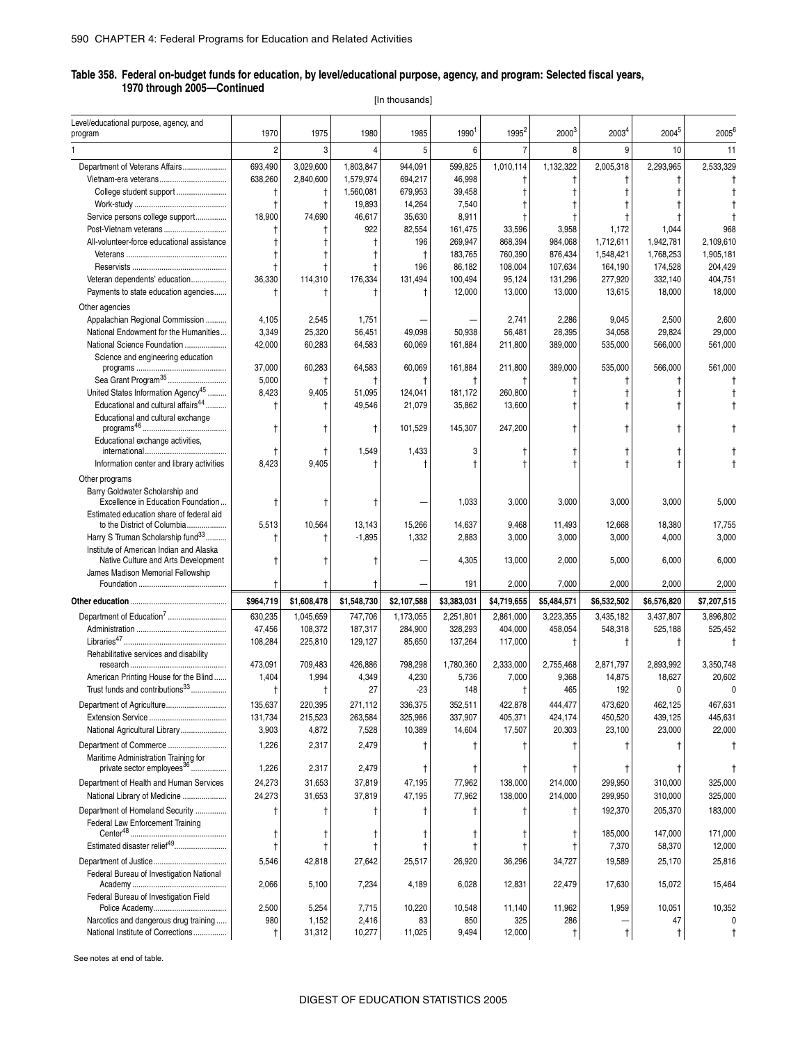[In thousands]

| Level/educational purpose, agency, and<br>program                              | 1970              | 1975            | 1980                | 1985              | 1990            | 1995 <sup>2</sup> | $2000^{3}$        | 2003 <sup>4</sup> | $2004^{5}$       | 2005 <sup>6</sup> |
|--------------------------------------------------------------------------------|-------------------|-----------------|---------------------|-------------------|-----------------|-------------------|-------------------|-------------------|------------------|-------------------|
|                                                                                |                   |                 |                     |                   |                 |                   |                   |                   |                  |                   |
|                                                                                | $\overline{2}$    | 3               | $\Delta$            | 5                 | 6               | $\overline{7}$    | 8                 | 9                 | 10               | 11                |
| Department of Veterans Affairs                                                 | 693,490           | 3,029,600       | 1,803,847           | 944,091           | 599,825         | 1,010,114         | 1,132,322         | 2,005,318         | 2,293,965        | 2,533,329         |
| Vietnam-era veterans<br>College student support                                | 638,260           | 2,840,600       | 1,579,974           | 694,217           | 46,998          | t                 | t                 |                   |                  |                   |
|                                                                                | $\ddagger$<br>t   | Ť<br>$\ddagger$ | 1,560,081<br>19,893 | 679,953<br>14,264 | 39,458<br>7,540 | t                 |                   |                   |                  |                   |
| Service persons college support                                                | 18,900            | 74,690          | 46,617              | 35,630            | 8,911           |                   |                   |                   |                  |                   |
| Post-Vietnam veterans                                                          |                   |                 | 922                 | 82,554            | 161,475         | 33,596            | 3,958             | 1,172             | 1,044            | 968               |
| All-volunteer-force educational assistance                                     |                   |                 |                     | 196               | 269,947         | 868,394           | 984,068           | 1,712,611         | 1,942,781        | 2,109,610         |
|                                                                                | t                 |                 |                     | $\mathsf{t}$      | 183,765         | 760,390           | 876,434           | 1,548,421         | 1,768,253        | 1,905,181         |
|                                                                                | $^\dagger$        |                 |                     | 196               | 86,182          | 108,004           | 107,634           | 164,190           | 174,528          | 204,429           |
| Veteran dependents' education                                                  | 36,330            | 114.310         | 176,334             | 131.494           | 100,494         | 95,124            | 131,296           | 277,920           | 332,140          | 404,751           |
| Payments to state education agencies                                           | t                 |                 |                     |                   | 12,000          | 13,000            | 13,000            | 13,615            | 18,000           | 18,000            |
| Other agencies                                                                 |                   |                 |                     |                   |                 |                   |                   |                   |                  |                   |
| Appalachian Regional Commission                                                | 4,105             | 2,545           | 1,751               |                   |                 | 2,741             | 2,286             | 9,045             | 2,500            | 2,600             |
| National Endowment for the Humanities                                          | 3,349             | 25,320          | 56,451              | 49,098            | 50,938          | 56,481            | 28,395            | 34,058            | 29,824           | 29,000            |
| National Science Foundation                                                    | 42,000            | 60,283          | 64,583              | 60,069            | 161,884         | 211,800           | 389,000           | 535,000           | 566,000          | 561,000           |
| Science and engineering education                                              | 37,000            | 60,283          | 64,583              | 60,069            | 161,884         | 211,800           | 389,000           | 535,000           | 566,000          | 561,000           |
| Sea Grant Program <sup>35</sup>                                                | 5,000             | Ť               |                     |                   | Ť               |                   | t                 |                   |                  |                   |
| United States Information Agency <sup>45</sup>                                 | 8,423             | 9,405           | 51,095              | 124,041           | 181.172         | 260.800           | t                 |                   |                  |                   |
| Educational and cultural affairs <sup>44</sup>                                 | t                 |                 | 49,546              | 21,079            | 35,862          | 13,600            |                   |                   |                  |                   |
| Educational and cultural exchange                                              |                   |                 |                     |                   |                 |                   |                   |                   |                  |                   |
|                                                                                | $\ddagger$        |                 | $\mathsf{t}$        | 101,529           | 145,307         | 247,200           | t                 |                   |                  |                   |
| Educational exchange activities,                                               | t                 |                 | 1,549               | 1,433             | 3               |                   |                   |                   |                  |                   |
| Information center and library activities                                      | 8,423             | 9,405           |                     |                   |                 |                   |                   |                   |                  |                   |
| Other programs                                                                 |                   |                 |                     |                   |                 |                   |                   |                   |                  |                   |
| Barry Goldwater Scholarship and                                                |                   |                 |                     |                   |                 |                   |                   |                   |                  |                   |
| Excellence in Education Foundation                                             | t                 | T,              |                     |                   | 1,033           | 3,000             | 3,000             | 3,000             | 3,000            | 5,000             |
| Estimated education share of federal aid                                       |                   |                 |                     |                   |                 |                   |                   |                   |                  |                   |
| to the District of Columbia                                                    | 5,513             | 10,564          | 13,143              | 15,266            | 14,637          | 9,468             | 11,493            | 12,668            | 18,380           | 17,755            |
| Harry S Truman Scholarship fund <sup>33</sup>                                  | t                 | $^\dagger$      | $-1,895$            | 1,332             | 2,883           | 3,000             | 3,000             | 3,000             | 4,000            | 3,000             |
| Institute of American Indian and Alaska<br>Native Culture and Arts Development |                   |                 |                     |                   | 4,305           | 13,000            | 2,000             | 5,000             | 6,000            | 6,000             |
| James Madison Memorial Fellowship                                              |                   |                 |                     |                   |                 |                   |                   |                   |                  |                   |
|                                                                                |                   | t               |                     |                   | 191             | 2,000             | 7,000             | 2,000             | 2,000            | 2,000             |
|                                                                                | \$964,719         | \$1,608,478     | \$1,548,730         | \$2,107,588       | \$3,383,031     | \$4,719,655       | \$5,484,571       | \$6,532,502       | \$6,576,820      | \$7,207,515       |
| Department of Education <sup>7</sup>                                           | 630,235           | 1,045,659       | 747,706             | 1,173,055         | 2,251,801       | 2,861,000         | 3,223,355         | 3,435,182         | 3,437,807        | 3,896,802         |
|                                                                                | 47,456            | 108,372         | 187,317             | 284,900           | 328,293         | 404,000           | 458,054           | 548,318           | 525,188          | 525,452           |
|                                                                                | 108,284           | 225,810         | 129,127             | 85,650            | 137,264         | 117,000           | t                 | Ť                 | $^{\dagger}$     |                   |
| Rehabilitative services and disability                                         |                   |                 |                     |                   |                 |                   |                   |                   |                  |                   |
|                                                                                | 473,091           | 709,483         | 426,886             | 798,298           | 1,780,360       | 2,333,000         | 2,755,468         | 2,871,797         | 2,893,992        | 3,350,748         |
| American Printing House for the Blind                                          | 1,404             | 1,994           | 4,349               | 4,230             | 5,736           | 7,000             | 9,368             | 14,875            | 18,627           | 20,602            |
| Trust funds and contributions <sup>33</sup>                                    | $\ddagger$        | t               | 27                  | $-23$             | 148             | $\ddagger$        | 465               | 192               | 0                | 0                 |
| Department of Agriculture                                                      | 135,637           | 220,395         | 2/1,112             | 336,375           | 352,511         | 422,878           | 444,477           | 473,620           | 462,125          | 467,631           |
|                                                                                | 131,734           | 215,523         | 263,584             | 325,986           | 337,907         | 405,371           | 424,174           | 450,520           | 439,125          | 445,631           |
| National Agricultural Library                                                  | 3,903             | 4,872           | 7,528               | 10,389            | 14,604          | 17,507            | 20,303            | 23,100            | 23,000           | 22,000            |
| Department of Commerce                                                         | 1,226             | 2,317           | 2,479               |                   |                 |                   |                   |                   |                  |                   |
| Maritime Administration Training for<br>private sector employees <sup>36</sup> | 1,226             | 2,317           | 2,479               |                   | Ť               | Ť                 | Ť                 |                   |                  |                   |
| Department of Health and Human Services                                        | 24,273            | 31,653          | 37,819              | 47,195            | 77,962          | 138,000           | 214,000           | 299,950           | 310,000          | 325,000           |
| National Library of Medicine                                                   | 24,273            | 31,653          | 37,819              | 47,195            | 77,962          | 138,000           | 214,000           | 299,950           | 310,000          | 325,000           |
| Department of Homeland Security                                                | t                 | Ť               |                     |                   |                 |                   | t                 | 192,370           | 205,370          | 183,000           |
| <b>Federal Law Enforcement Training</b>                                        |                   |                 |                     |                   |                 |                   |                   |                   |                  |                   |
|                                                                                |                   |                 |                     |                   |                 |                   | t                 | 185,000           | 147,000          | 171,000           |
|                                                                                | t                 | Ť               |                     |                   |                 |                   |                   |                   |                  |                   |
| Estimated disaster relief <sup>49</sup>                                        | $^{\dagger}$      | t               |                     |                   |                 | $^{\dagger}$      | t                 | 7,370             | 58,370           | 12,000            |
|                                                                                | 5,546             | 42,818          | 27,642              | 25,517            | 26,920          | 36,296            | 34,727            | 19,589            | 25,170           | 25,816            |
| Federal Bureau of Investigation National                                       |                   |                 |                     |                   |                 |                   |                   |                   |                  |                   |
|                                                                                | 2,066             | 5,100           | 7,234               | 4,189             | 6,028           | 12,831            | 22,479            | 17,630            | 15,072           | 15,464            |
| Federal Bureau of Investigation Field                                          |                   |                 |                     |                   |                 |                   |                   |                   |                  |                   |
|                                                                                | 2,500             | 5,254           | 7,715               | 10,220            | 10,548          | 11,140            | 11,962            | 1,959             | 10,051           | 10,352            |
| Narcotics and dangerous drug training<br>National Institute of Corrections     | 980<br>$\ddagger$ | 1,152<br>31,312 | 2,416<br>10,277     | 83<br>11,025      | 850<br>9,494    | 325<br>12,000     | 286<br>$\ddagger$ | t                 | 47<br>$^\dagger$ |                   |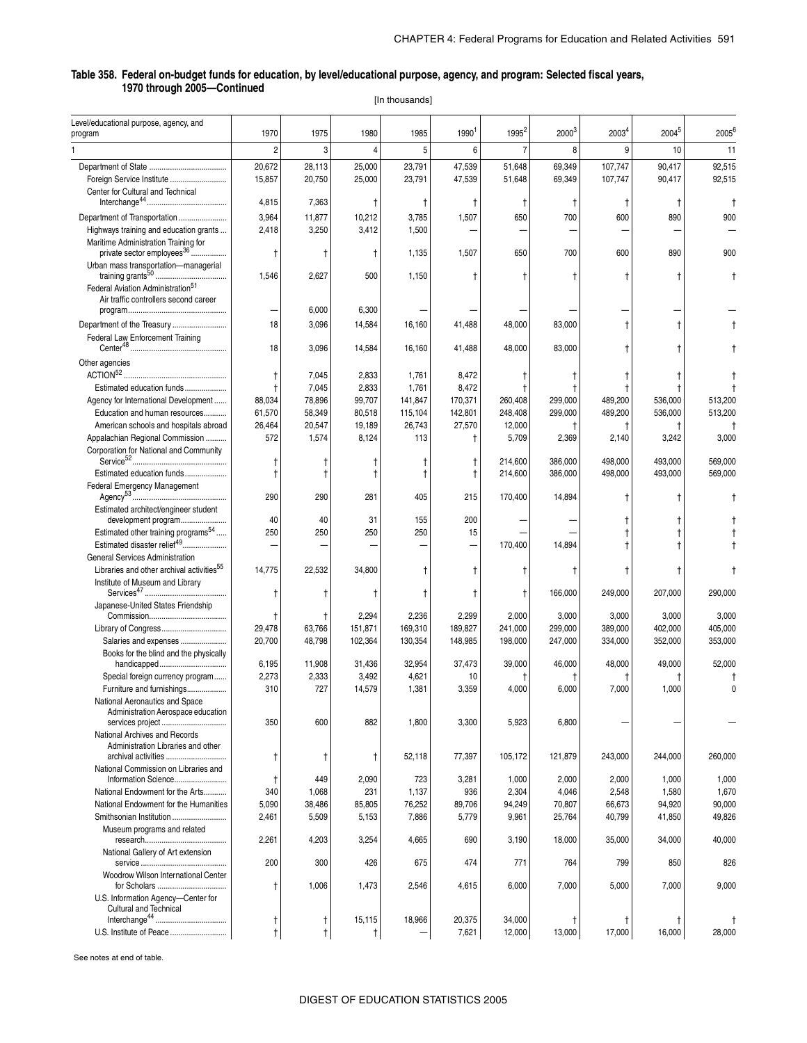[In thousands]

| Level/educational purpose, agency, and<br>program                                        | 1970             | 1975             | 1980             | 1985              | 1990 <sup>1</sup> | 1995 <sup>2</sup> | 2000 <sup>3</sup> | 2003 <sup>4</sup>   | 2004 <sup>5</sup> | 2005 <sup>6</sup> |
|------------------------------------------------------------------------------------------|------------------|------------------|------------------|-------------------|-------------------|-------------------|-------------------|---------------------|-------------------|-------------------|
|                                                                                          | 2                | 3                | 4                | 5                 | 6                 | $\overline{7}$    | 8                 | 9                   | 10                | 11                |
|                                                                                          | 20,672           | 28,113           | 25,000           | 23,791            | 47,539            | 51,648            | 69,349            | 107,747             | 90,417            | 92,515            |
| Foreign Service Institute                                                                | 15,857           | 20,750           | 25,000           | 23,791            | 47,539            | 51,648            | 69,349            | 107,747             | 90,417            | 92,515            |
| Center for Cultural and Technical                                                        |                  |                  |                  |                   |                   |                   |                   |                     |                   |                   |
| $Interchange^{44}\\$                                                                     | 4,815            | 7,363            | Ť                | ŧ                 | Ť                 | Ť                 | t                 | Ť                   | Ť                 | ŧ                 |
| Department of Transportation                                                             | 3,964            | 11,877           | 10,212           | 3,785             | 1,507             | 650               | 700               | 600                 | 890               | 900               |
| Highways training and education grants                                                   | 2,418            | 3,250            | 3,412            | 1,500             |                   |                   |                   |                     |                   |                   |
| Maritime Administration Training for<br>private sector employees <sup>36</sup>           | $^\dagger$       | $^\dagger$       | $^{\dagger}$     | 1,135             | 1,507             | 650               | 700               | 600                 | 890               | 900               |
| Urban mass transportation-managerial                                                     | 1,546            | 2,627            | 500              | 1,150             | $\mathbf t$       | $\mathbf t$       | t                 | t                   | t                 |                   |
| Federal Aviation Administration <sup>51</sup><br>Air traffic controllers second career   |                  |                  |                  |                   |                   |                   |                   |                     |                   |                   |
|                                                                                          |                  | 6,000            | 6,300            |                   |                   |                   |                   |                     |                   |                   |
| Department of the Treasury                                                               | 18               | 3,096            | 14,584           | 16,160            | 41,488            | 48,000            | 83,000            | $\ddagger$          | t                 |                   |
| Federal Law Enforcement Training                                                         | 18               | 3,096            | 14,584           | 16,160            | 41,488            | 48,000            | 83,000            | t                   | t                 |                   |
| Other agencies                                                                           |                  |                  |                  |                   |                   |                   |                   |                     |                   |                   |
|                                                                                          | $\ddagger$       | 7,045            | 2,833            | 1,761             | 8,472             | Ť                 |                   |                     |                   |                   |
| Estimated education funds                                                                |                  | 7,045            | 2,833            | 1,761             | 8,472             | Ť                 |                   |                     |                   |                   |
| Agency for International Development                                                     | 88,034           | 78,896           | 99,707           | 141,847           | 170,371           | 260,408           | 299,000           | 489,200             | 536,000           | 513,200           |
| Education and human resources<br>American schools and hospitals abroad                   | 61,570<br>26,464 | 58,349<br>20,547 | 80,518<br>19,189 | 115,104<br>26,743 | 142,801           | 248,408<br>12,000 | 299,000           | 489,200             | 536,000           | 513,200           |
| Appalachian Regional Commission                                                          | 572              | 1,574            | 8,124            | 113               | 27,570<br>Ť       | 5,709             | 2,369             | $^\dagger$<br>2,140 | t<br>3,242        | 3,000             |
| Corporation for National and Community                                                   |                  |                  |                  | Ť                 | $^\dagger$        | 214,600           | 386,000           | 498,000             | 493,000           | 569,000           |
| Estimated education funds                                                                |                  |                  | Ť<br>$\ddagger$  | $\ddagger$        | $\ddagger$        | 214,600           | 386.000           | 498,000             | 493,000           | 569,000           |
| Federal Emergency Management                                                             |                  |                  |                  |                   |                   |                   |                   |                     |                   |                   |
| Estimated architect/engineer student                                                     | 290              | 290              | 281              | 405               | 215               | 170,400           | 14,894            |                     | t                 |                   |
| development program                                                                      | 40               | 40               | 31               | 155               | 200               |                   |                   |                     |                   |                   |
| Estimated other training programs <sup>54</sup>                                          | 250              | 250              | 250              | 250               | 15                |                   |                   |                     | t                 |                   |
| Estimated disaster relief <sup>49</sup>                                                  |                  |                  |                  |                   |                   | 170,400           | 14,894            |                     |                   |                   |
| General Services Administration                                                          |                  |                  |                  |                   |                   |                   |                   |                     |                   |                   |
| Libraries and other archival activities <sup>55</sup><br>Institute of Museum and Library | 14,775           | 22,532           | 34,800           | t                 | $^\dagger$        | Ť                 |                   |                     |                   |                   |
|                                                                                          |                  |                  | Ť                | $^\dagger$        | $^{\dagger}$      | $^{\dagger}$      | 166,000           | 249,000             | 207,000           | 290,000           |
| Japanese-United States Friendship                                                        | $^\dagger$       | Ť                | 2,294            | 2,236             | 2,299             | 2,000             | 3,000             | 3,000               | 3,000             | 3,000             |
| Library of Congress                                                                      | 29,478           | 63,766           | 151,871          | 169,310           | 189,827           | 241,000           | 299.000           | 389,000             | 402,000           | 405,000           |
| Salaries and expenses                                                                    | 20,700           | 48,798           | 102,364          | 130,354           | 148,985           | 198,000           | 247,000           | 334,000             | 352,000           | 353,000           |
| Books for the blind and the physically<br>handicapped                                    | 6,195            | 11,908           | 31,436           | 32,954            | 37,473            | 39,000            | 46,000            | 48,000              | 49,000            | 52,000            |
| Special foreign currency program                                                         | 2,273            | 2,333            | 3,492            | 4,621             | 10                |                   |                   |                     |                   |                   |
| Furniture and furnishings                                                                | 310              | 727              | 14,579           | 1,381             | 3,359             | 4,000             | 6,000             | 7,000               | 1,000             | $\sqrt{ }$        |
| National Aeronautics and Space<br>Administration Aerospace education                     |                  |                  |                  |                   |                   |                   |                   |                     |                   |                   |
| services project                                                                         | 350              | 600              | 882              | 1,800             | 3,300             | 5,923             | 6,800             |                     |                   |                   |
| National Archives and Records<br>Administration Libraries and other                      |                  |                  |                  |                   |                   |                   |                   |                     |                   |                   |
|                                                                                          | t                | $^{\dagger}$     | t                | 52,118            | 77,397            | 105,172           | 121,879           | 243,000             | 244,000           | 260,000           |
| National Commission on Libraries and<br>Information Science                              | $\ddagger$       | 449              | 2,090            | 723               | 3,281             | 1,000             | 2,000             | 2,000               | 1,000             | 1,000             |
| National Endowment for the Arts                                                          | 340              | 1,068            | 231              | 1,137             | 936               | 2,304             | 4,046             | 2,548               | 1,580             | 1,670             |
| National Endowment for the Humanities                                                    | 5,090            | 38,486           | 85,805           | 76,252            | 89,706            | 94,249            | 70,807            | 66,673              | 94,920            | 90,000            |
| Smithsonian Institution                                                                  | 2,461            | 5,509            | 5,153            | 7,886             | 5,779             | 9,961             | 25,764            | 40,799              | 41,850            | 49,826            |
| Museum programs and related                                                              | 2,261            | 4,203            | 3,254            | 4,665             | 690               | 3,190             | 18,000            | 35,000              | 34,000            | 40,000            |
| National Gallery of Art extension                                                        | 200              | 300              | 426              | 675               | 474               | 771               | 764               | 799                 | 850               | 826               |
| Woodrow Wilson International Center<br>for Scholars                                      | t                | 1,006            | 1,473            | 2,546             | 4,615             | 6,000             | 7,000             | 5,000               | 7,000             | 9,000             |
| U.S. Information Agency-Center for<br>Cultural and Technical                             |                  |                  |                  |                   |                   |                   |                   |                     |                   |                   |
|                                                                                          | t                | t                | 15,115           | 18,966            | 20,375            | 34,000            | t                 |                     | Ť                 |                   |
| U.S. Institute of Peace                                                                  | t                | t                | $^\dagger$       |                   | 7,621             | 12,000            | 13,000            | 17,000              | 16,000            | 28,000            |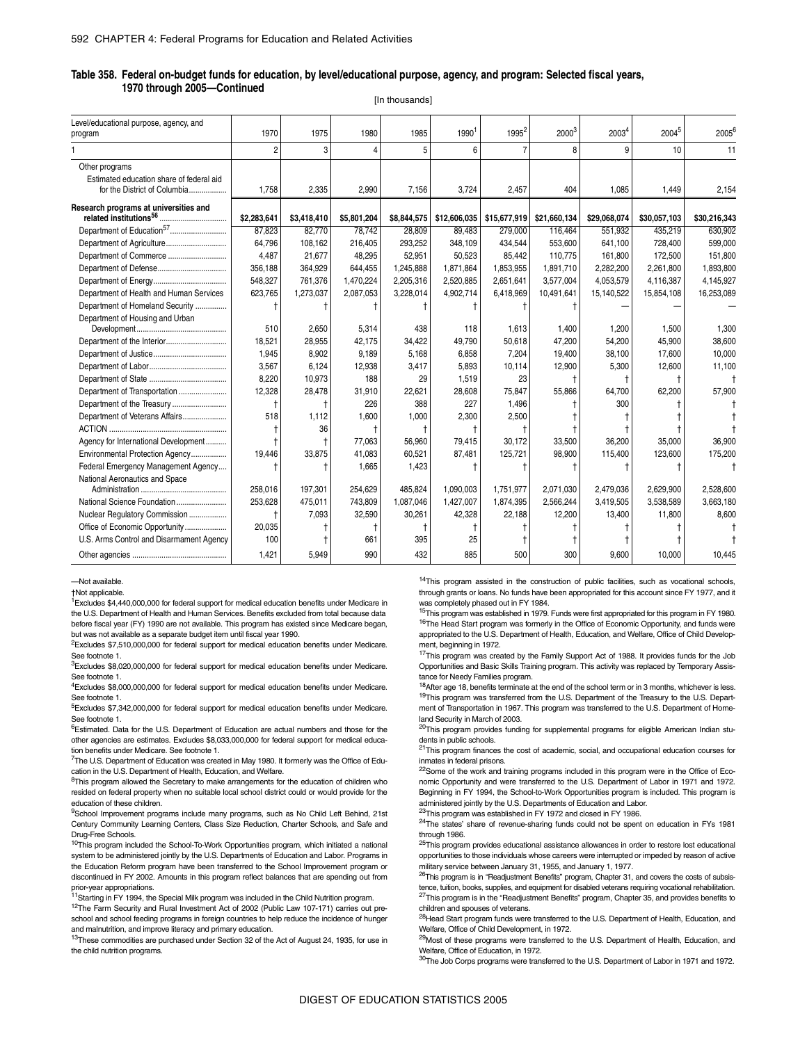|                                                   |             |             |             | [In thousands] |                   |                   |              |                   |              |              |
|---------------------------------------------------|-------------|-------------|-------------|----------------|-------------------|-------------------|--------------|-------------------|--------------|--------------|
| Level/educational purpose, agency, and<br>program | 1970        | 1975        | 1980        | 1985           | 1990 <sup>1</sup> | 1995 <sup>2</sup> | $2000^3$     | 2003 <sup>4</sup> | 20045        | $2005^{6}$   |
|                                                   | 2           | 3           | 4           | 5              | 6                 |                   | 8            | 9                 | 10           | 11           |
| Other programs                                    |             |             |             |                |                   |                   |              |                   |              |              |
| Estimated education share of federal aid          |             |             |             |                |                   |                   |              |                   |              |              |
| for the District of Columbia                      | 1,758       | 2,335       | 2,990       | 7,156          | 3,724             | 2,457             | 404          | 1,085             | 1,449        | 2,154        |
| Research programs at universities and             | \$2,283,641 | \$3,418,410 | \$5,801,204 | \$8,844,575    | \$12,606,035      | \$15,677,919      | \$21,660,134 | \$29,068,074      | \$30,057,103 | \$30,216,343 |
| Department of Education <sup>57</sup>             | 87,823      | 82,770      | 78,742      | 28,809         | 89,483            | 279,000           | 116,464      | 551,932           | 435,219      | 630,902      |
|                                                   | 64,796      | 108,162     | 216,405     | 293,252        | 348,109           | 434,544           | 553,600      | 641,100           | 728,400      | 599,000      |
| Department of Commerce                            | 4.487       | 21.677      | 48,295      | 52,951         | 50.523            | 85.442            | 110.775      | 161,800           | 172,500      | 151.800      |
|                                                   | 356,188     | 364,929     | 644,455     | 1,245,888      | 1,871,864         | 1,853,955         | 1,891,710    | 2,282,200         | 2,261,800    | 1,893,800    |
|                                                   | 548,327     | 761,376     | 1,470,224   | 2,205,316      | 2,520,885         | 2,651,641         | 3,577,004    | 4,053,579         | 4,116,387    | 4,145,927    |
| Department of Health and Human Services           | 623,765     | 1,273,037   | 2,087,053   | 3,228,014      | 4,902,714         | 6,418,969         | 10,491,641   | 15,140,522        | 15,854,108   | 16,253,089   |
| Department of Homeland Security                   |             |             |             |                |                   |                   |              |                   |              |              |
| Department of Housing and Urban                   |             |             |             |                |                   |                   |              |                   |              |              |
|                                                   | 510         | 2,650       | 5,314       | 438            | 118               | 1,613             | 1,400        | 1,200             | 1,500        | 1,300        |
| Department of the Interior                        | 18.521      | 28,955      | 42.175      | 34,422         | 49.790            | 50.618            | 47.200       | 54.200            | 45.900       | 38.600       |
|                                                   | 1.945       | 8,902       | 9,189       | 5.168          | 6,858             | 7.204             | 19,400       | 38,100            | 17,600       | 10.000       |
|                                                   | 3.567       | 6,124       | 12,938      | 3,417          | 5,893             | 10.114            | 12,900       | 5,300             | 12,600       | 11,100       |
|                                                   | 8,220       | 10,973      | 188         | 29             | 1,519             | 23                |              |                   |              |              |
| Department of Transportation                      | 12,328      | 28,478      | 31,910      | 22,621         | 28,608            | 75.847            | 55,866       | 64,700            | 62,200       | 57,900       |
| Department of the Treasury                        |             |             | 226         | 388            | 227               | 1.496             |              | 300               |              |              |
| Department of Veterans Affairs                    | 518         | 1,112       | 1,600       | 1,000          | 2,300             | 2,500             |              |                   |              |              |
|                                                   |             | 36          |             |                |                   |                   |              |                   |              |              |
| Agency for International Development              |             |             | 77,063      | 56.960         | 79,415            | 30.172            | 33,500       | 36.200            | 35,000       | 36,900       |
| Environmental Protection Agency                   | 19,446      | 33,875      | 41,083      | 60,521         | 87,481            | 125,721           | 98,900       | 115,400           | 123,600      | 175,200      |
| Federal Emergency Management Agency               |             |             | 1,665       | 1,423          |                   |                   |              |                   |              |              |
| National Aeronautics and Space                    |             |             |             |                |                   |                   |              |                   |              |              |
|                                                   | 258.016     | 197.301     | 254,629     | 485.824        | 1,090,003         | 1,751,977         | 2.071.030    | 2,479,036         | 2,629,900    | 2,528,600    |
|                                                   | 253,628     | 475,011     | 743,809     | 1,087,046      | 1,427,007         | 1,874,395         | 2,566,244    | 3,419,505         | 3,538,589    | 3,663,180    |
| Nuclear Regulatory Commission                     |             | 7,093       | 32,590      | 30,261         | 42,328            | 22,188            | 12,200       | 13,400            | 11,800       | 8,600        |
| Office of Economic Opportunity                    | 20,035      |             |             |                |                   |                   |              |                   |              |              |
| U.S. Arms Control and Disarmament Agency          | 100         |             | 661         | 395            | 25                |                   |              |                   |              |              |
|                                                   | 1,421       | 5.949       | 990         | 432            | 885               | 500               | 300          | 9.600             | 10.000       | 10.445       |

—Not available.

†Not applicable.

 $1$ Excludes \$4,440,000,000 for federal support for medical education benefits under Medicare in the U.S. Department of Health and Human Services. Benefits excluded from total because data before fiscal year (FY) 1990 are not available. This program has existed since Medicare began, but was not available as a separate budget item until fiscal year 1990.

2Excludes \$7,510,000,000 for federal support for medical education benefits under Medicare. See footnote 1.

 ${}^{3}$ Excludes \$8,020,000,000 for federal support for medical education benefits under Medicare. See footnote 1.

<sup>4</sup>Excludes \$8,000,000,000 for federal support for medical education benefits under Medicare. See footnote 1.

5Excludes \$7,342,000,000 for federal support for medical education benefits under Medicare. See footnote 1.

6Estimated. Data for the U.S. Department of Education are actual numbers and those for the other agencies are estimates. Excludes \$8,033,000,000 for federal support for medical education benefits under Medicare. See footnote 1.

<sup>7</sup>The U.S. Department of Education was created in May 1980. It formerly was the Office of Education in the U.S. Department of Health, Education, and Welfare.

<sup>8</sup>This program allowed the Secretary to make arrangements for the education of children who resided on federal property when no suitable local school district could or would provide for the education of these children.

<sup>9</sup>School Improvement programs include many programs, such as No Child Left Behind, 21st Century Community Learning Centers, Class Size Reduction, Charter Schools, and Safe and Drug-Free Schools.

<sup>10</sup>This program included the School-To-Work Opportunities program, which initiated a national system to be administered jointly by the U.S. Departments of Education and Labor. Programs in the Education Reform program have been transferred to the School Improvement program or discontinued in FY 2002. Amounts in this program reflect balances that are spending out from prior-year appropriations.

<sup>11</sup>Starting in FY 1994, the Special Milk program was included in the Child Nutrition program.

<sup>12</sup>The Farm Security and Rural Investment Act of 2002 (Public Law 107-171) carries out preschool and school feeding programs in foreign countries to help reduce the incidence of hunger and malnutrition, and improve literacy and primary education.

 $13$ These commodities are purchased under Section 32 of the Act of August 24, 1935, for use in the child nutrition programs.

<sup>14</sup>This program assisted in the construction of public facilities, such as vocational schools, through grants or loans. No funds have been appropriated for this account since FY 1977, and it was completely phased out in FY 1984.

<sup>15</sup>This program was established in 1979. Funds were first appropriated for this program in FY 1980. <sup>16</sup>The Head Start program was formerly in the Office of Economic Opportunity, and funds were appropriated to the U.S. Department of Health, Education, and Welfare, Office of Child Development, beginning in 1972.

<sup>17</sup>This program was created by the Family Support Act of 1988. It provides funds for the Job Opportunities and Basic Skills Training program. This activity was replaced by Temporary Assistance for Needy Families program.

<sup>18</sup>After age 18, benefits terminate at the end of the school term or in 3 months, whichever is less. 19This program was transferred from the U.S. Department of the Treasury to the U.S. Department of Transportation in 1967. This program was transferred to the U.S. Department of Home-

land Security in March of 2003.<br><sup>20</sup>This program provides funding for supplemental programs for eligible American Indian students in public schools.

<sup>21</sup>This program finances the cost of academic, social, and occupational education courses for inmates in federal prisons.

<sup>22</sup>Some of the work and training programs included in this program were in the Office of Economic Opportunity and were transferred to the U.S. Department of Labor in 1971 and 1972. Beginning in FY 1994, the School-to-Work Opportunities program is included. This program is administered jointly by the U.S. Departments of Education and Labor.

<sup>23</sup>This program was established in FY 1972 and closed in FY 1986.

<sup>24</sup>The states' share of revenue-sharing funds could not be spent on education in FYs 1981 through 1986.

<sup>25</sup>This program provides educational assistance allowances in order to restore lost educational opportunities to those individuals whose careers were interrupted or impeded by reason of active military service between January 31, 1955, and January 1, 1977.

<sup>26</sup>This program is in "Readjustment Benefits" program, Chapter 31, and covers the costs of subsistence, tuition, books, supplies, and equipment for disabled veterans requiring vocational rehabilitation.  $^{27}$ This program is in the "Readjustment Benefits" program, Chapter 35, and provides benefits to children and spouses of veterans.

<sup>28</sup>Head Start program funds were transferred to the U.S. Department of Health, Education, and Welfare, Office of Child Development, in 1972.

<sup>29</sup>Most of these programs were transferred to the U.S. Department of Health, Education, and Welfare, Office of Education, in 1972.

30The Job Corps programs were transferred to the U.S. Department of Labor in 1971 and 1972.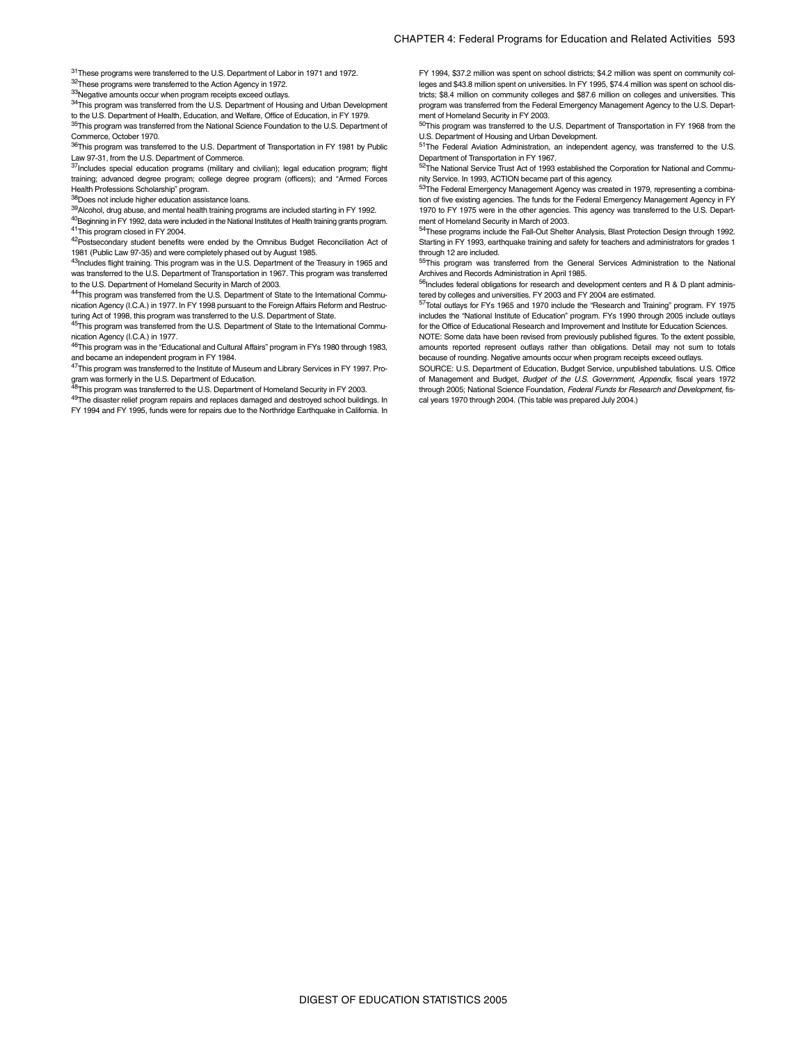31These programs were transferred to the U.S. Department of Labor in 1971 and 1972. 32These programs were transferred to the Action Agency in 1972.

33Negative amounts occur when program receipts exceed outlays.

<sup>34</sup>This program was transferred from the U.S. Department of Housing and Urban Development to the U.S. Department of Health, Education, and Welfare, Office of Education, in FY 1979.

<sup>35</sup>This program was transferred from the National Science Foundation to the U.S. Department of Commerce, October 1970.

36This program was transferred to the U.S. Department of Transportation in FY 1981 by Public Law 97-31, from the U.S. Department of Commerce.

 $37$ Includes special education programs (military and civilian); legal education program; flight training; advanced degree program; college degree program (officers); and "Armed Forces Health Professions Scholarship" program.

38Does not include higher education assistance loans.

39Alcohol, drug abuse, and mental health training programs are included starting in FY 1992.

<sup>40</sup>Beginning in FY 1992, data were included in the National Institutes of Health training grants program. 41This program closed in FY 2004.

42Postsecondary student benefits were ended by the Omnibus Budget Reconciliation Act of 1981 (Public Law 97-35) and were completely phased out by August 1985.

<sup>43</sup>Includes flight training. This program was in the U.S. Department of the Treasury in 1965 and was transferred to the U.S. Department of Transportation in 1967. This program was transferred to the U.S. Department of Homeland Security in March of 2003.

44This program was transferred from the U.S. Department of State to the International Communication Agency (I.C.A.) in 1977. In FY 1998 pursuant to the Foreign Affairs Reform and Restructuring Act of 1998, this program was transferred to the U.S. Department of State

<sup>45</sup>This program was transferred from the U.S. Department of State to the International Communication Agency (I.C.A.) in 1977.

<sup>46</sup>This program was in the "Educational and Cultural Affairs" program in FYs 1980 through 1983, and became an independent program in FY 1984.

47This program was transferred to the Institute of Museum and Library Services in FY 1997. Pro-

gram was formerly in the U.S. Department of Education.<br><sup>48</sup>This program was transferred to the U.S. Department of Homeland Security in FY 2003.

49The disaster relief program repairs and replaces damaged and destroyed school buildings. In

FY 1994 and FY 1995, funds were for repairs due to the Northridge Earthquake in California. In

FY 1994, \$37.2 million was spent on school districts; \$4.2 million was spent on community colleges and \$43.8 million spent on universities. In FY 1995, \$74.4 million was spent on school districts; \$8.4 million on community colleges and \$87.6 million on colleges and universities. This program was transferred from the Federal Emergency Management Agency to the U.S. Department of Homeland Security in FY 2003.

50This program was transferred to the U.S. Department of Transportation in FY 1968 from the U.S. Department of Housing and Urban Development.

51The Federal Aviation Administration, an independent agency, was transferred to the U.S. Department of Transportation in FY 1967.

52The National Service Trust Act of 1993 established the Corporation for National and Community Service. In 1993, ACTION became part of this agency.

<sup>53</sup>The Federal Emergency Management Agency was created in 1979, representing a combination of five existing agencies. The funds for the Federal Emergency Management Agency in FY 1970 to FY 1975 were in the other agencies. This agency was transferred to the U.S. Department of Homeland Security in March of 2003.

<sup>4</sup>These programs include the Fall-Out Shelter Analysis, Blast Protection Design through 1992. Starting in FY 1993, earthquake training and safety for teachers and administrators for grades 1

through 12 are included.<br><sup>55</sup>This program was transferred from the General Services Administration to the National Archives and Records Administration in April 1985.

 $56$ Includes federal obligations for research and development centers and R & D plant administered by colleges and universities. FY 2003 and FY 2004 are estimated.

57Total outlays for FYs 1965 and 1970 include the "Research and Training" program. FY 1975 includes the "National Institute of Education" program. FYs 1990 through 2005 include outlays for the Office of Educational Research and Improvement and Institute for Education Sciences.

NOTE: Some data have been revised from previously published figures. To the extent possible, amounts reported represent outlays rather than obligations. Detail may not sum to totals because of rounding. Negative amounts occur when program receipts exceed outlays.

SOURCE: U.S. Department of Education, Budget Service, unpublished tabulations. U.S. Office of Management and Budget, *Budget of the U.S. Government, Appendix*, fiscal years 1972 through 2005; National Science Foundation, *Federal Funds for Research and Development*, fiscal years 1970 through 2004. (This table was prepared July 2004.)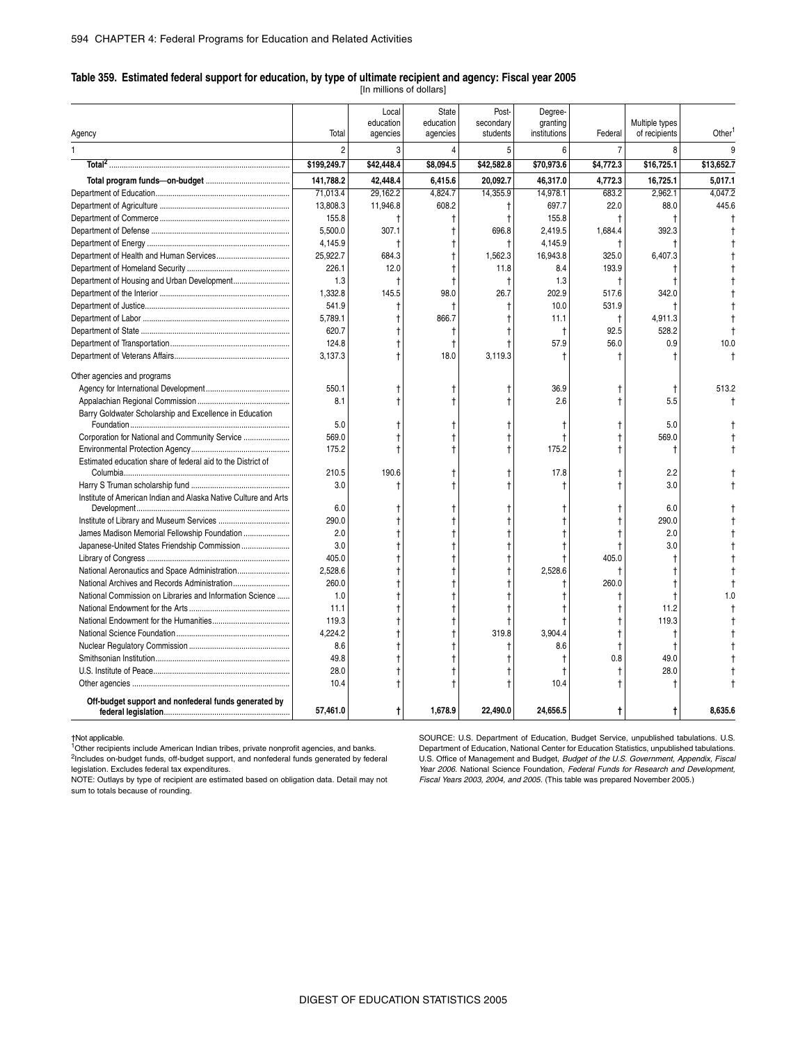#### **Table 359. Estimated federal support for education, by type of ultimate recipient and agency: Fiscal year 2005**

[In millions of dollars]

|                                                                 |                | Local<br>education | State<br>education | Post-<br>secondary | Degree-<br>granting |                | Multiple types |            |
|-----------------------------------------------------------------|----------------|--------------------|--------------------|--------------------|---------------------|----------------|----------------|------------|
| Agency                                                          | Total          | agencies           | agencies           | students           | institutions        | Federal        | of recipients  | Other      |
|                                                                 | $\overline{2}$ | 3                  |                    | 5                  | 6                   | $\overline{7}$ | 8              |            |
|                                                                 | \$199,249.7    | \$42,448.4         | \$8,094.5          | \$42,582.8         | \$70,973.6          | \$4,772.3      | \$16,725.1     | \$13,652.7 |
|                                                                 | 141,788.2      | 42,448.4           | 6,415.6            | 20,092.7           | 46,317.0            | 4,772.3        | 16,725.1       | 5.017.1    |
|                                                                 | 71,013.4       | 29,162.2           | 4,824.7            | 14,355.9           | 14,978.1            | 683.2          | 2,962.1        | 4,047.2    |
|                                                                 | 13,808.3       | 11,946.8           | 608.2              | $\ddagger$         | 697.7               | 22.0           | 88.0           | 445.6      |
|                                                                 | 155.8          |                    |                    | t                  | 155.8               | t              |                |            |
|                                                                 | 5.500.0        | 307.1              |                    | 696.8              | 2.419.5             | 1,684.4        | 392.3          |            |
|                                                                 | 4,145.9        | $\mathbf{f}$       |                    | t                  | 4,145.9             |                |                |            |
|                                                                 | 25,922.7       | 684.3              |                    | 1,562.3            | 16,943.8            | 325.0          | 6,407.3        |            |
|                                                                 | 226.1          | 12.0               |                    | 11.8               | 8.4                 | 193.9          |                |            |
|                                                                 | 1.3            | t                  |                    | t                  | 1.3                 | t              |                |            |
|                                                                 | 1,332.8        | 145.5              | 98.0               | 26.7               | 202.9               | 517.6          | 342.0          |            |
|                                                                 | 541.9          | $\mathsf{t}$       |                    | t                  | 10.0                | 531.9          | t              |            |
|                                                                 | 5,789.1        |                    | 866.7              | t                  | 11.1                | Ť              | 4,911.3        |            |
|                                                                 | 620.7          |                    |                    | t                  | $\ddagger$          | 92.5           | 528.2          |            |
|                                                                 | 124.8          |                    |                    | t                  | 57.9                | 56.0           | 0.9            | 10.0       |
|                                                                 | 3,137.3        |                    | 18.0               | 3,119.3            | ŧ                   | $\ddagger$     |                |            |
| Other agencies and programs                                     |                |                    |                    |                    |                     |                |                |            |
|                                                                 | 550.1          |                    |                    |                    | 36.9                |                | $\ddagger$     | 513.2      |
|                                                                 | 8.1            |                    |                    |                    | 2.6                 |                | 5.5            |            |
| Barry Goldwater Scholarship and Excellence in Education         | 5.0            |                    |                    | Ť                  |                     |                | 5.0            |            |
|                                                                 | 569.0          |                    |                    | t                  |                     |                | 569.0          |            |
|                                                                 | 175.2          |                    |                    | t                  | 175.2               |                |                |            |
| Estimated education share of federal aid to the District of     | 210.5          | 190.6              |                    | t                  | 17.8                |                | 2.2            |            |
|                                                                 | 3.0            |                    |                    | t                  |                     |                | 3.0            |            |
| Institute of American Indian and Alaska Native Culture and Arts |                | 1                  |                    |                    |                     |                |                |            |
|                                                                 | 6.0            |                    |                    |                    |                     |                | 6.0            |            |
|                                                                 | 290.0          |                    |                    | t                  |                     | t              | 290.0          |            |
| James Madison Memorial Fellowship Foundation                    | 2.0            |                    |                    | t                  |                     |                | 2.0            |            |
| Japanese-United States Friendship Commission                    | 3.0            |                    |                    | t                  |                     | t              | 3.0            |            |
|                                                                 | 405.0          |                    |                    | t                  |                     | 405.0          |                |            |
|                                                                 | 2,528.6        |                    |                    | t                  | 2,528.6             | $\ddagger$     |                |            |
|                                                                 | 260.0          |                    |                    | t                  |                     | 260.0          |                |            |
| National Commission on Libraries and Information Science        | 1.0            |                    |                    |                    |                     | Τ              | $^\dagger$     | 1.0        |
|                                                                 | 11.1           |                    |                    | t                  |                     |                | 11.2           |            |
|                                                                 | 119.3          |                    |                    | t                  |                     |                | 119.3          |            |
|                                                                 | 4.224.2        |                    |                    | 319.8              | 3.904.4             |                | t              |            |
|                                                                 | 8.6            |                    |                    | t                  | 8.6                 | Ť              | t              |            |
|                                                                 | 49.8           |                    |                    |                    |                     | 0.8            | 49.0           |            |
|                                                                 | 28.0           |                    |                    | t                  |                     | Ť              | 28.0           |            |
|                                                                 | 10.4           |                    |                    | t                  | 10.4                |                |                |            |
| Off-budget support and nonfederal funds generated by            | 57,461.0       |                    | 1,678.9            | 22,490.0           | 24,656.5            |                | t              | 8.635.6    |

†Not applicable.

1<br><sup>1</sup>Other recipients include American Indian tribes, private nonprofit agencies, and banks. <sup>2</sup>Includes on-budget funds, off-budget support, and nonfederal funds generated by federal legislation. Excludes federal tax expenditures.

NOTE: Outlays by type of recipient are estimated based on obligation data. Detail may not sum to totals because of rounding.

SOURCE: U.S. Department of Education, Budget Service, unpublished tabulations. U.S. Department of Education, National Center for Education Statistics, unpublished tabulations. U.S. Office of Management and Budget, *Budget of the U.S. Government, Appendix, Fiscal Year 2006*. National Science Foundation, *Federal Funds for Research and Development, Fiscal Years 2003, 2004, and 2005*. (This table was prepared November 2005.)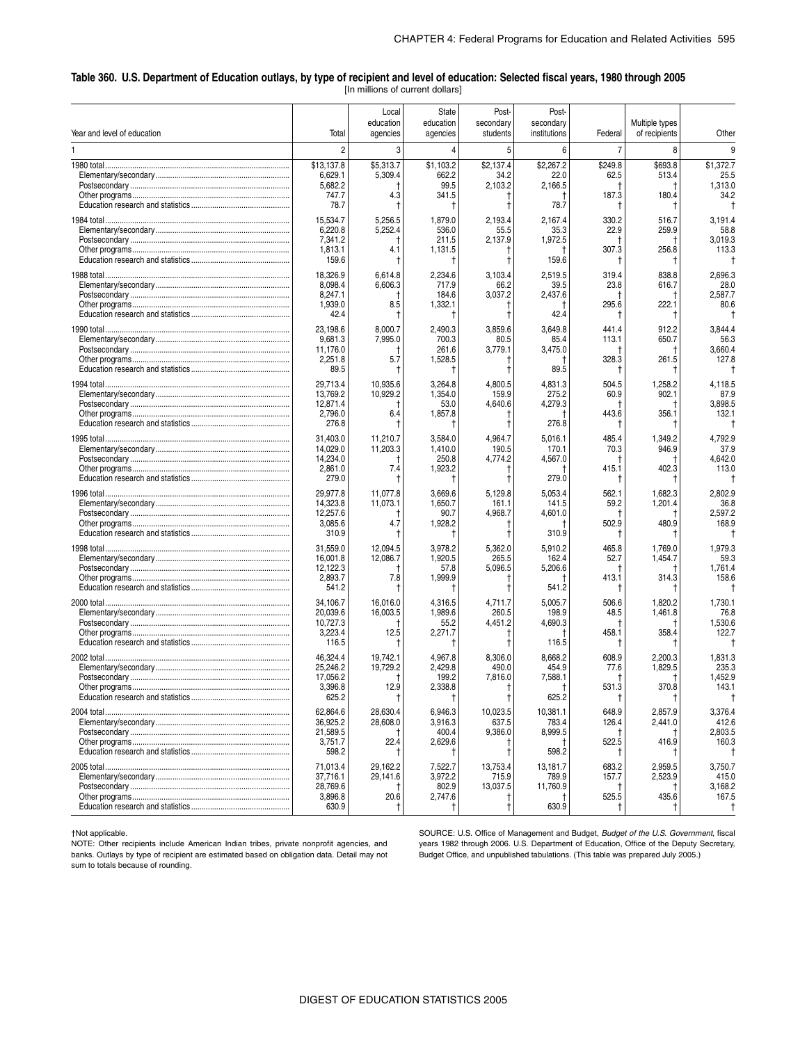#### \_ **Table 360. U.S. Department of Education outlays, by type of recipient and level of education: Selected fiscal years, 1980 through 2005** [In millions of current dollars]

| Year and level of education | Total                                                | Local<br>education<br>agencies | State<br>education<br>agencies              | Post-<br>secondary<br>students                            | Post-<br>secondary<br>institutions     | Federal                          | Multiple types<br>of recipients  | Other                                     |
|-----------------------------|------------------------------------------------------|--------------------------------|---------------------------------------------|-----------------------------------------------------------|----------------------------------------|----------------------------------|----------------------------------|-------------------------------------------|
|                             | $\overline{c}$                                       | 3                              | 4                                           | 5                                                         | 6                                      | $\overline{7}$                   | 8                                | q                                         |
|                             | \$13,137.8<br>6,629.1<br>5,682.2<br>747.7<br>78.7    | \$5,313.7<br>5,309.4<br>4.3    | \$1,103.2<br>662.2<br>99.5<br>341.5<br>t    | \$2,137.4<br>34.2<br>2,103.2<br>1<br>t                    | \$2,267.2<br>22.0<br>2,166.5<br>78.7   | \$249.8<br>62.5<br>187.3         | \$693.8<br>513.4<br>180.4        | \$1,372.7<br>25.5<br>1,313.0<br>34.2      |
|                             | 15,534.7<br>6,220.8<br>7,341.2<br>1,813.1<br>159.6   | 5,256.5<br>5,252.4<br>4.1      | 1,879.0<br>536.0<br>211.5<br>1,131.5<br>t   | 2,193.4<br>55.5<br>2,137.9<br>Ť<br>ŧ                      | 2,167.4<br>35.3<br>1,972.5<br>159.6    | 330.2<br>22.9<br>307.3           | 516.7<br>259.9<br>256.8          | 3,191.4<br>58.8<br>3,019.3<br>113.3       |
|                             | 18,326.9<br>8,098.4<br>8,247.1<br>1,939.0<br>42.4    | 6,614.8<br>6,606.3<br>8.5      | 2,234.6<br>717.9<br>184.6<br>1,332.1<br>Ť   | 3,103.4<br>66.2<br>3,037.2<br>$\ddagger$                  | 2,519.5<br>39.5<br>2,437.6<br>42.4     | 319.4<br>23.8<br>295.6           | 838.8<br>616.7<br>222.1          | 2,696.3<br>28.0<br>2,587.7<br>80.6        |
|                             | 23,198.6<br>9,681.3<br>11,176.0<br>2,251.8<br>89.5   | 8,000.7<br>7,995.0<br>5.7      | 2,490.3<br>700.3<br>261.6<br>1,528.5<br>Ť   | 3,859.6<br>80.5<br>3,779.1<br>t                           | 3,649.8<br>85.4<br>3,475.0<br>89.5     | 441.4<br>113.1<br>328.3<br>T,    | 912.2<br>650.7<br>261.5          | 3,844.4<br>56.3<br>3,660.4<br>127.8       |
|                             | 29,713.4<br>13,769.2<br>12,871.4<br>2,796.0<br>276.8 | 10,935.6<br>10,929.2<br>6.4    | 3,264.8<br>1,354.0<br>53.0<br>1,857.8<br>Ť  | 4,800.5<br>159.9<br>4,640.6<br>1                          | 4,831.3<br>275.2<br>4,279.3<br>276.8   | 504.5<br>60.9<br>1<br>443.6<br>I | 1,258.2<br>902.1<br>356.1        | 4,118.5<br>87.9<br>3,898.5<br>132.1       |
|                             | 31,403.0<br>14,029.0<br>14,234.0<br>2,861.0<br>279.0 | 11,210.7<br>11,203.3<br>7.4    | 3,584.0<br>1,410.0<br>250.8<br>1,923.2<br>Ť | 4,964.7<br>190.5<br>4,774.2<br>Ť<br>$\ddagger$            | 5,016.1<br>170.1<br>4,567.0<br>279.0   | 485.4<br>70.3<br>415.1<br>1      | 1,349.2<br>946.9<br>402.3        | 4,792.9<br>37.9<br>4,642.0<br>113.0       |
|                             | 29,977.8<br>14,323.8<br>12,257.6<br>3,085.6<br>310.9 | 11,077.8<br>11,073.1<br>4.7    | 3,669.6<br>1,650.7<br>90.7<br>1,928.2<br>Ť  | 5,129.8<br>161.1<br>4,968.7<br>$^{\dagger}$               | 5,053.4<br>141.5<br>4,601.0<br>310.9   | 562.1<br>59.2<br>502.9<br>Ť      | 1,682.3<br>1,201.4<br>480.9      | 2,802.9<br>36.8<br>2,597.2<br>168.9       |
|                             | 31,559.0<br>16,001.8<br>12,122.3<br>2,893.7<br>541.2 | 12,094.5<br>12,086.7<br>7.8    | 3,978.2<br>1,920.5<br>57.8<br>1,999.9<br>t  | 5,362.0<br>265.5<br>5,096.5<br>$^{\dagger}$               | 5.910.2<br>162.4<br>5,206.6<br>541.2   | 465.8<br>52.7<br>413.1<br>Ť      | 1,769.0<br>1,454.7<br>314.3      | 1,979.3<br>59.3<br>1,761.4<br>158.6       |
|                             | 34,106.7<br>20,039.6<br>10,727.3<br>3,223.4<br>116.5 | 16,016.0<br>16,003.5<br>12.5   | 4,316.5<br>1,989.6<br>55.2<br>2,271.7<br>Ť  | 4,711.7<br>260.5<br>4,451.2<br>$\ddagger$                 | 5,005.7<br>198.9<br>4,690.3<br>116.5   | 506.6<br>48.5<br>458.1<br>Ť      | 1,820.2<br>1,461.8<br>358.4      | 1,730.1<br>76.8<br>1,530.6<br>122.7       |
|                             | 46,324.4<br>25,246.2<br>17,056.2<br>3,396.8<br>625.2 | 19,742.1<br>19,729.2<br>12.9   | 4,967.8<br>2,429.8<br>199.2<br>2,338.8<br>t | 8,306.0<br>490.0<br>7,816.0<br>$\ddagger$                 | 8,668.2<br>454.9<br>7,588.1<br>625.2   | 608.9<br>77.6<br>531.3<br>Ť      | 2,200.3<br>1,829.5<br>370.8      | 1,831.3<br>235.3<br>1,452.9<br>143.1<br>Ť |
|                             | 62.864.6<br>36,925.2<br>21,589.5<br>3,751.7<br>598.2 | 28,630.4<br>28,608.0<br>22.4   | 6,946.3<br>3,916.3<br>400.4<br>2,629.6<br>Ť | 10,023.5<br>637.5<br>9,386.0<br>Ť                         | 10,381.1<br>783.4<br>8,999.5<br>598.2  | 648.9<br>126.4<br>522.5          | 2,857.9<br>2,441.0<br>416.9      | 3,376.4<br>412.6<br>2,803.5<br>160.3<br>Ť |
|                             | 71,013.4<br>37,716.1<br>28,769.6<br>3,896.8<br>630.9 | 29,162.2<br>29,141.6<br>20.6   | 7,522.7<br>3,972.2<br>802.9<br>2,747.6<br>Ť | 13,753.4<br>715.9<br>13,037.5<br>$\ddagger$<br>$\ddagger$ | 13,181.7<br>789.9<br>11,760.9<br>630.9 | 683.2<br>157.7<br>525.5          | 2,959.5<br>2,523.9<br>435.6<br>Τ | 3,750.7<br>415.0<br>3,168.2<br>167.5<br>Ť |

†Not applicable.

NOTE: Other recipients include American Indian tribes, private nonprofit agencies, and banks. Outlays by type of recipient are estimated based on obligation data. Detail may not sum to totals because of rounding.

SOURCE: U.S. Office of Management and Budget, *Budget of the U.S. Government*, fiscal years 1982 through 2006. U.S. Department of Education, Office of the Deputy Secretary, Budget Office, and unpublished tabulations. (This table was prepared July 2005.)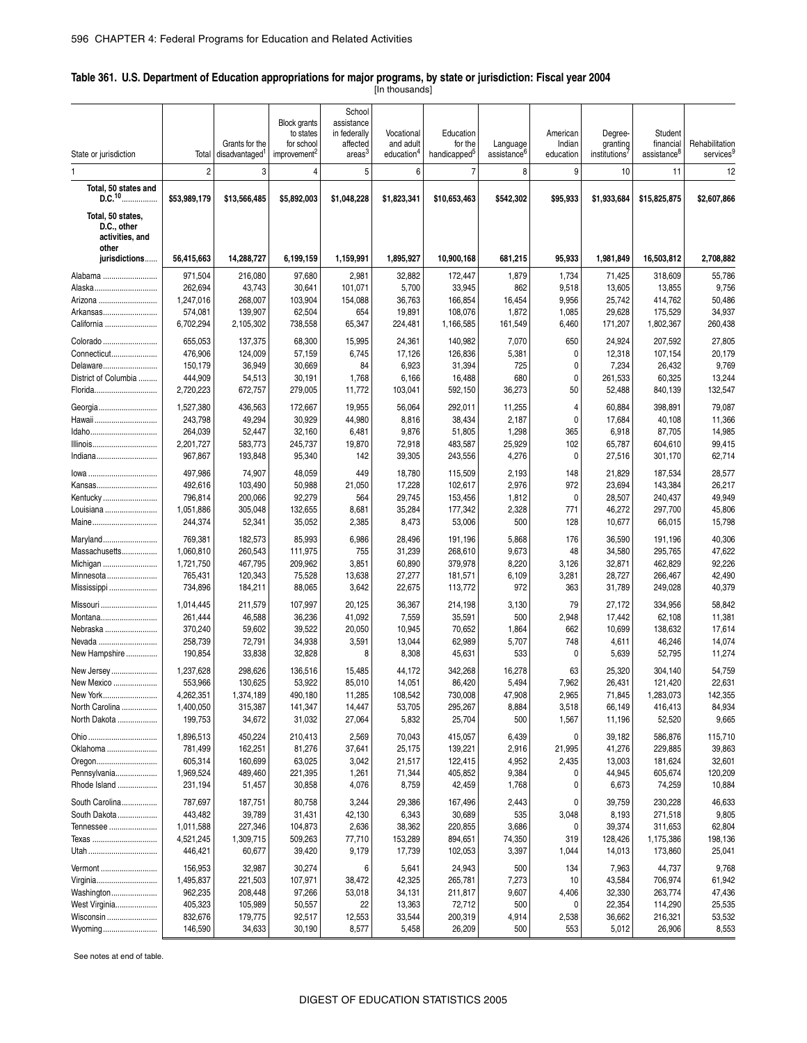#### \_ **Table 361. U.S. Department of Education appropriations for major programs, by state or jurisdiction: Fiscal year 2004**

[In thousands]

|                                            |                      |                            |                                  | School                     |                        |                          |                         |                |                   |                         |                       |
|--------------------------------------------|----------------------|----------------------------|----------------------------------|----------------------------|------------------------|--------------------------|-------------------------|----------------|-------------------|-------------------------|-----------------------|
|                                            |                      |                            | <b>Block grants</b><br>to states | assistance<br>in federally | Vocational             | Education                |                         | American       | Degree-           | Student                 |                       |
|                                            |                      | Grants for the             | for school                       | affected                   | and adult              | for the                  | Language                | Indian         | granting          | financial               | Rehabilitation        |
| State or jurisdiction                      | Total                | disadvantaged <sup>1</sup> | improvement <sup>2</sup>         | areas <sup>3</sup>         | education <sup>4</sup> | handicapped <sup>5</sup> | assistance <sup>6</sup> | education      | institutions      | assistance <sup>8</sup> | services <sup>9</sup> |
| 1                                          | $\overline{2}$       | 3                          | 4                                | 5                          | 6                      | $\overline{7}$           | 8                       | 9              | 10                | 11                      | 12                    |
| Total, 50 states and<br>D.C. <sup>10</sup> | \$53,989,179         | \$13,566,485               | \$5,892,003                      | \$1,048,228                | \$1,823,341            | \$10,653,463             | \$542,302               | \$95,933       | \$1,933,684       | \$15,825,875            | \$2,607,866           |
| Total, 50 states,<br>D.C., other           |                      |                            |                                  |                            |                        |                          |                         |                |                   |                         |                       |
| activities, and<br>other                   |                      |                            |                                  |                            |                        |                          |                         |                |                   |                         |                       |
| jurisdictions                              | 56,415,663           | 14,288,727                 | 6,199,159                        | 1,159,991                  | 1,895,927              | 10,900,168               | 681,215                 | 95,933         | 1,981,849         | 16,503,812              | 2,708,882             |
| Alabama                                    | 971,504              | 216,080                    | 97,680                           | 2,981                      | 32,882                 | 172,447                  | 1,879                   | 1,734          | 71,425            | 318,609                 | 55,786                |
| Alaska                                     | 262,694              | 43,743                     | 30,641                           | 101,071                    | 5,700                  | 33,945                   | 862                     | 9,518          | 13,605            | 13,855                  | 9,756                 |
| Arizona                                    | 1,247,016            | 268,007                    | 103,904                          | 154,088                    | 36,763                 | 166,854                  | 16,454                  | 9,956          | 25,742            | 414,762                 | 50,486                |
| Arkansas                                   | 574,081              | 139,907                    | 62,504                           | 654                        | 19,891                 | 108,076                  | 1,872                   | 1,085          | 29,628            | 175,529                 | 34,937                |
| California                                 | 6,702,294            | 2,105,302                  | 738,558                          | 65,347                     | 224,481                | 1,166,585                | 161,549                 | 6,460          | 171,207           | 1,802,367               | 260,438               |
| Colorado                                   | 655,053              | 137,375                    | 68,300                           | 15,995                     | 24,361                 | 140,982                  | 7,070                   | 650            | 24,924            | 207,592                 | 27,805                |
| Connecticut                                | 476,906              | 124,009                    | 57,159                           | 6,745                      | 17,126                 | 126,836                  | 5,381                   | 0              | 12,318            | 107,154                 | 20,179                |
| Delaware<br>District of Columbia           | 150,179              | 36,949                     | 30,669                           | 84                         | 6,923                  | 31,394                   | 725                     | 0              | 7,234             | 26,432                  | 9,769                 |
| Florida                                    | 444,909<br>2,720,223 | 54,513<br>672,757          | 30,191<br>279,005                | 1,768<br>11,772            | 6,166<br>103,041       | 16,488<br>592,150        | 680<br>36,273           | 0<br>50        | 261,533<br>52,488 | 60,325<br>840,139       | 13,244<br>132,547     |
|                                            |                      |                            |                                  |                            |                        |                          |                         |                |                   |                         |                       |
| Georgia<br>Hawaii                          | 1,527,380<br>243,798 | 436,563<br>49,294          | 172,667<br>30,929                | 19,955<br>44,980           | 56,064<br>8,816        | 292,011<br>38,434        | 11,255<br>2,187         | 4<br>0         | 60,884<br>17,684  | 398,891<br>40,108       | 79,087<br>11,366      |
| Idaho                                      | 264,039              | 52,447                     | 32,160                           | 6,481                      | 9,876                  | 51,805                   | 1,298                   | 365            | 6,918             | 87,705                  | 14,985                |
| Illinois                                   | 2,201,727            | 583,773                    | 245,737                          | 19,870                     | 72,918                 | 483,587                  | 25,929                  | 102            | 65,787            | 604,610                 | 99,415                |
| Indiana                                    | 967,867              | 193,848                    | 95,340                           | 142                        | 39,305                 | 243,556                  | 4,276                   | 0              | 27,516            | 301,170                 | 62,714                |
| lowa                                       | 497,986              | 74,907                     | 48,059                           | 449                        | 18,780                 | 115,509                  | 2,193                   | 148            | 21,829            | 187,534                 | 28,577                |
| Kansas                                     | 492,616              | 103,490                    | 50,988                           | 21,050                     | 17,228                 | 102,617                  | 2,976                   | 972            | 23,694            | 143,384                 | 26,217                |
| Kentucky                                   | 796,814              | 200,066                    | 92,279                           | 564                        | 29,745                 | 153,456                  | 1,812                   | 0              | 28,507            | 240,437                 | 49,949                |
| Louisiana                                  | 1,051,886            | 305,048                    | 132,655                          | 8,681                      | 35,284                 | 177,342                  | 2,328                   | 771            | 46,272            | 297,700                 | 45,806                |
| Maine                                      | 244,374              | 52,341                     | 35,052                           | 2,385                      | 8,473                  | 53,006                   | 500                     | 128            | 10,677            | 66,015                  | 15,798                |
| Maryland                                   | 769,381              | 182,573                    | 85,993                           | 6,986                      | 28,496                 | 191,196                  | 5,868                   | 176            | 36,590            | 191,196                 | 40,306                |
| Massachusetts                              | 1,060,810            | 260,543                    | 111,975                          | 755                        | 31,239                 | 268,610                  | 9,673                   | 48             | 34,580            | 295,765                 | 47,622                |
| Michigan                                   | 1,721,750            | 467,795                    | 209,962                          | 3,851                      | 60,890                 | 379,978                  | 8,220                   | 3,126          | 32,871            | 462,829                 | 92,226                |
| Minnesota                                  | 765,431              | 120,343                    | 75,528                           | 13,638                     | 27,277                 | 181,571                  | 6,109                   | 3,281          | 28,727            | 266,467                 | 42,490                |
| Mississippi                                | 734,896              | 184,211                    | 88,065                           | 3,642                      | 22,675                 | 113,772                  | 972                     | 363            | 31,789            | 249,028                 | 40,379                |
| Missouri                                   | 1,014,445            | 211,579                    | 107,997                          | 20,125                     | 36,367                 | 214,198                  | 3,130                   | 79             | 27,172            | 334,956                 | 58,842                |
| Montana                                    | 261,444              | 46,588                     | 36,236                           | 41,092                     | 7,559                  | 35,591                   | 500                     | 2,948          | 17,442            | 62,108                  | 11,381                |
| Nebraska                                   | 370,240              | 59,602                     | 39,522                           | 20,050                     | 10,945                 | 70,652                   | 1,864                   | 662            | 10,699            | 138,632                 | 17,614                |
| Nevada                                     | 258,739              | 72,791                     | 34,938                           | 3,591                      | 13,044                 | 62,989                   | 5,707                   | 748            | 4,611             | 46,246                  | 14,074                |
| New Hampshire                              | 190,854              | 33,838                     | 32,828                           | 8                          | 8,308                  | 45,631                   | 533                     | 0              | 5,639             | 52,795                  | 11,274                |
| New Jersey                                 | 1,237,628            | 298,626                    | 136,516                          | 15,485                     | 44,172                 | 342,268                  | 16,278                  | 63             | 25,320            | 304,140                 | 54,759                |
| New Mexico                                 | 553,966              | 130,625                    | 53,922                           | 85,010                     | 14,051                 | 86,420                   | 5,494                   | 7,962          | 26,431            | 121,420                 | 22,631                |
| New York                                   | 4,262,351            | 1,374,189                  | 490,180                          | 11,285                     | 108,542                | 730,008                  | 47,908                  | 2,965          | 71,845            | 1,283,073               | 142,355               |
| North Carolina<br>North Dakota             | 1,400,050<br>199,753 | 315,387<br>34,672          | 141,347<br>31,032                | 14,447<br>27,064           | 53,705<br>5,832        | 295,267<br>25,704        | 8,884<br>500            | 3,518<br>1,567 | 66,149<br>11,196  | 416,413<br>52,520       | 84,934<br>9,665       |
|                                            |                      |                            |                                  |                            |                        |                          |                         |                |                   |                         |                       |
|                                            | 1,896,513            | 450,224                    | 210,413                          | 2,569                      | 70,043                 | 415,057                  | 6,439                   | 0              | 39,182            | 586,876                 | 115,710               |
| Oklahoma                                   | 781,499              | 162,251                    | 81,276                           | 37,641                     | 25,175                 | 139,221                  | 2,916                   | 21,995         | 41,276            | 229,885                 | 39,863                |
| Oregon                                     | 605,314              | 160,699                    | 63,025                           | 3,042                      | 21,517                 | 122,415                  | 4,952                   | 2,435          | 13,003            | 181,624                 | 32,601                |
| Pennsylvania<br>Rhode Island               | 1,969,524<br>231,194 | 489,460<br>51,457          | 221,395<br>30,858                | 1,261<br>4,076             | 71,344<br>8,759        | 405,852<br>42,459        | 9,384<br>1,768          | 0<br>0         | 44,945<br>6,673   | 605,674<br>74,259       | 120,209<br>10,884     |
|                                            |                      |                            |                                  |                            |                        |                          |                         |                |                   |                         |                       |
| South Carolina                             | 787,697              | 187,751                    | 80,758                           | 3,244                      | 29,386                 | 167,496                  | 2,443                   | 0              | 39,759            | 230,228                 | 46,633                |
| South Dakota<br>Tennessee                  | 443,482<br>1,011,588 | 39,789<br>227,346          | 31,431<br>104,873                | 42,130                     | 6,343                  | 30,689<br>220,855        | 535<br>3,686            | 3,048<br>0     | 8,193<br>39,374   | 271,518                 | 9,805<br>62,804       |
| Texas                                      | 4,521,245            | 1,309,715                  | 509,263                          | 2,636<br>77,710            | 38,362<br>153,289      | 894,651                  | 74,350                  | 319            | 128,426           | 311,653<br>1,175,386    | 198,136               |
| Utah                                       | 446,421              | 60,677                     | 39,420                           | 9,179                      | 17,739                 | 102,053                  | 3,397                   | 1,044          | 14,013            | 173,860                 | 25,041                |
| Vermont                                    | 156,953              | 32,987                     | 30,274                           | 6                          | 5,641                  | 24,943                   | 500                     | 134            | 7,963             | 44,737                  | 9,768                 |
| Virginia                                   | 1,495,837            | 221,503                    | 107,971                          | 38,472                     | 42,325                 | 265,781                  | 7,273                   | 10             | 43,584            | 706,974                 | 61,942                |
| Washington                                 | 962,235              | 208,448                    | 97,266                           | 53,018                     | 34,131                 | 211,817                  | 9,607                   | 4,406          | 32,330            | 263,774                 | 47,436                |
| West Virginia                              | 405,323              | 105,989                    | 50,557                           | 22                         | 13,363                 | 72,712                   | 500                     | 0              | 22,354            | 114,290                 | 25,535                |
| Wisconsin                                  | 832,676              | 179,775                    | 92,517                           | 12,553                     | 33,544                 | 200,319                  | 4,914                   | 2,538          | 36,662            | 216,321                 | 53,532                |
| Wyoming                                    | 146,590              | 34,633                     | 30,190                           | 8,577                      | 5,458                  | 26,209                   | 500                     | 553            | 5,012             | 26,906                  | 8,553                 |
|                                            |                      |                            |                                  |                            |                        |                          |                         |                |                   |                         |                       |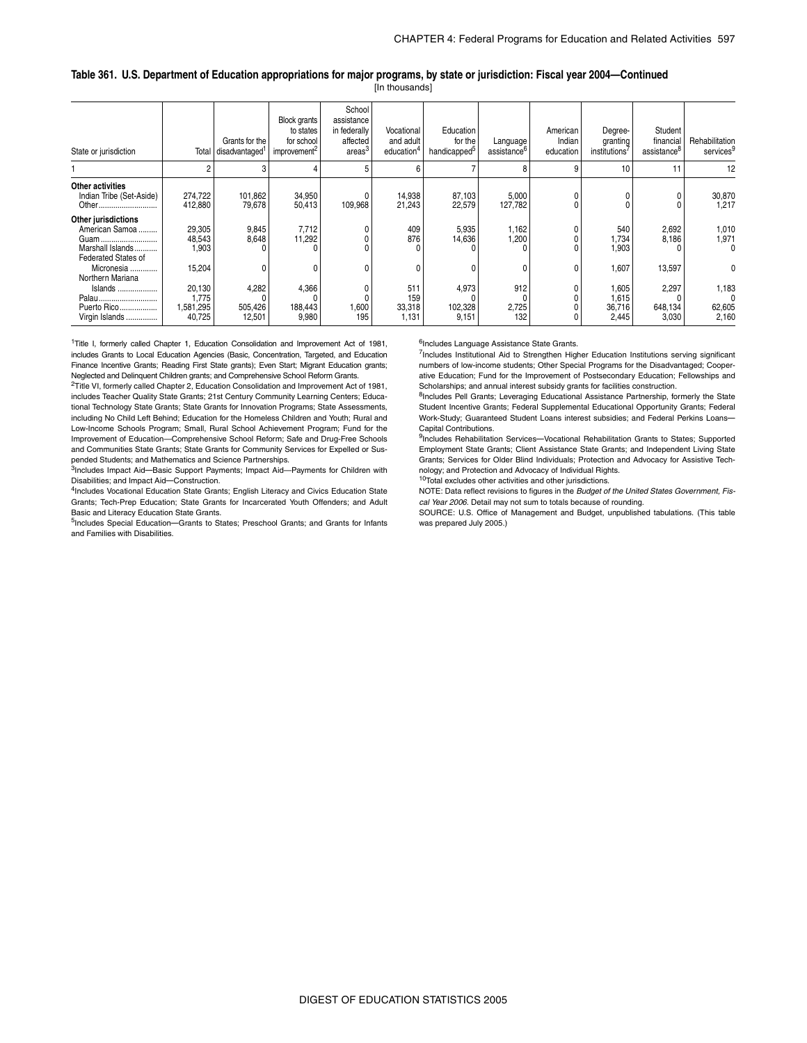#### **Table 361. U.S. Department of Education appropriations for major programs, by state or jurisdiction: Fiscal year 2004—Continued** [In thousands]

| State or jurisdiction                                                                           | Total                                  | Grants for the<br>disadvantaged' | <b>Block</b> grants<br>to states<br>for school<br>improvement <sup>2</sup> | School<br>assistance<br>in federally<br>affected<br>areas <sup>o</sup> | Vocational<br>and adult<br>education <sup>®</sup> | Education<br>for the<br>handicapped <sup>o</sup> | Language<br>assistance <sup>b</sup> | American<br>Indian<br>education | Degree-<br>granting<br>institutions' | Student<br>financial<br>assistance <sup>o</sup> | Rehabilitation<br>services           |
|-------------------------------------------------------------------------------------------------|----------------------------------------|----------------------------------|----------------------------------------------------------------------------|------------------------------------------------------------------------|---------------------------------------------------|--------------------------------------------------|-------------------------------------|---------------------------------|--------------------------------------|-------------------------------------------------|--------------------------------------|
|                                                                                                 |                                        |                                  |                                                                            |                                                                        | 6                                                 |                                                  |                                     | 9                               | 10                                   | 11                                              | 12                                   |
| Other activities<br>Indian Tribe (Set-Aside)<br>Other                                           | 274,722<br>412,880                     | 101,862<br>79,678                | 34,950<br>50,413                                                           | 109,968                                                                | 14,938<br>21,243                                  | 87,103<br>22,579                                 | 5,000<br>127,782                    |                                 |                                      |                                                 | 30,870<br>1,217                      |
| Other jurisdictions<br>American Samoa<br>Guam<br>Marshall Islands<br><b>Federated States of</b> | 29,305<br>48,543<br>1,903              | 9,845<br>8,648                   | 7,712<br>11,292                                                            |                                                                        | 409<br>876                                        | 5,935<br>14,636                                  | 1,162<br>1,200                      |                                 | 540<br>1,734<br>1,903                | 2,692<br>8,186                                  | 1,010<br>1,971<br>0                  |
| Micronesia<br>Northern Mariana                                                                  | 15,204                                 |                                  |                                                                            |                                                                        |                                                   |                                                  |                                     | $\mathbf{0}$                    | 1,607                                | 13,597                                          | 0                                    |
| Islands<br>Palau<br>Puerto Rico<br>Virgin Islands                                               | 20,130<br>1,775<br>1,581,295<br>40,725 | 4,282<br>505,426<br>12,501       | 4,366<br>188,443<br>9,980                                                  | 1,600<br>195                                                           | 511<br>159<br>33,318<br>1,131                     | 4,973<br>102,328<br>9,151                        | 912<br>2,725<br>132                 |                                 | 1,605<br>1,615<br>36,716<br>2,445    | 2,297<br>648,134<br>3,030                       | 1,183<br>$\Omega$<br>62,605<br>2,160 |

<sup>1</sup>Title I, formerly called Chapter 1, Education Consolidation and Improvement Act of 1981, includes Grants to Local Education Agencies (Basic, Concentration, Targeted, and Education Finance Incentive Grants; Reading First State grants); Even Start; Migrant Education grants; Neglected and Delinquent Children grants; and Comprehensive School Reform Grants.

<sup>2</sup>Title VI, formerly called Chapter 2, Education Consolidation and Improvement Act of 1981, includes Teacher Quality State Grants; 21st Century Community Learning Centers; Educational Technology State Grants; State Grants for Innovation Programs; State Assessments, including No Child Left Behind; Education for the Homeless Children and Youth; Rural and Low-Income Schools Program; Small, Rural School Achievement Program; Fund for the Improvement of Education—Comprehensive School Reform; Safe and Drug-Free Schools and Communities State Grants; State Grants for Community Services for Expelled or Suspended Students; and Mathematics and Science Partnerships.

3Includes Impact Aid—Basic Support Payments; Impact Aid—Payments for Children with Disabilities; and Impact Aid—Construction.

<sup>4</sup>Includes Vocational Education State Grants; English Literacy and Civics Education State Grants; Tech-Prep Education; State Grants for Incarcerated Youth Offenders; and Adult Basic and Literacy Education State Grants.

<sup>5</sup>Includes Special Education—Grants to States; Preschool Grants; and Grants for Infants and Families with Disabilities.

<sup>6</sup>Includes Language Assistance State Grants.

7Includes Institutional Aid to Strengthen Higher Education Institutions serving significant numbers of low-income students; Other Special Programs for the Disadvantaged; Cooperative Education; Fund for the Improvement of Postsecondary Education; Fellowships and Scholarships; and annual interest subsidy grants for facilities construction.

<sup>8</sup>Includes Pell Grants; Leveraging Educational Assistance Partnership, formerly the State Student Incentive Grants; Federal Supplemental Educational Opportunity Grants; Federal Work-Study; Guaranteed Student Loans interest subsidies; and Federal Perkins Loans— Capital Contributions.

9Includes Rehabilitation Services-Vocational Rehabilitation Grants to States; Supported Employment State Grants; Client Assistance State Grants; and Independent Living State Grants; Services for Older Blind Individuals; Protection and Advocacy for Assistive Technology; and Protection and Advocacy of Individual Rights.

10Total excludes other activities and other jurisdictions.

NOTE: Data reflect revisions to figures in the *Budget of the United States Government, Fiscal Year 2006*. Detail may not sum to totals because of rounding.

SOURCE: U.S. Office of Management and Budget, unpublished tabulations. (This table was prepared July 2005.)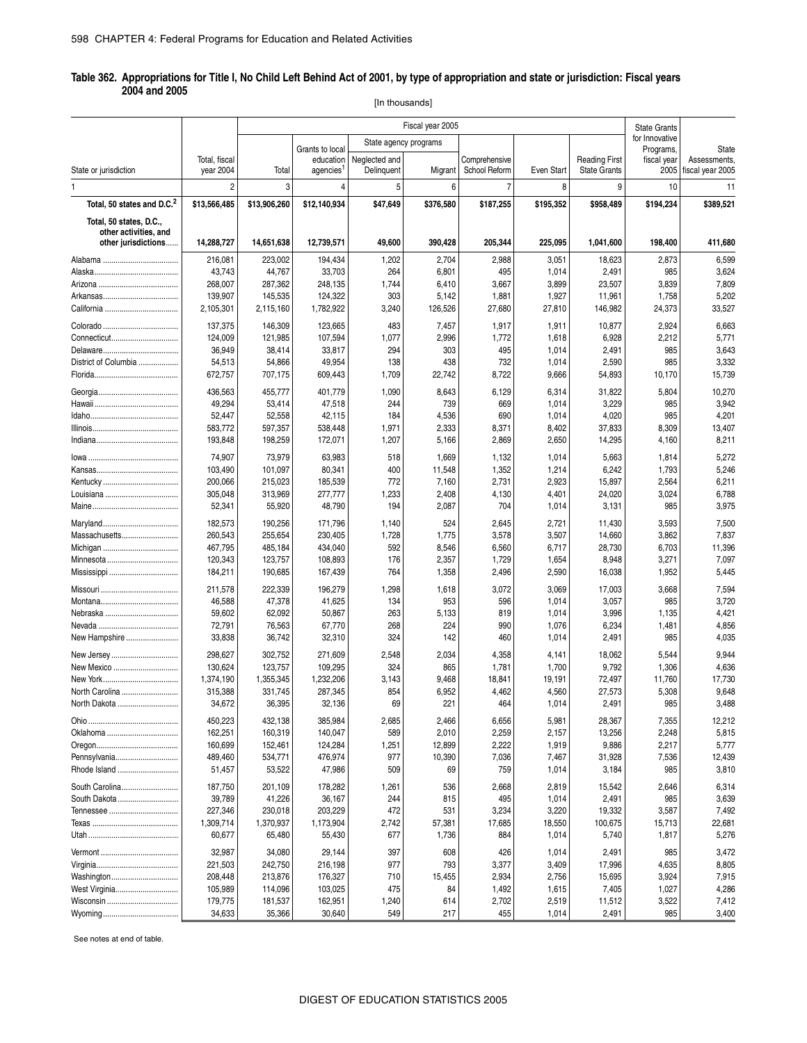#### \_ **Table 362. Appropriations for Title I, No Child Left Behind Act of 2001, by type of appropriation and state or jurisdiction: Fiscal years 2004 and 2005**

[In thousands]

|                                        |                      | Fiscal year 2005     |                              |                       |                  |                 |                 | <b>State Grants</b>  |                          |                              |
|----------------------------------------|----------------------|----------------------|------------------------------|-----------------------|------------------|-----------------|-----------------|----------------------|--------------------------|------------------------------|
|                                        |                      |                      |                              | State agency programs |                  |                 |                 |                      | for Innovative           |                              |
|                                        | Total, fiscal        |                      | Grants to local<br>education | Neglected and         |                  | Comprehensive   |                 | <b>Reading First</b> | Programs,<br>fiscal year | <b>State</b><br>Assessments. |
| State or jurisdiction                  | year 2004            | Total                | agencies                     | Delinquent            | Migrant          | School Reform   | Even Start      | <b>State Grants</b>  | 2005                     | fiscal year 2005             |
| 1.                                     | $\overline{c}$       | 3                    | 4                            | 5                     | 6                | 7               | 8               | 9                    | 10                       | 11                           |
| Total, 50 states and D.C. <sup>2</sup> | \$13,566,485         | \$13,906,260         | \$12.140.934                 | \$47,649              | \$376,580        | \$187,255       | \$195,352       | \$958,489            | \$194,234                | \$389,521                    |
| Total, 50 states, D.C.,                |                      |                      |                              |                       |                  |                 |                 |                      |                          |                              |
| other activities, and                  |                      |                      |                              |                       |                  |                 |                 |                      |                          |                              |
| other jurisdictions                    | 14,288,727           | 14,651,638           | 12,739,571                   | 49,600                | 390,428          | 205,344         | 225,095         | 1,041,600            | 198,400                  | 411,680                      |
|                                        | 216,081              | 223,002              | 194,434                      | 1,202                 | 2,704            | 2,988           | 3,051           | 18,623               | 2,873                    | 6,599                        |
|                                        | 43,743<br>268,007    | 44,767<br>287,362    | 33,703<br>248,135            | 264<br>1,744          | 6,801<br>6,410   | 495<br>3,667    | 1,014<br>3,899  | 2,491<br>23,507      | 985<br>3,839             | 3,624<br>7,809               |
|                                        | 139,907              | 145,535              | 124,322                      | 303                   | 5,142            | 1,881           | 1,927           | 11,961               | 1,758                    | 5,202                        |
|                                        | 2,105,301            | 2,115,160            | 1,782,922                    | 3,240                 | 126,526          | 27,680          | 27,810          | 146,982              | 24,373                   | 33,527                       |
|                                        |                      |                      |                              |                       |                  |                 |                 |                      |                          |                              |
| Connecticut                            | 137,375<br>124,009   | 146,309<br>121,985   | 123,665                      | 483<br>1,077          | 7,457<br>2,996   | 1,917<br>1,772  | 1,911<br>1,618  | 10,877<br>6,928      | 2,924<br>2,212           | 6,663<br>5,771               |
|                                        | 36,949               | 38,414               | 107,594<br>33,817            | 294                   | 303              | 495             | 1,014           | 2,491                | 985                      | 3,643                        |
| District of Columbia                   | 54,513               | 54,866               | 49,954                       | 138                   | 438              | 732             | 1,014           | 2,590                | 985                      | 3,332                        |
|                                        | 672,757              | 707,175              | 609,443                      | 1,709                 | 22,742           | 8,722           | 9,666           | 54,893               | 10,170                   | 15,739                       |
|                                        |                      |                      |                              |                       |                  |                 |                 |                      |                          |                              |
|                                        | 436,563              | 455,777              | 401,779                      | 1,090                 | 8,643<br>739     | 6,129<br>669    | 6,314           | 31,822               | 5,804                    | 10,270                       |
|                                        | 49,294<br>52,447     | 53,414<br>52,558     | 47,518<br>42,115             | 244<br>184            | 4,536            | 690             | 1,014<br>1,014  | 3,229<br>4,020       | 985<br>985               | 3,942<br>4,201               |
|                                        | 583,772              | 597,357              | 538,448                      | 1,971                 | 2,333            | 8,371           | 8,402           | 37,833               | 8,309                    | 13,407                       |
|                                        | 193,848              | 198,259              | 172,071                      | 1,207                 | 5,166            | 2,869           | 2,650           | 14,295               | 4,160                    | 8,211                        |
|                                        |                      |                      |                              |                       |                  |                 |                 |                      |                          |                              |
|                                        | 74,907               | 73,979               | 63,983                       | 518                   | 1,669            | 1,132           | 1,014           | 5,663                | 1,814                    | 5,272                        |
|                                        | 103,490<br>200,066   | 101,097<br>215,023   | 80,341<br>185,539            | 400<br>772            | 11,548<br>7,160  | 1,352<br>2,731  | 1,214<br>2,923  | 6,242<br>15,897      | 1,793<br>2,564           | 5,246<br>6,211               |
|                                        | 305,048              | 313,969              | 277,777                      | 1,233                 | 2,408            | 4,130           | 4,401           | 24,020               | 3,024                    | 6,788                        |
|                                        | 52,341               | 55,920               | 48,790                       | 194                   | 2,087            | 704             | 1,014           | 3,131                | 985                      | 3,975                        |
|                                        |                      |                      |                              |                       |                  |                 |                 |                      |                          |                              |
|                                        | 182,573              | 190,256              | 171,796                      | 1,140                 | 524              | 2,645           | 2,721           | 11,430               | 3,593                    | 7,500                        |
| Massachusetts                          | 260,543              | 255,654              | 230,405                      | 1,728                 | 1,775            | 3,578           | 3,507           | 14,660               | 3,862                    | 7,837                        |
|                                        | 467,795<br>120,343   | 485,184<br>123,757   | 434,040<br>108,893           | 592<br>176            | 8,546<br>2,357   | 6,560<br>1,729  | 6,717<br>1,654  | 28,730<br>8,948      | 6,703<br>3,271           | 11,396<br>7,097              |
|                                        | 184,211              | 190,685              | 167,439                      | 764                   | 1,358            | 2,496           | 2,590           | 16,038               | 1,952                    | 5,445                        |
|                                        |                      |                      |                              |                       |                  |                 |                 |                      |                          |                              |
|                                        | 211,578              | 222,339              | 196,279                      | 1,298                 | 1,618            | 3,072           | 3,069           | 17,003               | 3,668                    | 7,594                        |
|                                        | 46,588               | 47,378               | 41,625                       | 134                   | 953              | 596             | 1,014           | 3,057                | 985                      | 3,720                        |
|                                        | 59,602<br>72,791     | 62,092<br>76,563     | 50,867<br>67,770             | 263<br>268            | 5,133<br>224     | 819<br>990      | 1,014<br>1,076  | 3,996<br>6,234       | 1,135<br>1,481           | 4,421<br>4,856               |
| New Hampshire                          | 33,838               | 36,742               | 32,310                       | 324                   | 142              | 460             | 1,014           | 2,491                | 985                      | 4,035                        |
|                                        |                      |                      |                              |                       |                  |                 |                 |                      |                          |                              |
| New Jersey                             | 298,627              | 302,752              | 271,609                      | 2,548                 | 2,034            | 4,358           | 4,141           | 18,062               | 5,544                    | 9,944                        |
| New Mexico                             | 130,624              | 123,757              | 109,295                      | 324                   | 865              | 1,781           | 1,700           | 9,792                | 1,306                    | 4,636                        |
| North Carolina                         | 1,374,190<br>315,388 | 1,355,345<br>331,745 | 1,232,206<br>287,345         | 3,143<br>854          | 9,468<br>6,952   | 18,841<br>4,462 | 19,191<br>4,560 | 72,497<br>27,573     | 11,760<br>5,308          | 17,730<br>9,648              |
| North Dakota.                          | 34,672               | 36,395               | 32,136                       | 69                    | 221              | 464             | 1,014           | 2,491                | 985                      | 3,488                        |
|                                        |                      |                      |                              |                       |                  |                 |                 |                      |                          |                              |
|                                        | 450,223              | 432,138              | 385,984                      | 2,685                 | 2,466            | 6,656           | 5,981           | 28,367               | 7,355                    | 12,212                       |
| Oklahoma                               | 162,251              | 160,319              | 140,047                      | 589                   | 2,010            | 2,259           | 2,157           | 13,256               | 2,248                    | 5,815                        |
| Pennsylvania                           | 160,699<br>489,460   | 152,461<br>534,771   | 124,284<br>476,974           | 1,251<br>977          | 12,899<br>10,390 | 2,222<br>7,036  | 1,919<br>7,467  | 9,886<br>31,928      | 2,217<br>7,536           | 5,777<br>12,439              |
| Rhode Island                           | 51,457               | 53,522               | 47,986                       | 509                   | 69               | 759             | 1,014           | 3,184                | 985                      | 3,810                        |
|                                        |                      |                      |                              |                       |                  |                 |                 |                      |                          |                              |
| South Carolina                         | 187,750              | 201,109              | 178,282                      | 1,261                 | 536              | 2,668           | 2,819           | 15,542               | 2,646                    | 6,314                        |
| South Dakota                           | 39,789               | 41,226               | 36,167                       | 244                   | 815              | 495             | 1,014           | 2,491                | 985                      | 3,639                        |
|                                        | 227,346<br>1,309,714 | 230,018<br>1,370,937 | 203,229<br>1,173,904         | 472<br>2,742          | 531<br>57,381    | 3,234<br>17,685 | 3,220<br>18,550 | 19,332<br>100,675    | 3,587<br>15,713          | 7,492<br>22,681              |
|                                        | 60,677               | 65,480               | 55,430                       | 677                   | 1,736            | 884             | 1,014           | 5,740                | 1,817                    | 5,276                        |
|                                        |                      |                      |                              |                       |                  |                 |                 |                      |                          |                              |
|                                        | 32,987               | 34,080               | 29,144                       | 397                   | 608              | 426             | 1,014           | 2,491                | 985                      | 3,472                        |
|                                        | 221,503              | 242,750              | 216,198                      | 977                   | 793              | 3,377           | 3,409           | 17,996               | 4,635                    | 8,805                        |
| Washington<br>West Virginia            | 208,448<br>105,989   | 213,876<br>114,096   | 176,327<br>103,025           | 710<br>475            | 15,455<br>84     | 2,934           | 2,756           | 15,695               | 3,924<br>1,027           | 7,915                        |
|                                        | 179,775              | 181,537              | 162,951                      | 1,240                 | 614              | 1,492<br>2,702  | 1,615<br>2,519  | 7,405<br>11,512      | 3,522                    | 4,286<br>7,412               |
|                                        | 34,633               | 35,366               | 30,640                       | 549                   | 217              | 455             | 1,014           | 2,491                | 985                      | 3,400                        |
|                                        |                      |                      |                              |                       |                  |                 |                 |                      |                          |                              |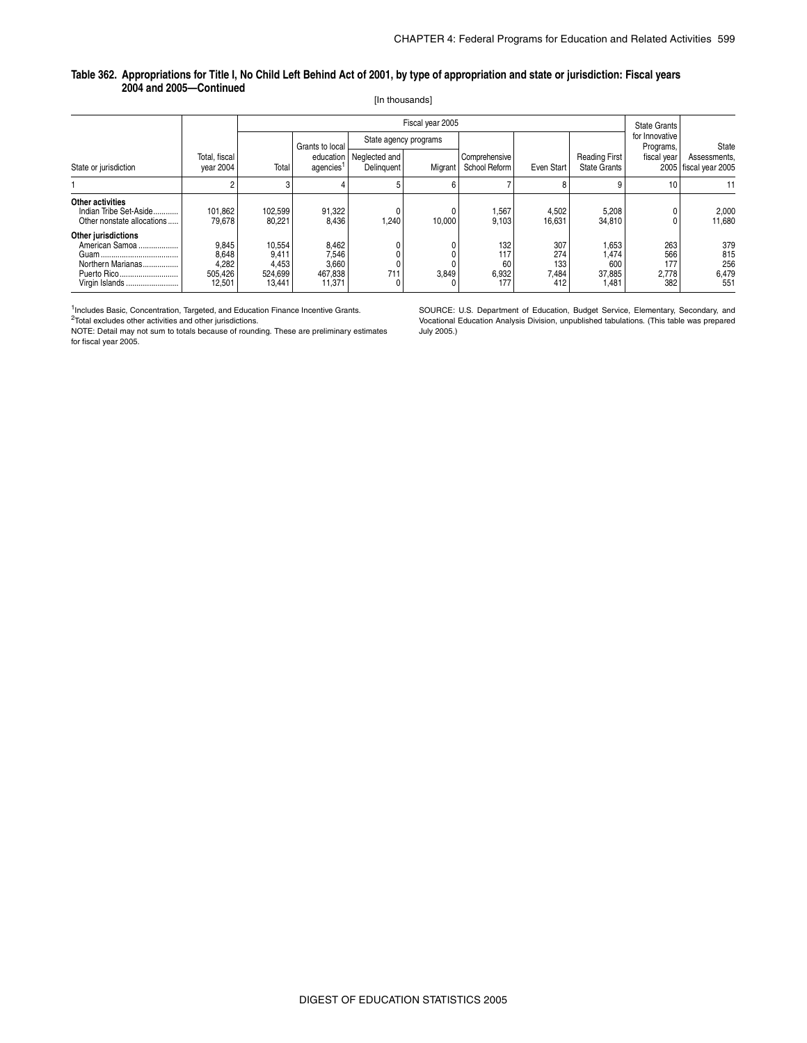#### **Table 362. Appropriations for Title I, No Child Left Behind Act of 2001, by type of appropriation and state or jurisdiction: Fiscal years 2004 and 2005—Continued**

[In thousands]

|                                                                                             |                                              |                                               |                                              |                             | <b>State Grants</b>   |                                  |                                   |                                             |                                   |                                       |
|---------------------------------------------------------------------------------------------|----------------------------------------------|-----------------------------------------------|----------------------------------------------|-----------------------------|-----------------------|----------------------------------|-----------------------------------|---------------------------------------------|-----------------------------------|---------------------------------------|
|                                                                                             |                                              |                                               | Grants to local                              |                             | State agency programs |                                  |                                   |                                             | for Innovative<br>Programs,       | State                                 |
| State or jurisdiction                                                                       | Total, fiscal<br>vear 2004                   | Total                                         | education<br>agencies'                       | Neglected and<br>Delinguent | Migrant               | Comprehensive<br>School Reform   | Even Start                        | <b>Reading First</b><br><b>State Grants</b> | fiscal year                       | Assessments,<br>2005 fiscal year 2005 |
|                                                                                             |                                              | 3                                             |                                              |                             | 6                     |                                  |                                   |                                             | 10                                | 11                                    |
| Other activities<br>Indian Tribe Set-Aside<br>Other nonstate allocations                    | 101,862<br>79,678                            | 102,599<br>80,221                             | 91,322<br>8,436                              | 1,240                       | 10.000                | 1,567<br>9.103                   | 4,502<br>16,631                   | 5,208<br>34,810                             |                                   | 2,000<br>11,680                       |
| Other jurisdictions<br>American Samoa<br>Northern Marianas<br>Puerto Rico<br>Virgin Islands | 9,845<br>8,648<br>4,282<br>505,426<br>12,501 | 10,554<br>9,411<br>4,453<br>524,699<br>13,441 | 8,462<br>7,546<br>3,660<br>467,838<br>11,371 | 711                         | 3,849                 | 132<br>117<br>60<br>6,932<br>177 | 307<br>274<br>133<br>7,484<br>412 | 1,653<br>1,474<br>600<br>37,885<br>1,481    | 263<br>566<br>177<br>2,778<br>382 | 379<br>815<br>256<br>6,479<br>551     |

<sup>1</sup>Includes Basic, Concentration, Targeted, and Education Finance Incentive Grants. 2Total excludes other activities and other jurisdictions.

NOTE: Detail may not sum to totals because of rounding. These are preliminary estimates for fiscal year 2005.

SOURCE: U.S. Department of Education, Budget Service, Elementary, Secondary, and Vocational Education Analysis Division, unpublished tabulations. (This table was prepared July 2005.)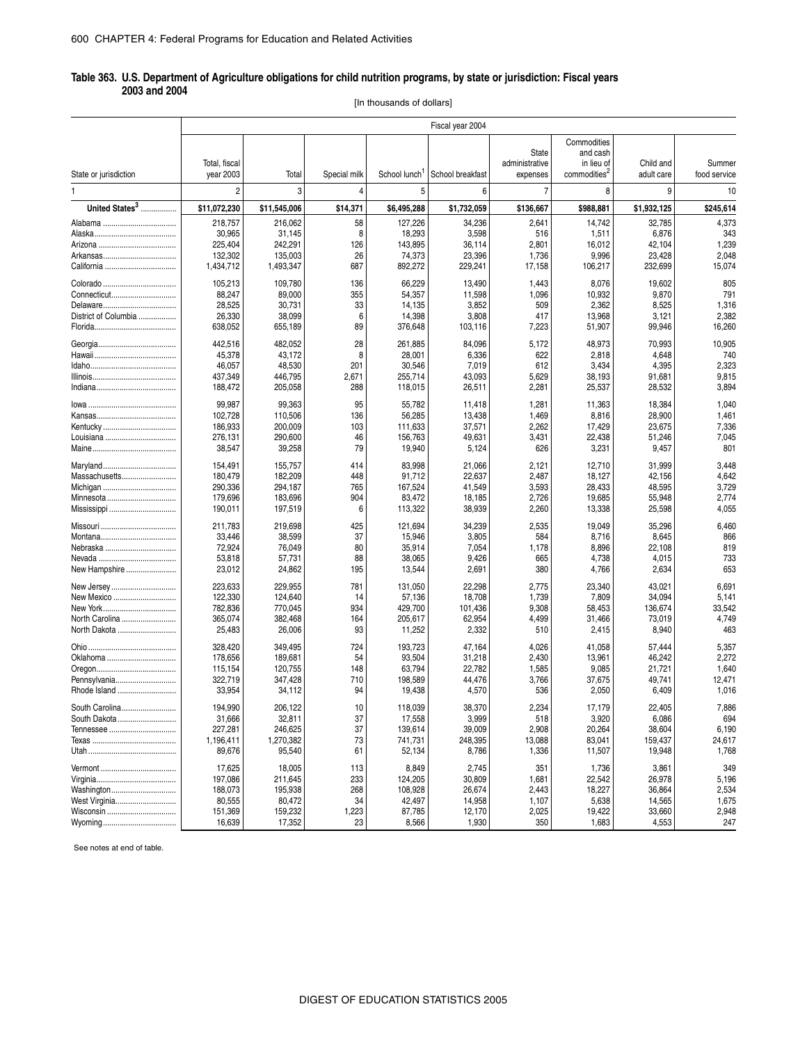#### \_ **Table 363. U.S. Department of Agriculture obligations for child nutrition programs, by state or jurisdiction: Fiscal years 2003 and 2004**

[In thousands of dollars]

|                            |                            |                      |              |                           | Fiscal year 2004  |                                     |                                                                   |                         |                        |
|----------------------------|----------------------------|----------------------|--------------|---------------------------|-------------------|-------------------------------------|-------------------------------------------------------------------|-------------------------|------------------------|
| State or jurisdiction      | Total, fiscal<br>year 2003 | Total                | Special milk | School lunch <sup>1</sup> | School breakfast  | State<br>administrative<br>expenses | Commodities<br>and cash<br>in lieu of<br>commodities <sup>2</sup> | Child and<br>adult care | Summer<br>food service |
| 1                          | 2                          | 3                    | 4            | 5                         | 6                 | $\overline{7}$                      | 8                                                                 | 9                       | 10                     |
| United States <sup>3</sup> | \$11,072,230               |                      | \$14,371     | \$6,495,288               | \$1,732,059       | \$136,667                           | \$988,881                                                         | \$1,932,125             |                        |
|                            |                            | \$11,545,006         |              |                           |                   |                                     |                                                                   |                         | \$245,614              |
|                            | 218,757                    | 216,062              | 58           | 127,226                   | 34,236            | 2,641                               | 14,742                                                            | 32,785                  | 4,373                  |
|                            | 30,965                     | 31,145               | 8            | 18,293                    | 3,598             | 516                                 | 1,511                                                             | 6,876                   | 343                    |
|                            | 225,404<br>132,302         | 242,291<br>135,003   | 126<br>26    | 143,895<br>74,373         | 36,114<br>23,396  | 2,801<br>1,736                      | 16,012<br>9,996                                                   | 42,104<br>23,428        | 1,239<br>2,048         |
|                            | 1,434,712                  | 1,493,347            | 687          | 892,272                   | 229,241           | 17,158                              | 106,217                                                           | 232,699                 | 15,074                 |
|                            | 105,213                    | 109,780              | 136          | 66,229                    | 13,490            | 1,443                               | 8,076                                                             | 19,602                  | 805                    |
|                            | 88,247                     | 89,000               | 355          | 54,357                    | 11,598            | 1,096                               | 10,932                                                            | 9,870                   | 791                    |
|                            | 28,525                     | 30,731               | 33           | 14,135                    | 3,852             | 509                                 | 2,362                                                             | 8,525                   | 1,316                  |
| District of Columbia       | 26,330                     | 38,099               | 6            | 14,398                    | 3,808             | 417                                 | 13,968                                                            | 3,121                   | 2,382                  |
|                            | 638,052                    | 655,189              | 89           | 376,648                   | 103,116           | 7,223                               | 51,907                                                            | 99,946                  | 16,260                 |
|                            | 442,516                    | 482,052              | 28           | 261,885                   | 84,096            | 5,172                               | 48,973                                                            | 70,993                  | 10,905                 |
|                            | 45,378                     | 43,172               | 8            | 28,001                    | 6,336             | 622                                 | 2,818                                                             | 4,648                   | 740                    |
|                            | 46,057                     | 48,530               | 201          | 30,546                    | 7,019             | 612                                 | 3,434                                                             | 4,395                   | 2,323                  |
|                            | 437,349                    | 446,795              | 2,671        | 255,714                   | 43,093            | 5,629                               | 38,193                                                            | 91,681                  | 9,815                  |
|                            | 188,472                    | 205,058              | 288          | 118,015                   | 26,511            | 2,281                               | 25,537                                                            | 28,532                  | 3,894                  |
|                            | 99,987                     | 99,363               | 95           | 55,782                    | 11,418            | 1,281                               | 11,363                                                            | 18,384                  | 1,040                  |
|                            | 102,728                    | 110,506              | 136          | 56,285                    | 13,438            | 1,469                               | 8,816                                                             | 28,900                  | 1,461                  |
| Kentucky                   | 186,933                    | 200,009              | 103          | 111,633                   | 37,571            | 2,262                               | 17,429                                                            | 23,675                  | 7,336                  |
|                            | 276,131                    | 290,600              | 46           | 156,763                   | 49,631            | 3,431                               | 22,438                                                            | 51,246                  | 7,045                  |
|                            | 38,547                     | 39,258               | 79           | 19,940                    | 5,124             | 626                                 | 3,231                                                             | 9,457                   | 801                    |
| Maryland                   | 154,491                    | 155,757              | 414          | 83,998                    | 21,066            | 2,121                               | 12,710                                                            | 31,999                  | 3,448                  |
| Massachusetts              | 180,479                    | 182,209              | 448          | 91,712                    | 22,637            | 2,487                               | 18,127                                                            | 42,156                  | 4,642                  |
|                            | 290,336                    | 294,187              | 765          | 167,524                   | 41,549            | 3,593                               | 28,433                                                            | 48,595                  | 3,729                  |
| Minnesota                  | 179,696                    | 183,696              | 904          | 83,472                    | 18,185            | 2,726                               | 19,685                                                            | 55,948                  | 2,774                  |
|                            | 190,011                    | 197,519              | 6            | 113,322                   | 38,939            | 2,260                               | 13,338                                                            | 25,598                  | 4,055                  |
|                            | 211,783                    | 219,698              | 425          | 121,694                   | 34,239            | 2,535                               | 19,049                                                            | 35,296                  | 6,460                  |
|                            | 33,446                     | 38,599               | 37           | 15,946                    | 3,805             | 584                                 | 8,716                                                             | 8,645                   | 866                    |
| Nebraska                   | 72,924                     | 76,049               | 80           | 35,914                    | 7,054             | 1,178                               | 8,896                                                             | 22,108                  | 819                    |
|                            | 53,818                     | 57,731               | 88           | 38,065                    | 9,426             | 665                                 | 4,738                                                             | 4,015                   | 733                    |
| New Hampshire              | 23,012                     | 24,862               | 195          | 13,544                    | 2,691             | 380                                 | 4,766                                                             | 2,634                   | 653                    |
| New Jersey                 | 223,633                    | 229,955              | 781          | 131,050                   | 22,298            | 2,775                               | 23,340                                                            | 43,021                  | 6,691                  |
| New Mexico                 | 122,330                    | 124,640              | 14           | 57,136                    | 18,708            | 1,739                               | 7,809                                                             | 34,094                  | 5,141                  |
|                            | 782,836                    | 770,045              | 934          | 429,700                   | 101,436           | 9,308                               | 58,453                                                            | 136,674                 | 33,542                 |
| North Carolina             | 365,074                    | 382,468              | 164          | 205,617                   | 62,954            | 4,499                               | 31,466                                                            | 73,019                  | 4,749                  |
| North Dakota               | 25,483                     | 26,006               | 93           | 11,252                    | 2,332             | 510                                 | 2,415                                                             | 8,940                   | 463                    |
|                            | 328,420                    | 349,495              | 724          | 193,723                   | 47,164            | 4,026                               | 41,058                                                            | 57,444                  | 5,357                  |
| Oklahoma                   | 178,656                    | 189,681              | 54           | 93,504                    | 31,218            | 2,430                               | 13,961                                                            | 46,242                  | 2,272                  |
|                            | 115,154                    | 120,755              | 148          | 63,794                    | 22,782            | 1,585                               | 9,085                                                             | 21,721                  | 1,640                  |
| Pennsylvania               | 322,719                    | 347,428              | 710          | 198,589                   | 44,476            | 3,766                               | 37,675                                                            | 49,741                  | 12,471                 |
| Rhode Island               | 33,954                     | 34,112               | 94           | 19,438                    | 4,570             | 536                                 | 2,050                                                             | 6,409                   | 1,016                  |
| South Carolina             | 194.990                    | 206,122              | 10           | 118,039                   | 38,370            | 2,234                               | 17,179                                                            | 22,405                  | 7,886                  |
| South Dakota               | 31,666                     | 32,811               | 37           | 17,558                    | 3,999             | 518                                 | 3,920                                                             | 6,086                   | 694                    |
|                            | 227,281<br>1,196,411       | 246,625<br>1,270,382 | 37<br>73     | 139,614<br>741,731        | 39,009<br>248,395 | 2,908<br>13,088                     | 20,264<br>83,041                                                  | 38,604<br>159,437       | 6,190<br>24,617        |
|                            | 89,676                     | 95,540               | 61           | 52,134                    | 8,786             | 1,336                               | 11,507                                                            | 19,948                  | 1,768                  |
|                            | 17,625                     | 18,005               | 113          | 8,849                     | 2,745             | 351                                 | 1,736                                                             | 3,861                   | 349                    |
|                            | 197,086                    | 211,645              | 233          | 124,205                   | 30,809            | 1,681                               | 22,542                                                            | 26,978                  | 5,196                  |
| Washington                 | 188,073                    | 195,938              | 268          | 108,928                   | 26,674            | 2,443                               | 18,227                                                            | 36,864                  | 2,534                  |
| West Virginia              | 80,555                     | 80,472               | 34           | 42,497                    | 14,958            | 1,107                               | 5,638                                                             | 14,565                  | 1,675                  |
| Wisconsin                  | 151,369                    | 159,232              | 1,223        | 87,785                    | 12,170            | 2,025                               | 19,422                                                            | 33,660                  | 2,948                  |
|                            | 16,639                     | 17,352               | 23           | 8,566                     | 1,930             | 350                                 | 1,683                                                             | 4,553                   | 247                    |
|                            |                            |                      |              |                           |                   |                                     |                                                                   |                         |                        |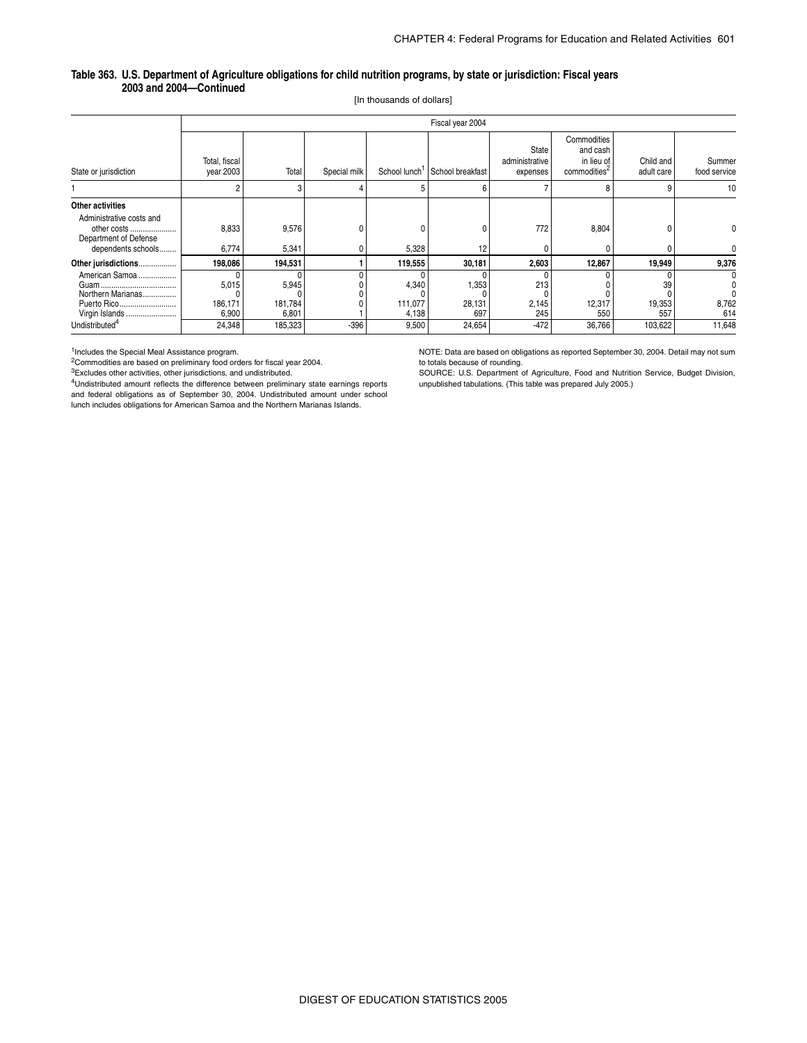#### **Table 363. U.S. Department of Agriculture obligations for child nutrition programs, by state or jurisdiction: Fiscal years 2003 and 2004—Continued**

[In thousands of dollars]

|                                                                                                            |                            | Fiscal year 2004          |              |                           |                                            |                                     |                                                                   |                         |                        |  |  |  |
|------------------------------------------------------------------------------------------------------------|----------------------------|---------------------------|--------------|---------------------------|--------------------------------------------|-------------------------------------|-------------------------------------------------------------------|-------------------------|------------------------|--|--|--|
| State or jurisdiction                                                                                      | Total, fiscal<br>year 2003 | Total                     | Special milk |                           | School lunch <sup>1</sup> School breakfast | State<br>administrative<br>expenses | Commodities<br>and cash<br>in lieu of<br>commodities <sup>2</sup> | Child and<br>adult care | Summer<br>food service |  |  |  |
|                                                                                                            |                            |                           |              | 5                         | 6                                          |                                     | 8                                                                 |                         | 10                     |  |  |  |
| Other activities<br>Administrative costs and<br>other costs<br>Department of Defense<br>dependents schools | 8,833<br>6,774             | 9,576<br>5,341            |              | 0<br>5,328                | ٥<br>12                                    | 772                                 | 8,804                                                             |                         |                        |  |  |  |
| Other jurisdictions                                                                                        | 198,086                    | 194,531                   |              | 119,555                   | 30,181                                     | 2,603                               | 12,867                                                            | 19,949                  | 9,376                  |  |  |  |
| American Samoa<br>Northern Marianas<br>Puerto Rico<br>Virgin Islands                                       | 5,015<br>186,171<br>6,900  | 5,945<br>181,784<br>6,801 |              | 4,340<br>111.077<br>4,138 | 1,353<br>28,131<br>697                     | 213<br>2,145<br>245                 | 12,317<br>550                                                     | 39<br>19,353<br>557     | 8,762<br>614           |  |  |  |
| Undistributed <sup>4</sup>                                                                                 | 24,348                     | 185,323                   | $-396$       | 9,500                     | 24,654                                     | $-472$                              | 36,766                                                            | 103,622                 | 11,648                 |  |  |  |

<sup>1</sup>Includes the Special Meal Assistance program.<br><sup>2</sup>Commodities are based on preliminary food orders for fiscal year 2004.

 ${}^{3}$ Excludes other activities, other jurisdictions, and undistributed.

4Undistributed amount reflects the difference between preliminary state earnings reports and federal obligations as of September 30, 2004. Undistributed amount under school lunch includes obligations for American Samoa and the Northern Marianas Islands.

NOTE: Data are based on obligations as reported September 30, 2004. Detail may not sum to totals because of rounding.

SOURCE: U.S. Department of Agriculture, Food and Nutrition Service, Budget Division, unpublished tabulations. (This table was prepared July 2005.)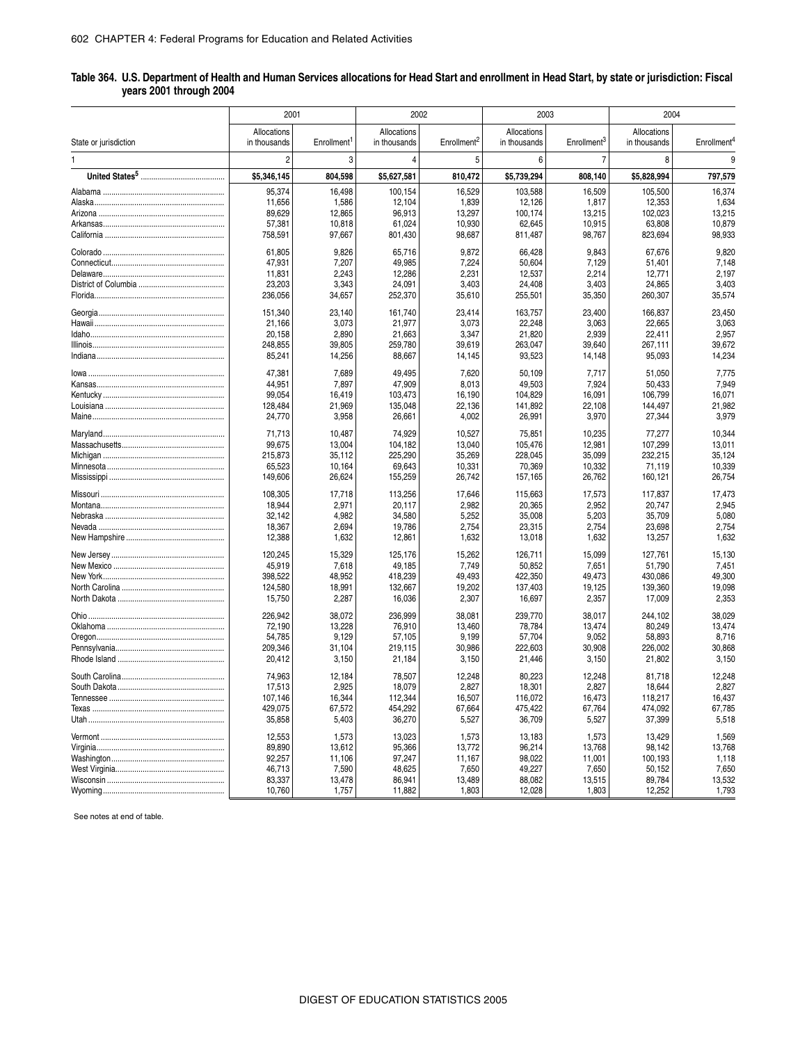| Table 364. U.S. Department of Health and Human Services allocations for Head Start and enrollment in Head Start, by state or jurisdiction: Fiscal |  |  |
|---------------------------------------------------------------------------------------------------------------------------------------------------|--|--|
| years 2001 through 2004                                                                                                                           |  |  |

|                       | 2001                        |                         | 2002                        |                         | 2003                        |                         | 2004                        |                         |  |
|-----------------------|-----------------------------|-------------------------|-----------------------------|-------------------------|-----------------------------|-------------------------|-----------------------------|-------------------------|--|
| State or jurisdiction | Allocations<br>in thousands | Enrollment <sup>1</sup> | Allocations<br>in thousands | Enrollment <sup>2</sup> | Allocations<br>in thousands | Enrollment <sup>3</sup> | Allocations<br>in thousands | Enrollment <sup>4</sup> |  |
| 1                     | $\overline{c}$              | 3                       | 4                           | 5                       | 6                           | 7                       | 8                           | 9                       |  |
|                       | \$5,346,145                 | 804,598                 | \$5,627,581                 | 810,472                 | \$5,739,294                 | 808,140                 | \$5,828,994                 | 797,579                 |  |
|                       | 95,374                      | 16,498                  | 100,154                     | 16,529                  | 103,588                     | 16,509                  | 105,500                     | 16,374                  |  |
|                       |                             |                         |                             |                         |                             |                         |                             |                         |  |
|                       | 11,656                      | 1,586                   | 12,104                      | 1,839                   | 12,126                      | 1,817                   | 12,353                      | 1,634                   |  |
|                       | 89,629                      | 12,865                  | 96,913                      | 13,297                  | 100,174                     | 13,215                  | 102,023                     | 13,215                  |  |
|                       | 57,381                      | 10,818                  | 61,024                      | 10,930                  | 62,645                      | 10,915                  | 63,808                      | 10,879                  |  |
|                       | 758,591                     | 97,667                  | 801,430                     | 98,687                  | 811,487                     | 98,767                  | 823,694                     | 98,933                  |  |
|                       | 61,805                      | 9,826                   | 65,716                      | 9,872                   | 66,428                      | 9,843                   | 67,676                      | 9,820                   |  |
|                       | 47,931                      | 7,207                   | 49,985                      | 7,224                   | 50,604                      | 7,129                   | 51,401                      | 7,148                   |  |
|                       | 11,831                      | 2,243                   | 12,286                      | 2,231                   | 12,537                      | 2,214                   | 12,771                      | 2,197                   |  |
|                       | 23,203                      | 3,343                   | 24,091                      | 3,403                   | 24,408                      | 3,403                   | 24,865                      | 3,403                   |  |
|                       | 236,056                     | 34,657                  | 252,370                     | 35,610                  | 255,501                     | 35,350                  | 260,307                     | 35,574                  |  |
|                       |                             |                         |                             |                         |                             |                         |                             |                         |  |
|                       | 151,340                     | 23,140                  | 161,740                     | 23,414                  | 163,757                     | 23,400                  | 166,837                     | 23,450                  |  |
|                       | 21,166                      | 3,073                   | 21,977                      | 3,073                   | 22,248                      | 3,063                   | 22,665                      | 3,063                   |  |
|                       | 20,158                      | 2,890                   | 21,663                      | 3,347                   | 21,820                      | 2,939                   | 22,411                      | 2,957                   |  |
|                       | 248,855                     | 39,805                  | 259,780                     | 39,619                  | 263,047                     | 39,640                  | 267,111                     | 39,672                  |  |
|                       | 85,241                      | 14,256                  | 88,667                      | 14,145                  | 93,523                      | 14,148                  | 95,093                      | 14,234                  |  |
|                       | 47,381                      | 7,689                   | 49,495                      | 7,620                   | 50,109                      | 7,717                   | 51,050                      | 7,775                   |  |
|                       | 44,951                      | 7,897                   | 47,909                      | 8,013                   | 49,503                      | 7,924                   | 50,433                      | 7,949                   |  |
|                       | 99,054                      | 16,419                  | 103,473                     | 16,190                  | 104,829                     | 16,091                  | 106,799                     | 16,071                  |  |
|                       | 128,484                     | 21,969                  | 135,048                     | 22,136                  | 141,892                     | 22,108                  | 144,497                     | 21,982                  |  |
|                       |                             |                         |                             |                         |                             |                         |                             |                         |  |
|                       | 24,770                      | 3,958                   | 26,661                      | 4,002                   | 26,991                      | 3,970                   | 27,344                      | 3,979                   |  |
|                       | 71,713                      | 10,487                  | 74,929                      | 10,527                  | 75,851                      | 10,235                  | 77,277                      | 10,344                  |  |
|                       | 99,675                      | 13,004                  | 104,182                     | 13,040                  | 105,476                     | 12,981                  | 107,299                     | 13,011                  |  |
|                       | 215,873                     | 35,112                  | 225,290                     | 35,269                  | 228,045                     | 35,099                  | 232,215                     | 35,124                  |  |
|                       | 65,523                      | 10,164                  | 69,643                      | 10,331                  | 70,369                      | 10,332                  | 71,119                      | 10,339                  |  |
|                       | 149,606                     | 26,624                  | 155,259                     | 26,742                  | 157,165                     | 26,762                  | 160,121                     | 26,754                  |  |
|                       | 108,305                     | 17,718                  | 113,256                     | 17,646                  | 115,663                     | 17,573                  | 117,837                     | 17,473                  |  |
|                       | 18,944                      | 2,971                   | 20,117                      | 2,982                   | 20,365                      | 2,952                   | 20,747                      | 2,945                   |  |
|                       | 32,142                      | 4,982                   | 34,580                      | 5,252                   | 35,008                      | 5,203                   | 35,709                      | 5,080                   |  |
|                       | 18,367                      | 2,694                   | 19,786                      | 2,754                   | 23,315                      | 2,754                   | 23,698                      | 2,754                   |  |
|                       | 12,388                      | 1,632                   | 12,861                      | 1,632                   | 13,018                      | 1,632                   | 13,257                      | 1,632                   |  |
|                       | 120,245                     | 15,329                  | 125,176                     | 15,262                  | 126,711                     | 15,099                  | 127,761                     | 15,130                  |  |
|                       | 45,919                      | 7,618                   | 49,185                      | 7,749                   | 50,852                      | 7,651                   | 51,790                      | 7,451                   |  |
|                       | 398,522                     | 48,952                  | 418,239                     | 49,493                  | 422,350                     | 49,473                  | 430,086                     | 49,300                  |  |
|                       | 124,580                     | 18,991                  | 132,667                     | 19,202                  | 137,403                     | 19,125                  | 139,360                     | 19,098                  |  |
|                       | 15,750                      | 2,287                   | 16,036                      | 2,307                   | 16,697                      | 2,357                   | 17,009                      | 2,353                   |  |
|                       | 226,942                     | 38,072                  | 236,999                     | 38,081                  | 239,770                     | 38,017                  |                             | 38,029                  |  |
|                       | 72,190                      | 13,228                  | 76,910                      | 13,460                  | 78,784                      | 13,474                  | 244,102<br>80,249           | 13,474                  |  |
|                       |                             |                         |                             |                         |                             |                         |                             |                         |  |
|                       | 54,785                      | 9,129                   | 57,105                      | 9,199                   | 57,704                      | 9,052                   | 58,893                      | 8,716                   |  |
|                       | 209,346                     | 31,104                  | 219,115                     | 30,986                  | 222,603                     | 30,908                  | 226,002                     | 30,868                  |  |
|                       | 20,412                      | 3,150                   | 21,184                      | 3,150                   | 21,446                      | 3,150                   | 21,802                      | 3,150                   |  |
|                       | 74,963                      | 12,184                  | 78,507                      | 12,248                  | 80,223                      | 12,248                  | 81,718                      | 12,248                  |  |
|                       | 17,513                      | 2,925                   | 18,079                      | 2,827                   | 18,301                      | 2,827                   | 18,644                      | 2,827                   |  |
|                       | 107,146                     | 16,344                  | 112,344                     | 16,507                  | 116,072                     | 16,473                  | 118,217                     | 16,437                  |  |
|                       | 429,075                     | 67,572                  | 454,292                     | 67,664                  | 475,422                     | 67,764                  | 474,092                     | 67,785                  |  |
|                       | 35,858                      | 5,403                   | 36,270                      | 5,527                   | 36,709                      | 5,527                   | 37,399                      | 5,518                   |  |
|                       | 12,553                      | 1,573                   | 13,023                      | 1,573                   | 13,183                      | 1,573                   | 13,429                      | 1,569                   |  |
|                       | 89,890                      | 13,612                  | 95,366                      | 13,772                  | 96,214                      | 13,768                  | 98,142                      | 13,768                  |  |
|                       | 92,257                      | 11,106                  | 97,247                      | 11,167                  | 98,022                      | 11,001                  | 100,193                     | 1,118                   |  |
|                       | 46,713                      | 7,590                   | 48,625                      | 7,650                   | 49,227                      | 7,650                   | 50,152                      | 7,650                   |  |
|                       | 83,337                      | 13,478                  | 86,941                      | 13,489                  | 88,082                      | 13,515                  | 89,784                      | 13,532                  |  |
|                       | 10,760                      | 1,757                   | 11,882                      | 1,803                   | 12,028                      | 1,803                   | 12,252                      | 1,793                   |  |
|                       |                             |                         |                             |                         |                             |                         |                             |                         |  |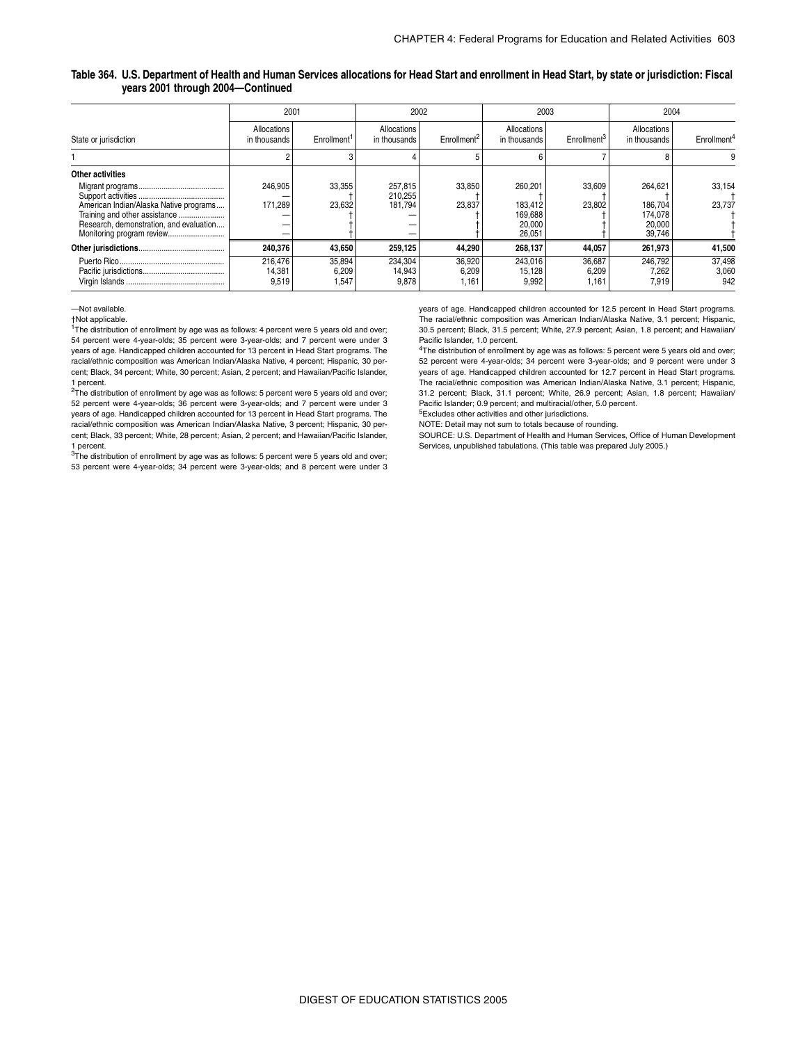#### **Table 364. U.S. Department of Health and Human Services allocations for Head Start and enrollment in Head Start, by state or jurisdiction: Fiscal years 2001 through 2004—Continued**

|                                                                                                                    | 2001                        |                          | 2002                          |                          |                                                   | 2003                     | 2004                                              |                         |  |
|--------------------------------------------------------------------------------------------------------------------|-----------------------------|--------------------------|-------------------------------|--------------------------|---------------------------------------------------|--------------------------|---------------------------------------------------|-------------------------|--|
| State or jurisdiction                                                                                              | Allocations<br>in thousands | Enrollment <sup>1</sup>  | Allocations<br>in thousands   | Enrollment               | Allocations<br>in thousands                       | Enrollment <sup>3</sup>  | Allocations<br>in thousands                       | Enrollment <sup>4</sup> |  |
|                                                                                                                    |                             |                          |                               |                          |                                                   |                          |                                                   |                         |  |
| <b>Other activities</b>                                                                                            |                             |                          |                               |                          |                                                   |                          |                                                   |                         |  |
| American Indian/Alaska Native programs<br>Training and other assistance<br>Research, demonstration, and evaluation | 246.905<br>171.289<br>-     | 33,355<br>23,632         | 257,815<br>210,255<br>181.794 | 33,850<br>23,837         | 260.201<br>183.412<br>169,688<br>20,000<br>26,051 | 33,609<br>23.802         | 264.621<br>186.704<br>174,078<br>20,000<br>39,746 | 33.154<br>23.737        |  |
|                                                                                                                    | 240,376                     | 43,650                   | 259,125                       | 44,290                   | 268,137                                           | 44,057                   | 261,973                                           | 41,500                  |  |
|                                                                                                                    | 216.476<br>14,381<br>9,519  | 35,894<br>6,209<br>1,547 | 234,304<br>14,943<br>9,878    | 36,920<br>6,209<br>1,161 | 243.016<br>15,128<br>9,992                        | 36,687<br>6,209<br>1.161 | 246.792<br>7,262<br>7,919                         | 37,498<br>3,060<br>942  |  |

—Not available.

†Not applicable.

<sup>1</sup>The distribution of enrollment by age was as follows: 4 percent were 5 years old and over; 54 percent were 4-year-olds; 35 percent were 3-year-olds; and 7 percent were under 3 years of age. Handicapped children accounted for 13 percent in Head Start programs. The racial/ethnic composition was American Indian/Alaska Native, 4 percent; Hispanic, 30 percent; Black, 34 percent; White, 30 percent; Asian, 2 percent; and Hawaiian/Pacific Islander, 1 percent.

 $2$ The distribution of enrollment by age was as follows: 5 percent were 5 years old and over; 52 percent were 4-year-olds; 36 percent were 3-year-olds; and 7 percent were under 3 years of age. Handicapped children accounted for 13 percent in Head Start programs. The racial/ethnic composition was American Indian/Alaska Native, 3 percent; Hispanic, 30 percent; Black, 33 percent; White, 28 percent; Asian, 2 percent; and Hawaiian/Pacific Islander, 1 percent.

 $3$ The distribution of enrollment by age was as follows: 5 percent were 5 years old and over; 53 percent were 4-year-olds; 34 percent were 3-year-olds; and 8 percent were under 3

years of age. Handicapped children accounted for 12.5 percent in Head Start programs. The racial/ethnic composition was American Indian/Alaska Native, 3.1 percent; Hispanic, 30.5 percent; Black, 31.5 percent; White, 27.9 percent; Asian, 1.8 percent; and Hawaiian/ Pacific Islander, 1.0 percent.

<sup>4</sup>The distribution of enrollment by age was as follows: 5 percent were 5 years old and over; 52 percent were 4-year-olds; 34 percent were 3-year-olds; and 9 percent were under 3 years of age. Handicapped children accounted for 12.7 percent in Head Start programs. The racial/ethnic composition was American Indian/Alaska Native, 3.1 percent; Hispanic, 31.2 percent; Black, 31.1 percent; White, 26.9 percent; Asian, 1.8 percent; Hawaiian/ Pacific Islander; 0.9 percent; and multiracial/other, 5.0 percent.

5Excludes other activities and other jurisdictions.

NOTE: Detail may not sum to totals because of rounding.

SOURCE: U.S. Department of Health and Human Services, Office of Human Development Services, unpublished tabulations. (This table was prepared July 2005.)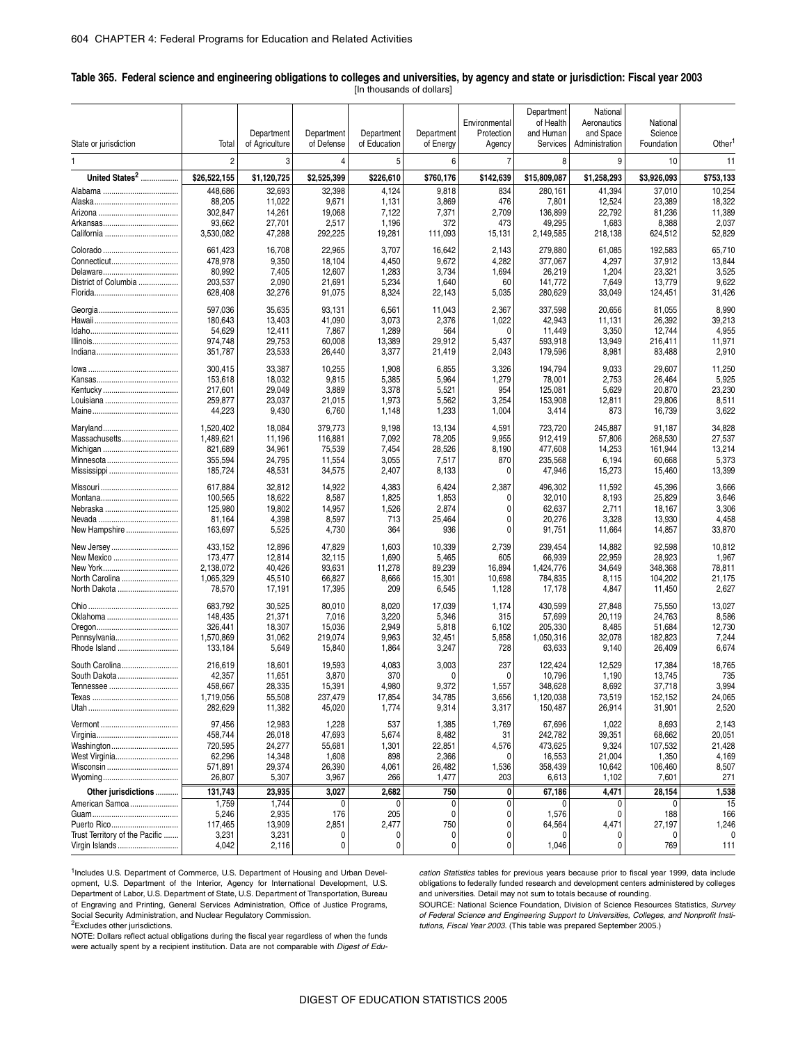#### \_ **Table 365. Federal science and engineering obligations to colleges and universities, by agency and state or jurisdiction: Fiscal year 2003** [In thousands of dollars]

|                                |                |                |                |              |            |                | Department   | National       |             |                    |
|--------------------------------|----------------|----------------|----------------|--------------|------------|----------------|--------------|----------------|-------------|--------------------|
|                                |                |                |                |              |            | Environmental  | of Health    | Aeronautics    | National    |                    |
|                                |                | Department     | Department     | Department   | Department | Protection     | and Human    | and Space      | Science     |                    |
| State or jurisdiction          | Total          | of Agriculture | of Defense     | of Education | of Energy  | Agency         | Services     | Administration | Foundation  | Other <sup>1</sup> |
|                                |                |                |                |              |            |                |              |                |             |                    |
| 1                              | $\overline{2}$ | 3              | $\overline{4}$ | 5            | 6          | $\overline{7}$ | 8            | 9              | 10          | 11                 |
|                                |                |                |                |              |            |                |              |                |             |                    |
| United States <sup>2</sup>     | \$26,522,155   | \$1,120,725    | \$2,525,399    | \$226,610    | \$760,176  | \$142,639      | \$15,809,087 | \$1,258,293    | \$3,926,093 | \$753,133          |
|                                | 448,686        | 32,693         | 32,398         | 4,124        | 9,818      | 834            | 280,161      | 41,394         | 37,010      | 10,254             |
|                                | 88,205         | 11,022         | 9,671          | 1,131        | 3,869      | 476            | 7,801        | 12,524         | 23,389      | 18,322             |
|                                | 302,847        | 14,261         | 19,068         | 7,122        | 7,371      | 2,709          | 136,899      | 22,792         | 81,236      | 11,389             |
|                                | 93,662         | 27,701         | 2,517          | 1,196        | 372        | 473            | 49,295       | 1,683          | 8,388       | 2,037              |
|                                |                |                | 292,225        |              |            |                |              |                |             | 52,829             |
|                                | 3,530,082      | 47,288         |                | 19,281       | 111,093    | 15,131         | 2,149,585    | 218,138        | 624,512     |                    |
|                                | 661,423        | 16,708         | 22,965         | 3,707        | 16,642     | 2,143          | 279,880      | 61,085         | 192,583     | 65,710             |
|                                | 478,978        | 9,350          | 18,104         | 4,450        | 9,672      | 4,282          | 377,067      | 4,297          | 37,912      | 13,844             |
|                                | 80,992         |                |                |              |            |                |              |                |             |                    |
|                                |                | 7,405          | 12,607         | 1,283        | 3,734      | 1,694          | 26,219       | 1,204          | 23,321      | 3,525              |
| District of Columbia           | 203,537        | 2,090          | 21,691         | 5,234        | 1,640      | 60             | 141,772      | 7,649          | 13,779      | 9,622              |
|                                | 628,408        | 32,276         | 91,075         | 8,324        | 22,143     | 5,035          | 280,629      | 33,049         | 124,451     | 31,426             |
|                                | 597,036        | 35,635         | 93,131         | 6,561        | 11,043     | 2,367          | 337,598      | 20,656         | 81,055      | 8,990              |
|                                |                |                |                |              |            |                |              |                |             |                    |
|                                | 180,643        | 13,403         | 41,090         | 3,073        | 2,376      | 1,022          | 42,943       | 11,131         | 26,392      | 39,213             |
|                                | 54,629         | 12,411         | 7,867          | 1,289        | 564        | $\Omega$       | 11,449       | 3,350          | 12,744      | 4,955              |
|                                | 974,748        | 29,753         | 60,008         | 13,389       | 29,912     | 5,437          | 593,918      | 13,949         | 216,411     | 11,971             |
|                                | 351,787        | 23,533         | 26,440         | 3,377        | 21,419     | 2,043          | 179,596      | 8,981          | 83,488      | 2,910              |
|                                | 300,415        | 33,387         | 10,255         | 1,908        | 6,855      |                | 194,794      | 9,033          | 29,607      |                    |
|                                |                |                |                |              |            | 3,326          |              |                |             | 11,250             |
|                                | 153,618        | 18,032         | 9,815          | 5,385        | 5,964      | 1,279          | 78,001       | 2,753          | 26,464      | 5,925              |
|                                | 217,601        | 29,049         | 3,889          | 3,378        | 5,521      | 954            | 125,081      | 5,629          | 20,870      | 23,230             |
|                                | 259,877        | 23,037         | 21,015         | 1,973        | 5,562      | 3,254          | 153,908      | 12,811         | 29,806      | 8,511              |
|                                | 44,223         | 9,430          | 6,760          | 1,148        | 1,233      | 1,004          | 3,414        | 873            | 16,739      | 3,622              |
|                                |                |                |                |              |            |                |              |                |             |                    |
|                                | 1,520,402      | 18,084         | 379,773        | 9,198        | 13,134     | 4,591          | 723,720      | 245,887        | 91,187      | 34,828             |
| Massachusetts                  | 1,489,621      | 11,196         | 116,881        | 7,092        | 78,205     | 9,955          | 912,419      | 57,806         | 268,530     | 27,537             |
|                                | 821,689        | 34,961         | 75,539         | 7,454        | 28,526     | 8,190          | 477,608      | 14,253         | 161,944     | 13,214             |
|                                | 355,594        | 24,795         | 11,554         | 3,055        | 7,517      | 870            | 235,568      | 6,194          | 60,668      | 5,373              |
|                                | 185,724        | 48,531         | 34,575         | 2,407        | 8,133      | 0              | 47,946       | 15,273         | 15,460      | 13,399             |
|                                |                |                |                |              |            |                |              |                |             |                    |
|                                | 617,884        | 32,812         | 14,922         | 4,383        | 6,424      | 2,387          | 496,302      | 11,592         | 45,396      | 3,666              |
|                                | 100,565        | 18,622         | 8,587          | 1,825        | 1,853      | $\Omega$       | 32,010       | 8,193          | 25,829      | 3,646              |
|                                | 125,980        | 19,802         | 14,957         | 1,526        | 2,874      | 0              | 62,637       | 2,711          | 18,167      | 3,306              |
|                                | 81,164         | 4,398          | 8,597          | 713          | 25,464     | 0              | 20,276       | 3,328          | 13,930      | 4,458              |
| New Hampshire                  | 163,697        | 5,525          | 4,730          | 364          | 936        | $\Omega$       | 91,751       | 11,664         | 14,857      | 33,870             |
|                                |                |                |                |              |            |                |              |                |             |                    |
| New Jersey                     | 433,152        | 12,896         | 47,829         | 1,603        | 10,339     | 2,739          | 239,454      | 14,882         | 92,598      | 10,812             |
| New Mexico                     | 173,477        | 12,814         | 32,115         | 1,690        | 5,465      | 605            | 66,939       | 22,959         | 28,923      | 1,967              |
|                                | 2,138,072      | 40,426         | 93,631         | 11,278       | 89,239     | 16,894         | 1,424,776    | 34,649         | 348,368     | 78,811             |
| North Carolina                 | 1,065,329      | 45,510         | 66,827         | 8,666        | 15,301     | 10,698         | 784,835      | 8,115          | 104,202     | 21,175             |
| North Dakota                   | 78,570         | 17,191         | 17,395         | 209          | 6,545      | 1,128          | 17,178       | 4,847          | 11,450      | 2,627              |
|                                |                |                |                |              |            |                |              |                |             |                    |
|                                | 683,792        | 30,525         | 80,010         | 8,020        | 17,039     | 1,174          | 430,599      | 27,848         | 75,550      | 13,027             |
| Oklahoma                       | 148,435        | 21,371         | 7,016          | 3,220        | 5,346      | 315            | 57,699       | 20,119         | 24,763      | 8,586              |
|                                | 326,441        | 18,307         | 15,036         | 2,949        | 5,818      | 6,102          | 205,330      | 8,485          | 51,684      | 12,730             |
| Pennsylvania                   | 1,570,869      | 31,062         | 219,074        | 9,963        | 32,451     | 5,858          | 1,050,316    | 32,078         | 182,823     | 7,244              |
| Rhode Island                   | 133,184        | 5,649          | 15,840         | 1,864        | 3,247      | 728            | 63,633       | 9,140          | 26,409      | 6,674              |
|                                |                |                |                |              |            |                |              |                |             |                    |
| South Carolina                 | 216,619        | 18,601         | 19,593         | 4,083        | 3,003      | 237            | 122,424      | 12,529         | 17,384      | 18,765             |
| South Dakota                   | 42,357         | 11,651         | 3,870          | 370          | 0          | 0              | 10,796       | 1,190          | 13,745      | 735                |
|                                | 458,667        | 28,335         | 15,391         | 4,980        | 9,372      | 1,557          | 348,628      | 8,692          | 37,718      | 3,994              |
|                                | 1,719,056      | 55,508         | 237,479        | 17,854       | 34,785     | 3,656          | 1,120,038    | 73,519         | 152,152     | 24,065             |
|                                | 282,629        | 11,382         | 45,020         | 1,774        | 9,314      | 3,317          | 150,487      | 26,914         | 31,901      | 2,520              |
|                                |                |                |                |              |            |                |              |                |             |                    |
|                                | 97,456         | 12,983         | 1,228          | 537          | 1,385      | 1,769          | 67,696       | 1,022          | 8,693       | 2,143              |
|                                | 458,744        | 26,018         | 47,693         | 5,674        | 8,482      | 31             | 242,782      | 39,351         | 68,662      | 20,051             |
| Washington                     | 720,595        | 24,277         | 55,681         | 1,301        | 22,851     | 4,576          | 473,625      | 9,324          | 107,532     | 21,428             |
| West Virginia                  | 62,296         | 14,348         | 1,608          | 898          | 2,366      | 0              | 16,553       | 21,004         | 1,350       | 4,169              |
| Wisconsin                      | 571,891        | 29,374         |                |              |            | 1,536          | 358,439      |                | 106,460     | 8,507              |
|                                |                |                | 26,390         | 4,061        | 26,482     |                |              | 10,642         |             |                    |
|                                | 26,807         | 5,307          | 3,967          | 266          | 1,477      | 203            | 6,613        | 1,102          | 7,601       | 271                |
| Other jurisdictions            | 131,743        | 23,935         | 3,027          | 2,682        | 750        | 0              | 67,186       | 4,471          | 28,154      | 1,538              |
| American Samoa                 | 1,759          | 1,744          | 0              | 0            | 0          | $\mathbf{0}$   | 0            | 0              | 0           | 15                 |
|                                | 5,246          | 2,935          | 176            | 205          | 0          | $\Omega$       | 1,576        | 0              | 188         | 166                |
|                                | 117,465        | 13,909         | 2,851          | 2,477        | 750        | 0              | 64,564       | 4,471          | 27,197      | 1,246              |
| Trust Territory of the Pacific | 3,231          | 3,231          | 0              | 0            | 0          | 0              | 0            | 0              | 0           | 0                  |
| Virgin Islands                 | 4,042          | 2,116          | 0              | 0            | 0          | 0              | 1,046        | 0              | 769         | 111                |
|                                |                |                |                |              |            |                |              |                |             |                    |

<sup>1</sup>Includes U.S. Department of Commerce, U.S. Department of Housing and Urban Development, U.S. Department of the Interior, Agency for International Development, U.S. Department of Labor, U.S. Department of State, U.S. Department of Transportation, Bureau of Engraving and Printing, General Services Administration, Office of Justice Programs, Social Security Administration, and Nuclear Regulatory Commission.

*cation Statistics* tables for previous years because prior to fiscal year 1999, data include obligations to federally funded research and development centers administered by colleges and universities. Detail may not sum to totals because of rounding.

2Excludes other jurisdictions. NOTE: Dollars reflect actual obligations during the fiscal year regardless of when the funds were actually spent by a recipient institution. Data are not comparable with *Digest of Edu-* SOURCE: National Science Foundation, Division of Science Resources Statistics, *Survey of Federal Science and Engineering Support to Universities, Colleges, and Nonprofit Institutions, Fiscal Year 2003*. (This table was prepared September 2005.)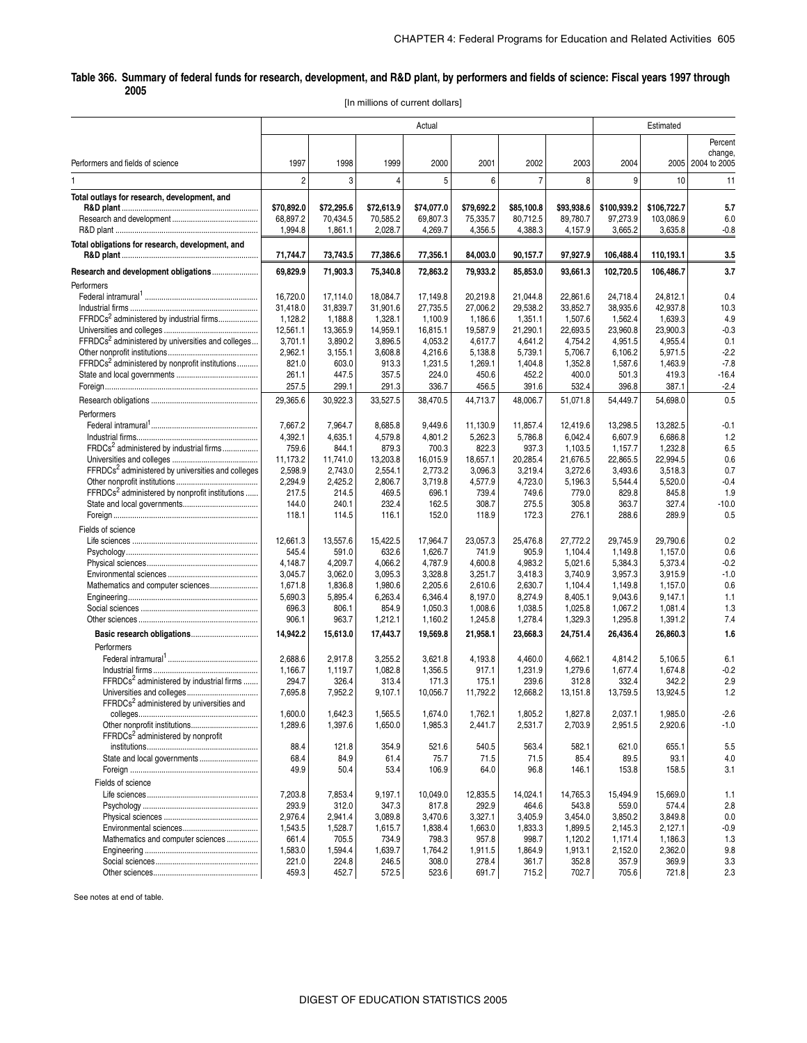#### . **Table 366. Summary of federal funds for research, development, and R&D plant, by performers and fields of science: Fiscal years 1997 through 2005**

[In millions of current dollars]

|                                                               | Actual              |                     |                     |                     |                     |                     |                     | Estimated           |                      |                   |
|---------------------------------------------------------------|---------------------|---------------------|---------------------|---------------------|---------------------|---------------------|---------------------|---------------------|----------------------|-------------------|
|                                                               |                     |                     |                     |                     |                     |                     |                     |                     |                      | Percent           |
|                                                               |                     |                     |                     |                     |                     |                     |                     |                     |                      | change,           |
| Performers and fields of science                              | 1997                | 1998                | 1999                | 2000                | 2001                | 2002                | 2003                | 2004                |                      | 2005 2004 to 2005 |
|                                                               | $\overline{2}$      | 3                   | $\overline{4}$      | 5                   | 6                   | $\overline{7}$      | 8                   | 9                   | 10                   | 11                |
| Total outlays for research, development, and                  | \$70,892.0          | \$72,295.6          | \$72,613.9          | \$74,077.0          | \$79,692.2          | \$85,100.8          | \$93,938.6          | \$100,939.2         | \$106,722.7          | 5.7               |
|                                                               | 68,897.2<br>1,994.8 | 70,434.5<br>1,861.1 | 70,585.2<br>2,028.7 | 69,807.3<br>4,269.7 | 75,335.7<br>4,356.5 | 80,712.5<br>4,388.3 | 89,780.7<br>4,157.9 | 97,273.9<br>3,665.2 | 103,086.9<br>3,635.8 | 6.0<br>$-0.8$     |
| Total obligations for research, development, and              | 71,744.7            | 73,743.5            | 77,386.6            | 77,356.1            | 84,003.0            | 90,157.7            | 97,927.9            | 106,488.4           | 110,193.1            | 3.5               |
| Research and development obligations                          | 69,829.9            | 71,903.3            | 75,340.8            | 72,863.2            | 79,933.2            | 85,853.0            | 93,661.3            | 102,720.5           | 106,486.7            | 3.7               |
| Performers                                                    |                     |                     |                     |                     |                     |                     |                     |                     |                      |                   |
|                                                               | 16,720.0            | 17.114.0            | 18,084.7            | 17,149.8            | 20,219.8            | 21,044.8            | 22,861.6            | 24,718.4            | 24,812.1             | 0.4               |
|                                                               | 31,418.0            | 31,839.7            | 31,901.6            | 27,735.5            | 27,006.2            | 29,538.2            | 33,852.7            | 38,935.6            | 42,937.8             | 10.3              |
| FFRDCs <sup>2</sup> administered by industrial firms          | 1,128.2             | 1,188.8             | 1,328.1             | 1,100.9             | 1,186.6             | 1,351.1             | 1,507.6             | 1,562.4             | 1,639.3              | 4.9               |
|                                                               | 12,561.1            | 13,365.9            | 14,959.1            | 16,815.1            | 19,587.9            | 21,290.1            | 22,693.5            | 23,960.8            | 23,900.3             | $-0.3$            |
| FFRDCs <sup>2</sup> administered by universities and colleges | 3,701.1             | 3,890.2             | 3,896.5             | 4,053.2             | 4,617.7             | 4,641.2             | 4,754.2             | 4,951.5             | 4,955.4              | 0.1               |
|                                                               | 2,962.1             | 3,155.1             | 3,608.8             | 4,216.6             | 5,138.8             | 5,739.1             | 5,706.7             | 6,106.2             | 5,971.5              | $-2.2$            |
| FFRDCs <sup>2</sup> administered by nonprofit institutions    | 821.0               | 603.0               | 913.3               | 1,231.5             | 1,269.1             | 1,404.8             | 1,352.8             | 1,587.6             | 1,463.9              | $-7.8$            |
|                                                               | 261.1               | 447.5               | 357.5               | 224.0               | 450.6               | 452.2               | 400.0               | 501.3               | 419.3                | $-16.4$           |
|                                                               | 257.5               | 299.1               | 291.3               | 336.7               | 456.5               | 391.6               | 532.4               | 396.8               | 387.1                | $-2.4$            |
|                                                               | 29,365.6            | 30,922.3            | 33,527.5            | 38,470.5            | 44,713.7            | 48,006.7            | 51,071.8            | 54,449.7            | 54,698.0             | 0.5               |
| Performers                                                    |                     |                     |                     |                     |                     |                     |                     |                     |                      |                   |
|                                                               | 7,667.2             | 7,964.7             | 8,685.8             | 9,449.6             | 11,130.9            | 11.857.4            | 12,419.6            | 13,298.5            | 13,282.5             | $-0.1$            |
|                                                               | 4,392.1             | 4,635.1             | 4,579.8             | 4,801.2             | 5,262.3             | 5,786.8             | 6,042.4             | 6,607.9             | 6,686.8              | 1.2               |
| FRDCs <sup>2</sup> administered by industrial firms           | 759.6               | 844.1               | 879.3               | 700.3               | 822.3               | 937.3               | 1.103.5             | 1,157.7             | 1,232.8              | 6.5               |
|                                                               | 11,173.2            | 11,741.0            | 13,203.8            | 16,015.9            | 18,657.1            | 20.285.4            | 21,676.5            | 22.865.5            | 22,994.5             | 0.6               |
| FFRDCs <sup>2</sup> administered by universities and colleges | 2.598.9             | 2,743.0             | 2,554.1             | 2,773.2             | 3,096.3             | 3,219.4             | 3,272.6             | 3,493.6             | 3,518.3              | 0.7               |
|                                                               | 2,294.9             | 2,425.2             | 2,806.7             | 3,719.8             | 4,577.9             | 4,723.0             | 5,196.3             | 5,544.4             | 5,520.0              | $-0.4$            |
| FFRDCs <sup>2</sup> administered by nonprofit institutions    | 217.5               | 214.5               | 469.5               | 696.1               | 739.4               | 749.6               | 779.0               | 829.8               | 845.8                | 1.9               |
|                                                               | 144.0               | 240.1               | 232.4               | 162.5               | 308.7               | 275.5               | 305.8               | 363.7               | 327.4                | $-10.0$           |
|                                                               | 118.1               | 114.5               | 116.1               | 152.0               | 118.9               | 172.3               | 276.1               | 288.6               | 289.9                | 0.5               |
| Fields of science                                             |                     |                     |                     |                     |                     |                     |                     |                     |                      |                   |
|                                                               | 12,661.3            | 13,557.6            | 15,422.5            | 17,964.7            | 23,057.3            | 25,476.8            | 27,772.2            | 29,745.9            | 29,790.6             | 0.2               |
|                                                               | 545.4               | 591.0               | 632.6               | 1,626.7             | 741.9               | 905.9               | 1,104.4             | 1,149.8             | 1,157.0              | 0.6               |
|                                                               | 4,148.7             | 4,209.7             | 4,066.2             | 4,787.9             | 4,600.8             | 4,983.2             | 5,021.6             | 5,384.3             | 5,373.4              | $-0.2$            |
|                                                               | 3,045.7             | 3,062.0             | 3,095.3             | 3,328.8             | 3,251.7             | 3,418.3             | 3,740.9             | 3,957.3             | 3,915.9              | $-1.0$            |
| Mathematics and computer sciences                             | 1,671.8             | 1,836.8             | 1,980.6             | 2,205.6             | 2,610.6             | 2,630.7             | 1,104.4             | 1,149.8             | 1,157.0              | 0.6               |
|                                                               | 5,690.3             | 5,895.4             | 6,263.4             | 6,346.4             | 8,197.0             | 8,274.9             | 8,405.1             | 9,043.6             | 9,147.1              | 1.1               |
|                                                               | 696.3               | 806.1               | 854.9               | 1,050.3             | 1,008.6             | 1,038.5             | 1,025.8             | 1,067.2             | 1,081.4              | 1.3               |
|                                                               | 906.1               | 963.7               | 1,212.1             | 1,160.2             | 1,245.8             | 1,278.4             | 1,329.3             | 1,295.8             | 1,391.2              | 7.4               |
|                                                               | 14,942.2            | 15,613.0            | 17,443.7            | 19,569.8            | 21,958.1            | 23,668.3            | 24,751.4            | 26,436.4            | 26,860.3             | 1.6               |
| Performers                                                    |                     |                     |                     |                     |                     |                     |                     |                     |                      |                   |
|                                                               | 2,688.6             | 2,917.8             | 3,255.2             | 3,621.8             | 4,193.8             | 4,460.0             | 4,662.1             | 4,814.2             | 5,106.5              | 6.1               |
|                                                               | 1,166.7             | 1,119.7             | 1,082.8             | 1,356.5             | 917.1               | 1,231.9             | 1,279.6             | 1,677.4             | 1.674.8              | $-0.2$            |
| FFRDCs <sup>2</sup> administered by industrial firms          | 294.7               | 326.4               | 313.4               | 171.3               | 175.1               | 239.6               | 312.8               | 332.4               | 342.2                | 2.9               |
| FFRDCs <sup>2</sup> administered by universities and          | 7,695.8             | 7,952.2             | 9,107.1             | 10,056.7            | 11,792.2            | 12,668.2            | 13,151.8            | 13,759.5            | 13,924.5             | 1.2               |
|                                                               | 1,600.0             | 1,642.3             | 1,565.5             | 1,674.0             | 1,762.1             | 1,805.2             | 1,827.8             | 2,037.1             | 1,985.0              | $-2.6$            |
|                                                               | 1,289.6             | 1,397.6             | 1,650.0             | 1,985.3             | 2,441.7             | 2,531.7             | 2,703.9             | 2,951.5             | 2,920.6              | $-1.0$            |
| FFRDCs <sup>2</sup> administered by nonprofit                 |                     |                     |                     |                     |                     |                     |                     |                     |                      |                   |
|                                                               | 88.4                | 121.8               | 354.9               | 521.6               | 540.5               | 563.4               | 582.1               | 621.0               | 655.1                | 5.5               |
|                                                               | 68.4                | 84.9                | 61.4                | 75.7                | 71.5                | 71.5                | 85.4                | 89.5                | 93.1                 | 4.0               |
|                                                               | 49.9                | 50.4                | 53.4                | 106.9               | 64.0                | 96.8                | 146.1               | 153.8               | 158.5                | 3.1               |
| Fields of science                                             |                     |                     |                     |                     |                     |                     |                     |                     |                      |                   |
|                                                               | 7,203.8             | 7,853.4             | 9.197.1             | 10,049.0            | 12,835.5            | 14.024.1            | 14,765.3            | 15.494.9            | 15,669.0             | 1.1               |
|                                                               | 293.9               | 312.0               | 347.3               | 817.8               | 292.9               | 464.6               | 543.8               | 559.0               | 574.4                | 2.8               |
|                                                               | 2,976.4             | 2,941.4             | 3,089.8             | 3,470.6             | 3,327.1             | 3,405.9             | 3,454.0             | 3,850.2             | 3,849.8              | 0.0               |
|                                                               | 1,543.5             | 1,528.7             | 1,615.7             | 1,838.4             | 1,663.0             | 1,833.3             | 1,899.5             | 2,145.3             | 2,127.1              | $-0.9$            |
| Mathematics and computer sciences                             | 661.4               | 705.5               | 734.9               | 798.3               | 957.8               | 998.7               | 1,120.2             | 1,171.4             | 1,186.3              | 1.3               |
|                                                               | 1,583.0             | 1,594.4             | 1,639.7             | 1,764.2             | 1,911.5             | 1,864.9             | 1,913.1             | 2,152.0             | 2,362.0              | 9.8               |
|                                                               | 221.0               | 224.8               | 246.5               | 308.0               | 278.4               | 361.7               | 352.8               | 357.9               | 369.9                | 3.3               |
|                                                               | 459.3               | 452.7               | 572.5               | 523.6               | 691.7               | 715.2               | 702.7               | 705.6               | 721.8                | 2.3               |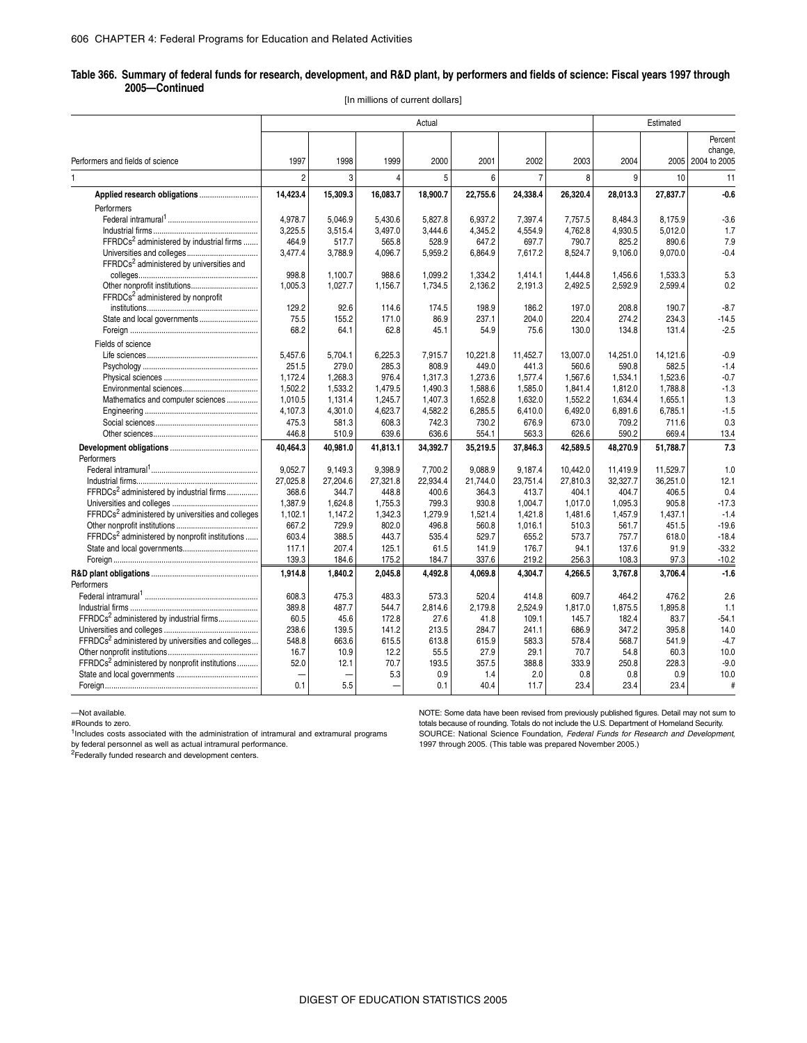#### **Table 366. Summary of federal funds for research, development, and R&D plant, by performers and fields of science: Fiscal years 1997 through 2005—Continued**

[In millions of current dollars]

| Performers and fields of science<br>1997<br>2000<br>2001<br>2002<br>2003<br>2004<br>2005 2004 to 2005<br>1998<br>1999<br>$\overline{7}$<br>$\overline{2}$<br>3<br>5<br>8<br>9<br>10<br>$\Delta$<br>6<br>1.<br>14,423.4<br>15,309.3<br>16,083.7<br>18,900.7<br>22,755.6<br>24,338.4<br>26,320.4<br>28,013.3<br>27,837.7<br>Performers<br>4,978.7<br>5,827.8<br>7,397.4<br>5.046.9<br>5,430.6<br>6.937.2<br>7,757.5<br>8.484.3<br>8,175.9<br>3,225.5<br>3,497.0<br>3,444.6<br>4,554.9<br>4,762.8<br>4,930.5<br>5,012.0<br>3,515.4<br>4,345.2<br>FFRDCs <sup>2</sup> administered by industrial firms<br>464.9<br>565.8<br>528.9<br>697.7<br>790.7<br>890.6<br>517.7<br>647.2<br>825.2<br>3,477.4<br>3,788.9<br>4,096.7<br>5,959.2<br>6,864.9<br>7,617.2<br>8,524.7<br>9,106.0<br>9,070.0<br>FFRDCs <sup>2</sup> administered by universities and<br>998.8<br>1,100.7<br>988.6<br>1.099.2<br>1,334.2<br>1,444.8<br>1,456.6<br>1,533.3<br>1,414.1<br>1,005.3<br>1,027.7<br>2,136.2<br>2,191.3<br>2,492.5<br>2,592.9<br>2,599.4<br>1,156.7<br>1,734.5<br>FFRDCs <sup>2</sup> administered by nonprofit<br>129.2<br>92.6<br>174.5<br>198.9<br>197.0<br>208.8<br>190.7<br>114.6<br>186.2<br>State and local governments<br>75.5<br>86.9<br>220.4<br>155.2<br>171.0<br>237.1<br>204.0<br>274.2<br>234.3<br>130.0<br>68.2<br>64.1<br>62.8<br>45.1<br>54.9<br>75.6<br>134.8<br>131.4 |                   |  | Actual |  |  | Estimated |         |
|----------------------------------------------------------------------------------------------------------------------------------------------------------------------------------------------------------------------------------------------------------------------------------------------------------------------------------------------------------------------------------------------------------------------------------------------------------------------------------------------------------------------------------------------------------------------------------------------------------------------------------------------------------------------------------------------------------------------------------------------------------------------------------------------------------------------------------------------------------------------------------------------------------------------------------------------------------------------------------------------------------------------------------------------------------------------------------------------------------------------------------------------------------------------------------------------------------------------------------------------------------------------------------------------------------------------------------------------------------------------------|-------------------|--|--------|--|--|-----------|---------|
|                                                                                                                                                                                                                                                                                                                                                                                                                                                                                                                                                                                                                                                                                                                                                                                                                                                                                                                                                                                                                                                                                                                                                                                                                                                                                                                                                                            |                   |  |        |  |  |           | Percent |
|                                                                                                                                                                                                                                                                                                                                                                                                                                                                                                                                                                                                                                                                                                                                                                                                                                                                                                                                                                                                                                                                                                                                                                                                                                                                                                                                                                            |                   |  |        |  |  |           | change, |
|                                                                                                                                                                                                                                                                                                                                                                                                                                                                                                                                                                                                                                                                                                                                                                                                                                                                                                                                                                                                                                                                                                                                                                                                                                                                                                                                                                            |                   |  |        |  |  |           |         |
|                                                                                                                                                                                                                                                                                                                                                                                                                                                                                                                                                                                                                                                                                                                                                                                                                                                                                                                                                                                                                                                                                                                                                                                                                                                                                                                                                                            |                   |  |        |  |  |           | 11      |
|                                                                                                                                                                                                                                                                                                                                                                                                                                                                                                                                                                                                                                                                                                                                                                                                                                                                                                                                                                                                                                                                                                                                                                                                                                                                                                                                                                            |                   |  |        |  |  |           | $-0.6$  |
|                                                                                                                                                                                                                                                                                                                                                                                                                                                                                                                                                                                                                                                                                                                                                                                                                                                                                                                                                                                                                                                                                                                                                                                                                                                                                                                                                                            |                   |  |        |  |  |           |         |
|                                                                                                                                                                                                                                                                                                                                                                                                                                                                                                                                                                                                                                                                                                                                                                                                                                                                                                                                                                                                                                                                                                                                                                                                                                                                                                                                                                            |                   |  |        |  |  |           | $-3.6$  |
|                                                                                                                                                                                                                                                                                                                                                                                                                                                                                                                                                                                                                                                                                                                                                                                                                                                                                                                                                                                                                                                                                                                                                                                                                                                                                                                                                                            |                   |  |        |  |  |           | 1.7     |
|                                                                                                                                                                                                                                                                                                                                                                                                                                                                                                                                                                                                                                                                                                                                                                                                                                                                                                                                                                                                                                                                                                                                                                                                                                                                                                                                                                            |                   |  |        |  |  |           | 7.9     |
|                                                                                                                                                                                                                                                                                                                                                                                                                                                                                                                                                                                                                                                                                                                                                                                                                                                                                                                                                                                                                                                                                                                                                                                                                                                                                                                                                                            |                   |  |        |  |  |           | $-0.4$  |
|                                                                                                                                                                                                                                                                                                                                                                                                                                                                                                                                                                                                                                                                                                                                                                                                                                                                                                                                                                                                                                                                                                                                                                                                                                                                                                                                                                            |                   |  |        |  |  |           |         |
|                                                                                                                                                                                                                                                                                                                                                                                                                                                                                                                                                                                                                                                                                                                                                                                                                                                                                                                                                                                                                                                                                                                                                                                                                                                                                                                                                                            |                   |  |        |  |  |           | 5.3     |
|                                                                                                                                                                                                                                                                                                                                                                                                                                                                                                                                                                                                                                                                                                                                                                                                                                                                                                                                                                                                                                                                                                                                                                                                                                                                                                                                                                            |                   |  |        |  |  |           | 0.2     |
|                                                                                                                                                                                                                                                                                                                                                                                                                                                                                                                                                                                                                                                                                                                                                                                                                                                                                                                                                                                                                                                                                                                                                                                                                                                                                                                                                                            |                   |  |        |  |  |           |         |
|                                                                                                                                                                                                                                                                                                                                                                                                                                                                                                                                                                                                                                                                                                                                                                                                                                                                                                                                                                                                                                                                                                                                                                                                                                                                                                                                                                            |                   |  |        |  |  |           | $-8.7$  |
|                                                                                                                                                                                                                                                                                                                                                                                                                                                                                                                                                                                                                                                                                                                                                                                                                                                                                                                                                                                                                                                                                                                                                                                                                                                                                                                                                                            |                   |  |        |  |  |           | $-14.5$ |
|                                                                                                                                                                                                                                                                                                                                                                                                                                                                                                                                                                                                                                                                                                                                                                                                                                                                                                                                                                                                                                                                                                                                                                                                                                                                                                                                                                            |                   |  |        |  |  |           | $-2.5$  |
|                                                                                                                                                                                                                                                                                                                                                                                                                                                                                                                                                                                                                                                                                                                                                                                                                                                                                                                                                                                                                                                                                                                                                                                                                                                                                                                                                                            | Fields of science |  |        |  |  |           |         |
| 5,457.6<br>5,704.1<br>6,225.3<br>7,915.7<br>10,221.8<br>11,452.7<br>13,007.0<br>14,251.0<br>14,121.6                                                                                                                                                                                                                                                                                                                                                                                                                                                                                                                                                                                                                                                                                                                                                                                                                                                                                                                                                                                                                                                                                                                                                                                                                                                                       |                   |  |        |  |  |           | $-0.9$  |
| 251.5<br>279.0<br>285.3<br>808.9<br>449.0<br>441.3<br>560.6<br>590.8<br>582.5                                                                                                                                                                                                                                                                                                                                                                                                                                                                                                                                                                                                                                                                                                                                                                                                                                                                                                                                                                                                                                                                                                                                                                                                                                                                                              |                   |  |        |  |  |           | $-1.4$  |
| 1,172.4<br>1,523.6<br>1,268.3<br>976.4<br>1,317.3<br>1,273.6<br>1,577.4<br>1,567.6<br>1,534.1                                                                                                                                                                                                                                                                                                                                                                                                                                                                                                                                                                                                                                                                                                                                                                                                                                                                                                                                                                                                                                                                                                                                                                                                                                                                              |                   |  |        |  |  |           | $-0.7$  |
| 1,502.2<br>1.533.2<br>1,479.5<br>1,490.3<br>1.588.6<br>1.841.4<br>1,812.0<br>1.788.8<br>1,585.0                                                                                                                                                                                                                                                                                                                                                                                                                                                                                                                                                                                                                                                                                                                                                                                                                                                                                                                                                                                                                                                                                                                                                                                                                                                                            |                   |  |        |  |  |           | $-1.3$  |
| Mathematics and computer sciences<br>1,010.5<br>1,131.4<br>1.245.7<br>1,407.3<br>1,652.8<br>1,632.0<br>1.552.2<br>1.634.4<br>1,655.1                                                                                                                                                                                                                                                                                                                                                                                                                                                                                                                                                                                                                                                                                                                                                                                                                                                                                                                                                                                                                                                                                                                                                                                                                                       |                   |  |        |  |  |           | 1.3     |
| 4,107.3<br>4,301.0<br>4,623.7<br>4,582.2<br>6,285.5<br>6,492.0<br>6,891.6<br>6,785.1<br>6,410.0                                                                                                                                                                                                                                                                                                                                                                                                                                                                                                                                                                                                                                                                                                                                                                                                                                                                                                                                                                                                                                                                                                                                                                                                                                                                            |                   |  |        |  |  |           | $-1.5$  |
| 475.3<br>581.3<br>608.3<br>742.3<br>730.2<br>676.9<br>673.0<br>709.2<br>711.6                                                                                                                                                                                                                                                                                                                                                                                                                                                                                                                                                                                                                                                                                                                                                                                                                                                                                                                                                                                                                                                                                                                                                                                                                                                                                              |                   |  |        |  |  |           | 0.3     |
| 446.8<br>510.9<br>639.6<br>636.6<br>554.1<br>563.3<br>626.6<br>590.2<br>669.4                                                                                                                                                                                                                                                                                                                                                                                                                                                                                                                                                                                                                                                                                                                                                                                                                                                                                                                                                                                                                                                                                                                                                                                                                                                                                              |                   |  |        |  |  |           | 13.4    |
| 40,981.0<br>51,788.7<br>40,464.3<br>41,813.1<br>34,392.7<br>35,219.5<br>37,846.3<br>42,589.5<br>48,270.9                                                                                                                                                                                                                                                                                                                                                                                                                                                                                                                                                                                                                                                                                                                                                                                                                                                                                                                                                                                                                                                                                                                                                                                                                                                                   |                   |  |        |  |  |           | 7.3     |
| Performers                                                                                                                                                                                                                                                                                                                                                                                                                                                                                                                                                                                                                                                                                                                                                                                                                                                                                                                                                                                                                                                                                                                                                                                                                                                                                                                                                                 |                   |  |        |  |  |           |         |
| 9.052.7<br>9,149.3<br>9,398.9<br>9.088.9<br>10,442.0<br>7,700.2<br>9,187.4<br>11,419.9<br>11,529.7                                                                                                                                                                                                                                                                                                                                                                                                                                                                                                                                                                                                                                                                                                                                                                                                                                                                                                                                                                                                                                                                                                                                                                                                                                                                         |                   |  |        |  |  |           | 1.0     |
| 27,025.8<br>27.321.8<br>22,934.4<br>36,251.0<br>27.204.6<br>21.744.0<br>23.751.4<br>27,810.3<br>32.327.7                                                                                                                                                                                                                                                                                                                                                                                                                                                                                                                                                                                                                                                                                                                                                                                                                                                                                                                                                                                                                                                                                                                                                                                                                                                                   |                   |  |        |  |  |           | 12.1    |
| FFRDCs <sup>2</sup> administered by industrial firms<br>368.6<br>344.7<br>448.8<br>400.6<br>413.7<br>404.1<br>406.5<br>364.3<br>404.7                                                                                                                                                                                                                                                                                                                                                                                                                                                                                                                                                                                                                                                                                                                                                                                                                                                                                                                                                                                                                                                                                                                                                                                                                                      |                   |  |        |  |  |           | 0.4     |
| 1,387.9<br>1,755.3<br>799.3<br>930.8<br>1,004.7<br>1,017.0<br>905.8<br>1,624.8<br>1,095.3                                                                                                                                                                                                                                                                                                                                                                                                                                                                                                                                                                                                                                                                                                                                                                                                                                                                                                                                                                                                                                                                                                                                                                                                                                                                                  |                   |  |        |  |  |           | $-17.3$ |
| FFRDCs <sup>2</sup> administered by universities and colleges<br>1,102.1<br>1,147.2<br>1,342.3<br>1,279.9<br>1,521.4<br>1,421.8<br>1,481.6<br>1,457.9<br>1.437.1                                                                                                                                                                                                                                                                                                                                                                                                                                                                                                                                                                                                                                                                                                                                                                                                                                                                                                                                                                                                                                                                                                                                                                                                           |                   |  |        |  |  |           | $-1.4$  |
| 667.2<br>729.9<br>802.0<br>496.8<br>1,016.1<br>510.3<br>561.7<br>560.8<br>451.5                                                                                                                                                                                                                                                                                                                                                                                                                                                                                                                                                                                                                                                                                                                                                                                                                                                                                                                                                                                                                                                                                                                                                                                                                                                                                            |                   |  |        |  |  |           | $-19.6$ |
| FFRDCs <sup>2</sup> administered by nonprofit institutions<br>603.4<br>535.4<br>388.5<br>443.7<br>529.7<br>655.2<br>573.7<br>757.7<br>618.0                                                                                                                                                                                                                                                                                                                                                                                                                                                                                                                                                                                                                                                                                                                                                                                                                                                                                                                                                                                                                                                                                                                                                                                                                                |                   |  |        |  |  |           | $-18.4$ |
| 117.1<br>207.4<br>125.1<br>61.5<br>176.7<br>94.1<br>91.9<br>141.9<br>137.6                                                                                                                                                                                                                                                                                                                                                                                                                                                                                                                                                                                                                                                                                                                                                                                                                                                                                                                                                                                                                                                                                                                                                                                                                                                                                                 |                   |  |        |  |  |           | $-33.2$ |
| 139.3<br>175.2<br>184.7<br>337.6<br>219.2<br>256.3<br>97.3<br>184.6<br>108.3                                                                                                                                                                                                                                                                                                                                                                                                                                                                                                                                                                                                                                                                                                                                                                                                                                                                                                                                                                                                                                                                                                                                                                                                                                                                                               |                   |  |        |  |  |           | $-10.2$ |
| 1.914.8<br>1.840.2<br>4.492.8<br>4.304.7<br>4.266.5<br>3,767.8<br>3.706.4<br>2.045.8<br>4.069.8                                                                                                                                                                                                                                                                                                                                                                                                                                                                                                                                                                                                                                                                                                                                                                                                                                                                                                                                                                                                                                                                                                                                                                                                                                                                            |                   |  |        |  |  |           | $-1.6$  |
| Performers                                                                                                                                                                                                                                                                                                                                                                                                                                                                                                                                                                                                                                                                                                                                                                                                                                                                                                                                                                                                                                                                                                                                                                                                                                                                                                                                                                 |                   |  |        |  |  |           |         |
| 608.3<br>475.3<br>573.3<br>520.4<br>483.3<br>414.8<br>609.7<br>464.2<br>476.2                                                                                                                                                                                                                                                                                                                                                                                                                                                                                                                                                                                                                                                                                                                                                                                                                                                                                                                                                                                                                                                                                                                                                                                                                                                                                              |                   |  |        |  |  |           | 2.6     |
| 389.8<br>487.7<br>544.7<br>2.814.6<br>2.179.8<br>2.524.9<br>1.817.0<br>1,875.5<br>1.895.8                                                                                                                                                                                                                                                                                                                                                                                                                                                                                                                                                                                                                                                                                                                                                                                                                                                                                                                                                                                                                                                                                                                                                                                                                                                                                  |                   |  |        |  |  |           | 1.1     |
| FFRDCs <sup>2</sup> administered by industrial firms<br>60.5<br>45.6<br>172.8<br>27.6<br>41.8<br>109.1<br>145.7<br>182.4<br>83.7                                                                                                                                                                                                                                                                                                                                                                                                                                                                                                                                                                                                                                                                                                                                                                                                                                                                                                                                                                                                                                                                                                                                                                                                                                           |                   |  |        |  |  |           | $-54.1$ |
| 238.6<br>686.9<br>139.5<br>141.2<br>213.5<br>284.7<br>241.1<br>347.2<br>395.8                                                                                                                                                                                                                                                                                                                                                                                                                                                                                                                                                                                                                                                                                                                                                                                                                                                                                                                                                                                                                                                                                                                                                                                                                                                                                              |                   |  |        |  |  |           | 14.0    |
| FFRDCs <sup>2</sup> administered by universities and colleges<br>548.8<br>663.6<br>615.5<br>613.8<br>615.9<br>583.3<br>578.4<br>568.7<br>541.9                                                                                                                                                                                                                                                                                                                                                                                                                                                                                                                                                                                                                                                                                                                                                                                                                                                                                                                                                                                                                                                                                                                                                                                                                             |                   |  |        |  |  |           | $-4.7$  |
| 16.7<br>12.2<br>55.5<br>27.9<br>70.7<br>60.3<br>10.9<br>29.1<br>54.8                                                                                                                                                                                                                                                                                                                                                                                                                                                                                                                                                                                                                                                                                                                                                                                                                                                                                                                                                                                                                                                                                                                                                                                                                                                                                                       |                   |  |        |  |  |           | 10.0    |
| FFRDCs <sup>2</sup> administered by nonprofit institutions<br>52.0<br>357.5<br>333.9<br>12.1<br>70.7<br>193.5<br>388.8<br>250.8<br>228.3                                                                                                                                                                                                                                                                                                                                                                                                                                                                                                                                                                                                                                                                                                                                                                                                                                                                                                                                                                                                                                                                                                                                                                                                                                   |                   |  |        |  |  |           | $-9.0$  |
| 0.9<br>5.3<br>0.8<br>0.8<br>1.4<br>2.0<br>0.9                                                                                                                                                                                                                                                                                                                                                                                                                                                                                                                                                                                                                                                                                                                                                                                                                                                                                                                                                                                                                                                                                                                                                                                                                                                                                                                              |                   |  |        |  |  |           | 10.0    |
| 0.1<br>5.5<br>40.4<br>11.7<br>23.4<br>23.4<br>23.4<br>0.1                                                                                                                                                                                                                                                                                                                                                                                                                                                                                                                                                                                                                                                                                                                                                                                                                                                                                                                                                                                                                                                                                                                                                                                                                                                                                                                  |                   |  |        |  |  |           | #       |

—Not available.

#Rounds to zero.

<sup>1</sup>Includes costs associated with the administration of intramural and extramural programs

by federal personnel as well as actual intramural performance.<br><sup>2</sup>Federally funded research and development centers.

NOTE: Some data have been revised from previously published figures. Detail may not sum to totals because of rounding. Totals do not include the U.S. Department of Homeland Security. SOURCE: National Science Foundation, *Federal Funds for Research and Development*, 1997 through 2005. (This table was prepared November 2005.)